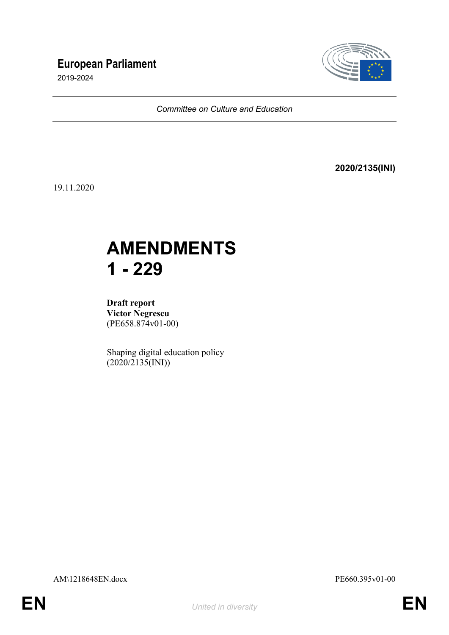# **European Parliament**

2019-2024



*Committee on Culture and Education*

**2020/2135(INI)**

19.11.2020

# **AMENDMENTS 1 - 229**

**Draft report Victor Negrescu** (PE658.874v01-00)

Shaping digital education policy  $(2020/2135(NI))$ 

AM\1218648EN.docx PE660.395v01-00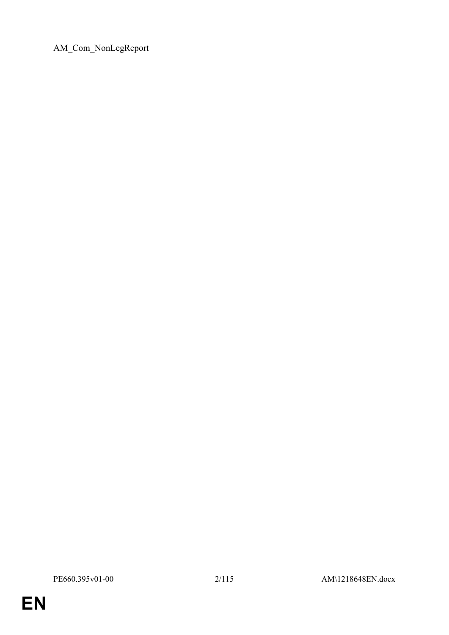AM\_Com\_NonLegReport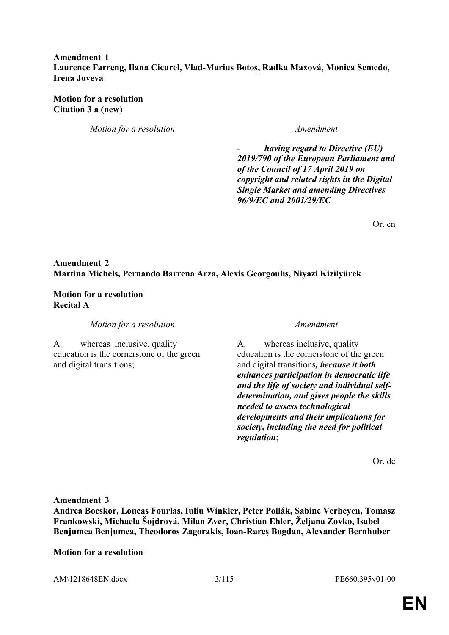### **Amendment 1 Laurence Farreng, Ilana Cicurel, Vlad-Marius Botoş, Radka Maxová, Monica Semedo, Irena Joveva**

### **Motion for a resolution Citation 3 a (new)**

*Motion for a resolution Amendment*

*- having regard to Directive (EU) 2019/790 of the European Parliament and of the Council of 17 April 2019 on copyright and related rights in the Digital Single Market and amending Directives 96/9/EC and 2001/29/EC*

Or. en

# **Amendment 2 Martina Michels, Pernando Barrena Arza, Alexis Georgoulis, Niyazi Kizilyürek**

### **Motion for a resolution Recital A**

*Motion for a resolution Amendment*

A. whereasinclusive, quality education is the cornerstone of the green and digital transitions;

A. whereas inclusive, quality education is the cornerstone of the green and digital transitions*, because it both enhances participation in democratic life and the life of society and individual selfdetermination, and gives people the skills needed to assess technological developments and their implications for society, including the need for political regulation*;

Or. de

**Amendment 3**

**Andrea Bocskor, Loucas Fourlas, Iuliu Winkler, Peter Pollák, Sabine Verheyen, Tomasz Frankowski, Michaela Šojdrová, Milan Zver, Christian Ehler, Željana Zovko, Isabel Benjumea Benjumea, Theodoros Zagorakis, Ioan-Rareş Bogdan, Alexander Bernhuber**

### **Motion for a resolution**

AM\1218648EN.docx 3/115 PE660.395v01-00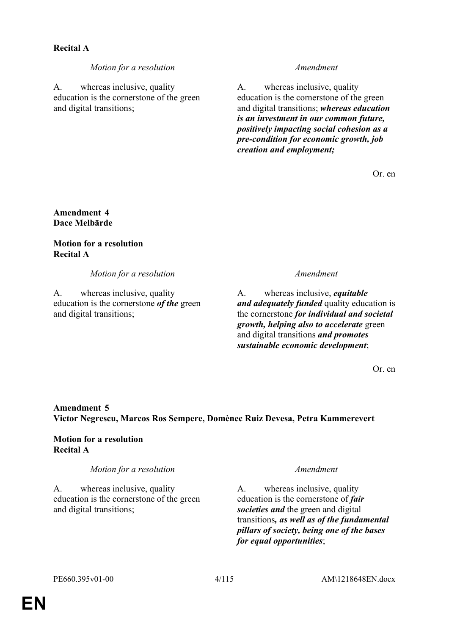# **Recital A**

*Motion for a resolution Amendment*

A. whereas inclusive, quality education is the cornerstone of the green and digital transitions;

A. whereas inclusive, quality education is the cornerstone of the green and digital transitions; *whereas education is an investment in our common future, positively impacting social cohesion as a pre-condition for economic growth, job creation and employment;*

Or. en

**Amendment 4 Dace Melbārde**

**Motion for a resolution Recital A**

*Motion for a resolution Amendment*

A. whereas inclusive, quality education is the cornerstone *of the* green and digital transitions;

A. whereas inclusive, *equitable and adequately funded* quality education is the cornerstone *for individual and societal growth, helping also to accelerate* green and digital transitions *and promotes sustainable economic development*;

Or. en

# **Amendment 5 Victor Negrescu, Marcos Ros Sempere, Domènec Ruiz Devesa, Petra Kammerevert**

**Motion for a resolution Recital A**

*Motion for a resolution Amendment*

A. whereas inclusive, quality education is the cornerstone of the green and digital transitions;

A. whereas inclusive, quality education is the cornerstone of *fair societies and* the green and digital transitions*, as well as of the fundamental pillars of society, being one of the bases for equal opportunities*;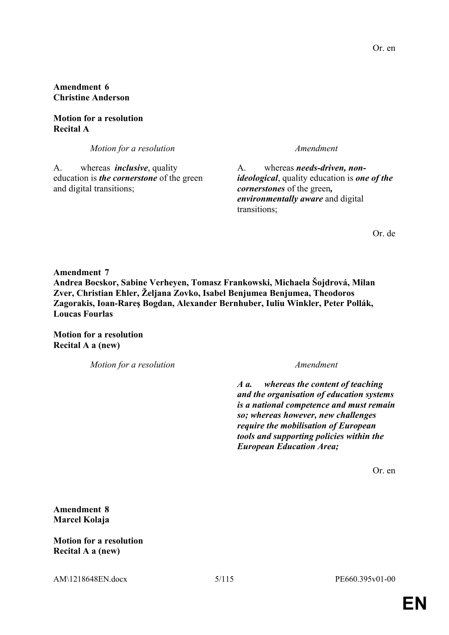**Amendment 6 Christine Anderson**

**Motion for a resolution Recital A**

*Motion for a resolution Amendment*

A. whereas *inclusive*, quality education is *the cornerstone* of the green and digital transitions;

A. whereas *needs-driven, nonideological*, quality education is *one of the cornerstones* of the green*, environmentally aware* and digital transitions;

Or. de

**Amendment 7 Andrea Bocskor, Sabine Verheyen, Tomasz Frankowski, Michaela Šojdrová, Milan Zver, Christian Ehler, Željana Zovko, Isabel Benjumea Benjumea, Theodoros Zagorakis, Ioan-Rareş Bogdan, Alexander Bernhuber, Iuliu Winkler, Peter Pollák, Loucas Fourlas**

**Motion for a resolution Recital A a (new)**

*Motion for a resolution Amendment*

*A a. whereas the content of teaching and the organisation of education systems is a national competence and must remain so; whereas however, new challenges require the mobilisation of European tools and supporting policies within the European Education Area;*

Or. en

**Amendment 8 Marcel Kolaja**

**Motion for a resolution Recital A a (new)**

AM\1218648EN.docx 5/115 PE660.395v01-00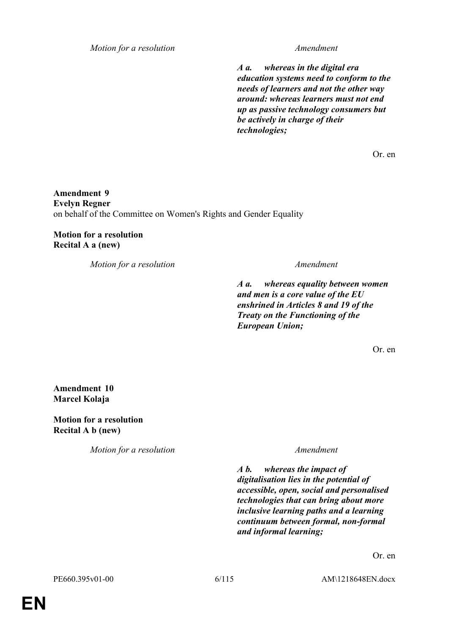*Motion for a resolution Amendment*

*A a. whereas in the digital era education systems need to conform to the needs of learners and not the other way around: whereas learners must not end up as passive technology consumers but be actively in charge of their technologies;*

Or. en

**Amendment 9 Evelyn Regner** on behalf of the Committee on Women's Rights and Gender Equality

**Motion for a resolution Recital A a (new)**

*Motion for a resolution Amendment*

*A a. whereas equality between women and men is a core value of the EU enshrined in Articles 8 and 19 of the Treaty on the Functioning of the European Union;*

Or. en

**Amendment 10 Marcel Kolaja**

**Motion for a resolution Recital A b (new)**

*Motion for a resolution Amendment*

*A b. whereas the impact of digitalisation lies in the potential of accessible, open, social and personalised technologies that can bring about more inclusive learning paths and a learning continuum between formal, non-formal and informal learning;*

Or. en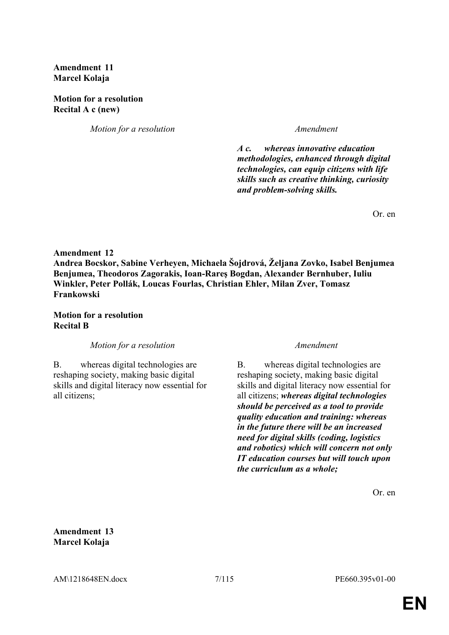**Amendment 11 Marcel Kolaja**

**Motion for a resolution Recital A c (new)**

*Motion for a resolution Amendment*

*A c. whereas innovative education methodologies, enhanced through digital technologies, can equip citizens with life skills such as creative thinking, curiosity and problem-solving skills.*

Or. en

### **Amendment 12**

**Andrea Bocskor, Sabine Verheyen, Michaela Šojdrová, Željana Zovko, Isabel Benjumea Benjumea, Theodoros Zagorakis, Ioan-Rareş Bogdan, Alexander Bernhuber, Iuliu Winkler, Peter Pollák, Loucas Fourlas, Christian Ehler, Milan Zver, Tomasz Frankowski**

### **Motion for a resolution Recital B**

*Motion for a resolution Amendment*

B. whereas digital technologies are reshaping society, making basic digital skills and digital literacy now essential for all citizens;

B. whereas digital technologies are reshaping society, making basic digital skills and digital literacy now essential for all citizens; *whereas digital technologies should be perceived as a tool to provide quality education and training: whereas in the future there will be an increased need for digital skills (coding, logistics and robotics) which will concern not only IT education courses but will touch upon the curriculum as a whole;*

Or. en

**Amendment 13 Marcel Kolaja**

AM\1218648EN.docx 7/115 PE660.395v01-00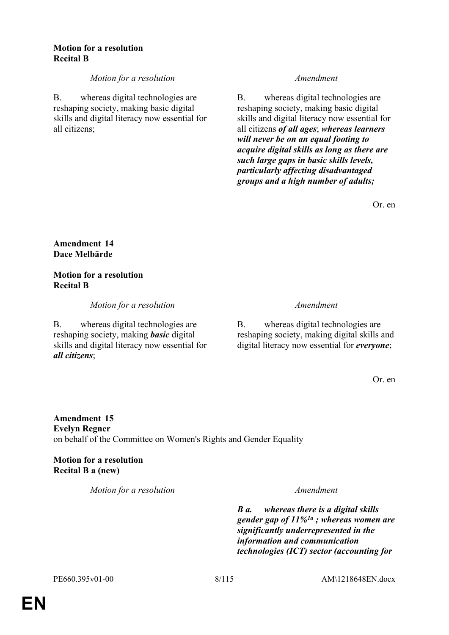### **Motion for a resolution Recital B**

# *Motion for a resolution Amendment*

B. whereas digital technologies are reshaping society, making basic digital skills and digital literacy now essential for all citizens;

B. whereas digital technologies are reshaping society, making basic digital skills and digital literacy now essential for all citizens *of all ages*; *whereas learners will never be on an equal footing to acquire digital skills as long as there are such large gaps in basic skills levels, particularly affecting disadvantaged groups and a high number of adults;*

Or. en

# **Amendment 14 Dace Melbārde**

# **Motion for a resolution Recital B**

*Motion for a resolution Amendment*

B. whereas digital technologies are reshaping society, making *basic* digital skills and digital literacy now essential for *all citizens*;

B. whereas digital technologies are reshaping society, making digital skills and digital literacy now essential for *everyone*;

Or. en

**Amendment 15 Evelyn Regner** on behalf of the Committee on Women's Rights and Gender Equality

**Motion for a resolution Recital B a (new)**

*Motion for a resolution Amendment*

*B a. whereas there is a digital skills gender gap of 11%1a ; whereas women are significantly underrepresented in the information and communication technologies (ICT) sector (accounting for*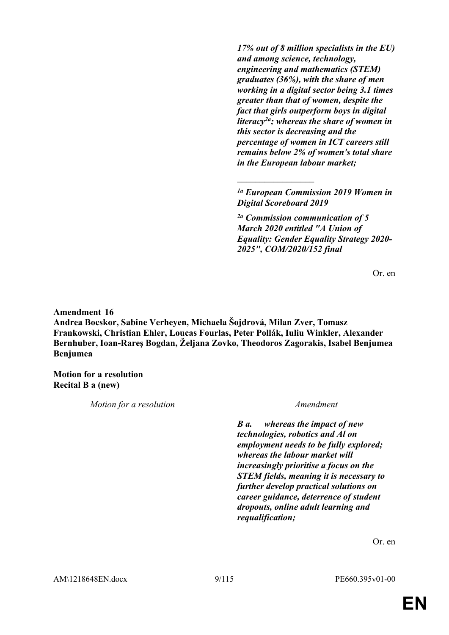*17% out of 8 million specialists in the EU) and among science, technology, engineering and mathematics (STEM) graduates (36%), with the share of men working in a digital sector being 3.1 times greater than that of women, despite the fact that girls outperform boys in digital literacy2a; whereas the share of women in this sector is decreasing and the percentage of women in ICT careers still remains below 2% of women's total share in the European labour market;*

*1a European Commission 2019 Women in Digital Scoreboard 2019*

 $\frac{1}{2}$ 

*2a Commission communication of 5 March 2020 entitled "A Union of Equality: Gender Equality Strategy 2020- 2025", COM/2020/152 final*

Or. en

**Amendment 16**

**Andrea Bocskor, Sabine Verheyen, Michaela Šojdrová, Milan Zver, Tomasz Frankowski, Christian Ehler, Loucas Fourlas, Peter Pollák, Iuliu Winkler, Alexander Bernhuber, Ioan-Rareş Bogdan, Željana Zovko, Theodoros Zagorakis, Isabel Benjumea Benjumea**

**Motion for a resolution Recital B a (new)**

*Motion for a resolution Amendment*

*B a. whereas the impact of new technologies, robotics and Al on employment needs to be fully explored; whereas the labour market will increasingly prioritise a focus on the STEM fields, meaning it is necessary to further develop practical solutions on career guidance, deterrence of student dropouts, online adult learning and requalification;*

Or. en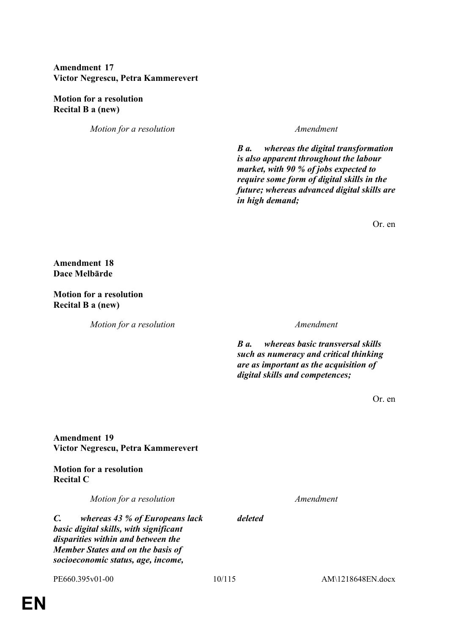# **Amendment 17 Victor Negrescu, Petra Kammerevert**

**Motion for a resolution Recital B a (new)**

*Motion for a resolution Amendment*

*B a. whereas the digital transformation is also apparent throughout the labour market, with 90 % of jobs expected to require some form of digital skills in the future; whereas advanced digital skills are in high demand;*

Or. en

**Amendment 18 Dace Melbārde**

**Motion for a resolution Recital B a (new)**

*Motion for a resolution Amendment*

*B a. whereas basic transversal skills such as numeracy and critical thinking are as important as the acquisition of digital skills and competences;*

Or. en

**Amendment 19 Victor Negrescu, Petra Kammerevert**

**Motion for a resolution Recital C**

*Motion for a resolution Amendment*

*C. whereas 43 % of Europeans lack basic digital skills, with significant disparities within and between the Member States and on the basis of socioeconomic status, age, income,* 

*deleted*

PE660.395v01-00 10/115 AM\1218648EN.docx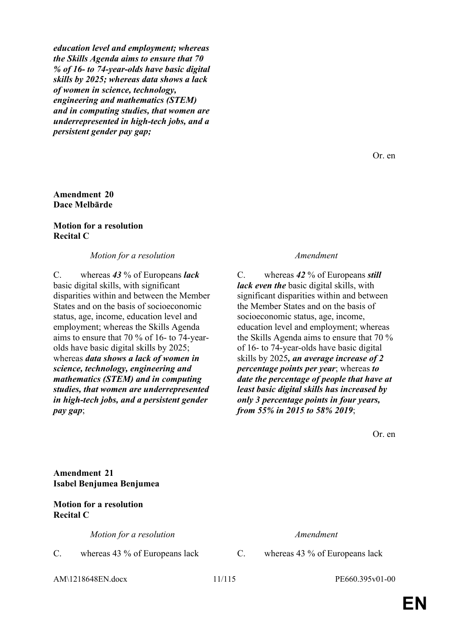*education level and employment; whereas the Skills Agenda aims to ensure that 70 % of 16- to 74-year-olds have basic digital skills by 2025; whereas data shows a lack of women in science, technology, engineering and mathematics (STEM) and in computing studies, that women are underrepresented in high-tech jobs, and a persistent gender pay gap;*

### **Amendment 20 Dace Melbārde**

### **Motion for a resolution Recital C**

### *Motion for a resolution Amendment*

C. whereas *43* % of Europeans *lack* basic digital skills, with significant disparities within and between the Member States and on the basis of socioeconomic status, age, income, education level and employment; whereas the Skills Agenda aims to ensure that 70 % of 16- to 74-yearolds have basic digital skills by 2025; whereas *data shows a lack of women in science, technology, engineering and mathematics (STEM) and in computing studies, that women are underrepresented in high-tech jobs, and a persistent gender pay gap*;

C. whereas *42* % of Europeans *still lack even the* basic digital skills, with significant disparities within and between the Member States and on the basis of socioeconomic status, age, income, education level and employment; whereas the Skills Agenda aims to ensure that 70 % of 16- to 74-year-olds have basic digital skills by 2025*, an average increase of 2 percentage points per year*; whereas *to date the percentage of people that have at least basic digital skills has increased by only 3 percentage points in four years, from 55% in 2015 to 58% 2019*;

Or. en

**Amendment 21 Isabel Benjumea Benjumea**

### **Motion for a resolution Recital C**

*Motion for a resolution Amendment*

C. whereas 43 % of Europeans lack C. whereas 43 % of Europeans lack

AM\1218648EN.docx 11/115 PE660.395v01-00

**EN**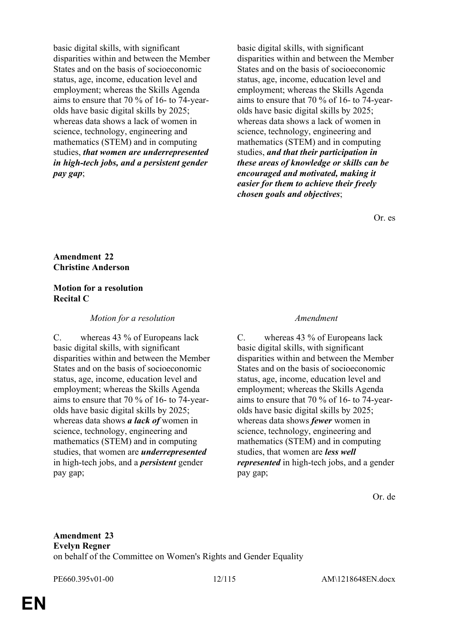basic digital skills, with significant disparities within and between the Member States and on the basis of socioeconomic status, age, income, education level and employment; whereas the Skills Agenda aims to ensure that 70 % of 16- to 74-yearolds have basic digital skills by 2025; whereas data shows a lack of women in science, technology, engineering and mathematics (STEM) and in computing studies, *that women are underrepresented in high-tech jobs, and a persistent gender pay gap*;

basic digital skills, with significant disparities within and between the Member States and on the basis of socioeconomic status, age, income, education level and employment; whereas the Skills Agenda aims to ensure that 70 % of 16- to 74-yearolds have basic digital skills by 2025; whereas data shows a lack of women in science, technology, engineering and mathematics (STEM) and in computing studies, *and that their participation in these areas of knowledge or skills can be encouraged and motivated, making it easier for them to achieve their freely chosen goals and objectives*;

Or. es

### **Amendment 22 Christine Anderson**

# **Motion for a resolution Recital C**

*Motion for a resolution Amendment*

C. whereas 43 % of Europeans lack basic digital skills, with significant disparities within and between the Member States and on the basis of socioeconomic status, age, income, education level and employment; whereas the Skills Agenda aims to ensure that 70 % of 16- to 74-yearolds have basic digital skills by 2025; whereas data shows *a lack of* women in science, technology, engineering and mathematics (STEM) and in computing studies, that women are *underrepresented* in high-tech jobs, and a *persistent* gender pay gap;

C. whereas 43 % of Europeans lack basic digital skills, with significant disparities within and between the Member States and on the basis of socioeconomic status, age, income, education level and employment; whereas the Skills Agenda aims to ensure that 70 % of 16- to 74-yearolds have basic digital skills by 2025; whereas data shows *fewer* women in science, technology, engineering and mathematics (STEM) and in computing studies, that women are *less well represented* in high-tech jobs, and a gender pay gap;

Or. de

# **Amendment 23 Evelyn Regner** on behalf of the Committee on Women's Rights and Gender Equality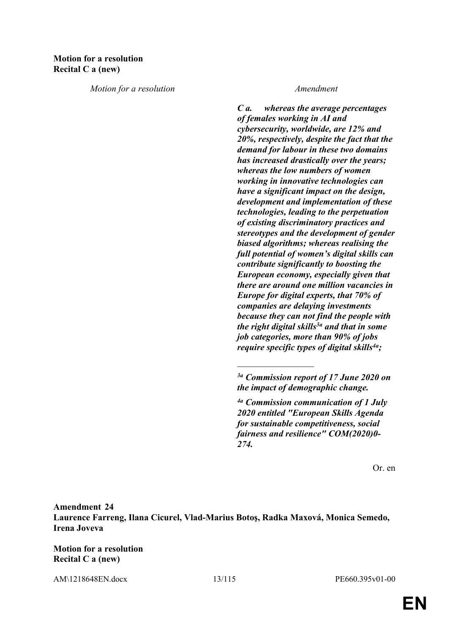*Motion for a resolution Amendment*

*C a. whereas the average percentages of females working in AI and cybersecurity, worldwide, are 12% and 20%, respectively, despite the fact that the demand for labour in these two domains has increased drastically over the years; whereas the low numbers of women working in innovative technologies can have a significant impact on the design, development and implementation of these technologies, leading to the perpetuation of existing discriminatory practices and stereotypes and the development of gender biased algorithms; whereas realising the full potential of women's digital skills can contribute significantly to boosting the European economy, especially given that there are around one million vacancies in Europe for digital experts, that 70% of companies are delaying investments because they can not find the people with the right digital skills3a and that in some job categories, more than 90% of jobs require specific types of digital skills4a;*

 $\frac{1}{2}$ 

Or. en

**Amendment 24 Laurence Farreng, Ilana Cicurel, Vlad-Marius Botoş, Radka Maxová, Monica Semedo, Irena Joveva**

**Motion for a resolution Recital C a (new)**

AM\1218648EN.docx 13/115 PE660.395v01-00

*<sup>3</sup>a Commission report of 17 June 2020 on the impact of demographic change.*

*<sup>4</sup>a Commission communication of 1 July 2020 entitled "European Skills Agenda for sustainable competitiveness, social fairness and resilience" COM(2020)0- 274.*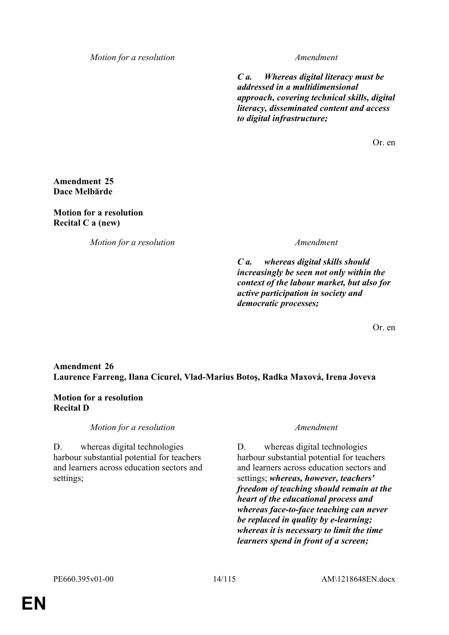*Motion for a resolution Amendment*

*C a. Whereas digital literacy must be addressed in a multidimensional approach, covering technical skills, digital literacy, disseminated content and access to digital infrastructure;*

Or. en

# **Amendment 25 Dace Melbārde**

# **Motion for a resolution Recital C a (new)**

*Motion for a resolution Amendment*

*C a. whereas digital skills should increasingly be seen not only within the context of the labour market, but also for active participation in society and democratic processes;*

Or. en

# **Amendment 26 Laurence Farreng, Ilana Cicurel, Vlad-Marius Botoş, Radka Maxová, Irena Joveva**

# **Motion for a resolution Recital D**

*Motion for a resolution Amendment*

D. whereas digital technologies harbour substantial potential for teachers and learners across education sectors and settings;

D. whereas digital technologies harbour substantial potential for teachers and learners across education sectors and settings; *whereas, however, teachers' freedom of teaching should remain at the heart of the educational process and whereas face-to-face teaching can never be replaced in quality by e-learning; whereas it is necessary to limit the time learners spend in front of a screen;*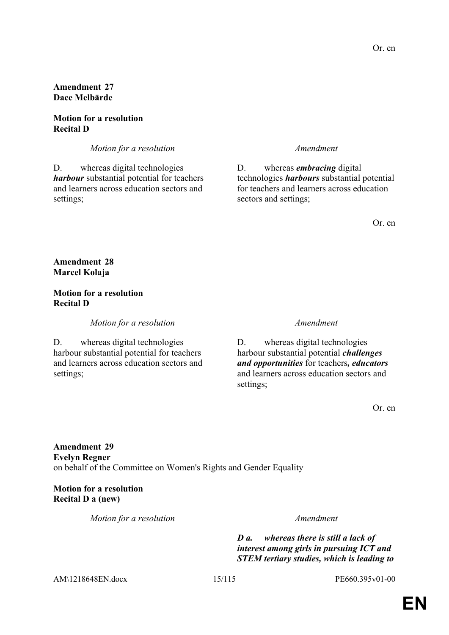### **Motion for a resolution Recital D**

*Motion for a resolution Amendment*

D. whereas digital technologies *harbour* substantial potential for teachers and learners across education sectors and settings;

D. whereas *embracing* digital technologies *harbours* substantial potential for teachers and learners across education sectors and settings;

Or. en

# **Amendment 28 Marcel Kolaja**

### **Motion for a resolution Recital D**

*Motion for a resolution Amendment*

D. whereas digital technologies harbour substantial potential for teachers and learners across education sectors and settings;

D. whereas digital technologies harbour substantial potential *challenges and opportunities* for teachers*, educators* and learners across education sectors and settings;

Or. en

**Amendment 29 Evelyn Regner** on behalf of the Committee on Women's Rights and Gender Equality

**Motion for a resolution Recital D a (new)**

*Motion for a resolution Amendment*

*D a. whereas there is still a lack of interest among girls in pursuing ICT and STEM tertiary studies, which is leading to* 

AM\1218648EN.docx 15/115 PE660.395v01-00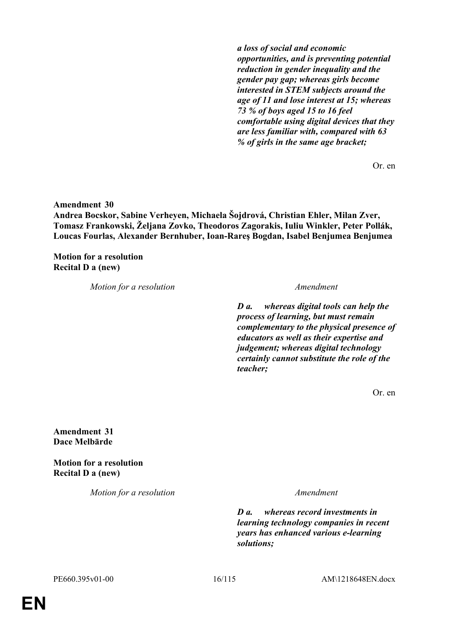*a loss of social and economic opportunities, and is preventing potential reduction in gender inequality and the gender pay gap; whereas girls become interested in STEM subjects around the age of 11 and lose interest at 15; whereas 73 % of boys aged 15 to 16 feel comfortable using digital devices that they are less familiar with, compared with 63 % of girls in the same age bracket;*

Or. en

**Amendment 30**

**Andrea Bocskor, Sabine Verheyen, Michaela Šojdrová, Christian Ehler, Milan Zver, Tomasz Frankowski, Željana Zovko, Theodoros Zagorakis, Iuliu Winkler, Peter Pollák, Loucas Fourlas, Alexander Bernhuber, Ioan-Rareş Bogdan, Isabel Benjumea Benjumea**

**Motion for a resolution Recital D a (new)**

*Motion for a resolution Amendment*

*D a. whereas digital tools can help the process of learning, but must remain complementary to the physical presence of educators as well as their expertise and judgement; whereas digital technology certainly cannot substitute the role of the teacher;*

Or. en

**Amendment 31 Dace Melbārde**

**Motion for a resolution Recital D a (new)**

*Motion for a resolution Amendment*

*D a. whereas record investments in learning technology companies in recent years has enhanced various e-learning solutions;*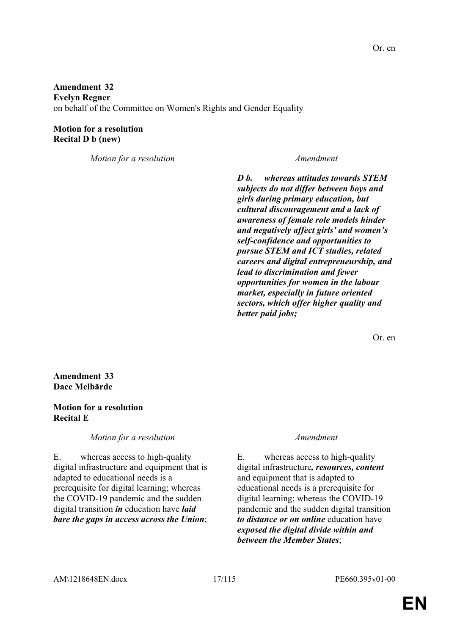**Amendment 32 Evelyn Regner** on behalf of the Committee on Women's Rights and Gender Equality

**Motion for a resolution Recital D b (new)**

*Motion for a resolution Amendment*

*D b. whereas attitudes towards STEM subjects do not differ between boys and girls during primary education, but cultural discouragement and a lack of awareness of female role models hinder and negatively affect girls' and women's self-confidence and opportunities to pursue STEM and ICT studies, related careers and digital entrepreneurship, and lead to discrimination and fewer opportunities for women in the labour market, especially in future oriented sectors, which offer higher quality and better paid jobs;*

Or. en

### **Amendment 33 Dace Melbārde**

### **Motion for a resolution Recital E**

*Motion for a resolution Amendment*

E. whereas access to high-quality digital infrastructure and equipment that is adapted to educational needs is a prerequisite for digital learning; whereas the COVID-19 pandemic and the sudden digital transition *in* education have *laid bare the gaps in access across the Union*;

E. whereas access to high-quality digital infrastructure*, resources, content* and equipment that is adapted to educational needs is a prerequisite for digital learning; whereas the COVID-19 pandemic and the sudden digital transition *to distance or on online* education have *exposed the digital divide within and between the Member States*;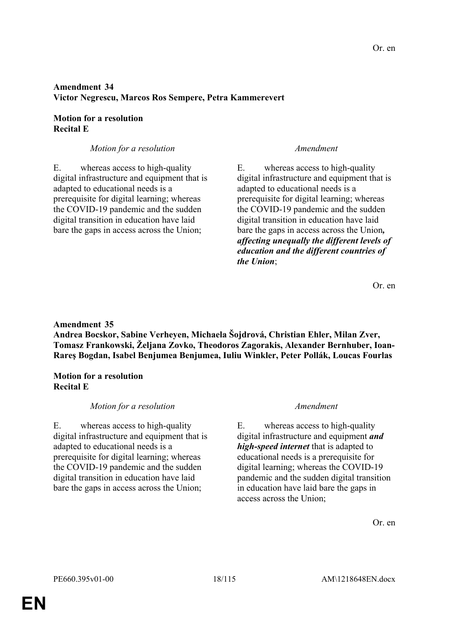# **Amendment 34 Victor Negrescu, Marcos Ros Sempere, Petra Kammerevert**

# **Motion for a resolution Recital E**

# *Motion for a resolution Amendment*

E. whereas access to high-quality digital infrastructure and equipment that is adapted to educational needs is a prerequisite for digital learning; whereas the COVID-19 pandemic and the sudden digital transition in education have laid bare the gaps in access across the Union;

E. whereas access to high-quality digital infrastructure and equipment that is adapted to educational needs is a prerequisite for digital learning; whereas the COVID-19 pandemic and the sudden digital transition in education have laid bare the gaps in access across the Union*, affecting unequally the different levels of education and the different countries of the Union*;

Or. en

### **Amendment 35**

**Andrea Bocskor, Sabine Verheyen, Michaela Šojdrová, Christian Ehler, Milan Zver, Tomasz Frankowski, Željana Zovko, Theodoros Zagorakis, Alexander Bernhuber, Ioan-Rareş Bogdan, Isabel Benjumea Benjumea, Iuliu Winkler, Peter Pollák, Loucas Fourlas**

### **Motion for a resolution Recital E**

# *Motion for a resolution Amendment*

E. whereas access to high-quality digital infrastructure and equipment that is adapted to educational needs is a prerequisite for digital learning; whereas the COVID-19 pandemic and the sudden digital transition in education have laid bare the gaps in access across the Union;

E. whereas access to high-quality digital infrastructure and equipment *and high-speed internet* that is adapted to educational needs is a prerequisite for digital learning; whereas the COVID-19 pandemic and the sudden digital transition in education have laid bare the gaps in access across the Union;

Or. en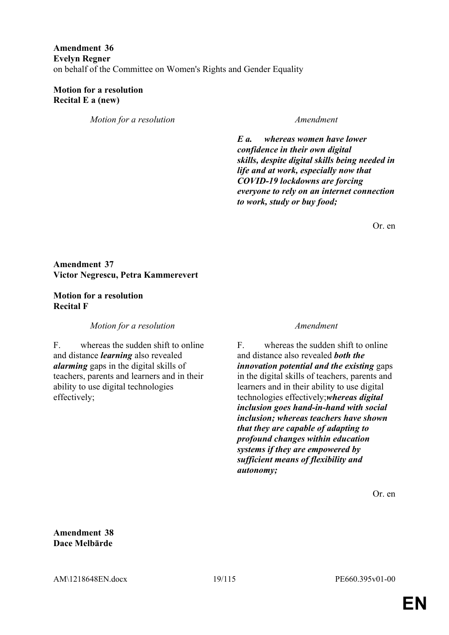# **Amendment 36 Evelyn Regner** on behalf of the Committee on Women's Rights and Gender Equality

### **Motion for a resolution Recital E a (new)**

*Motion for a resolution Amendment*

*E a. whereas women have lower confidence in their own digital skills, despite digital skills being needed in life and at work, especially now that COVID-19 lockdowns are forcing everyone to rely on an internet connection to work, study or buy food;*

Or. en

# **Amendment 37 Victor Negrescu, Petra Kammerevert**

### **Motion for a resolution Recital F**

*Motion for a resolution Amendment*

F. whereas the sudden shift to online and distance *learning* also revealed *alarming* gaps in the digital skills of teachers, parents and learners and in their ability to use digital technologies effectively;

F. whereas the sudden shift to online and distance also revealed *both the innovation potential and the existing* gaps in the digital skills of teachers, parents and learners and in their ability to use digital technologies effectively;*whereas digital inclusion goes hand-in-hand with social inclusion; whereas teachers have shown that they are capable of adapting to profound changes within education systems if they are empowered by sufficient means of flexibility and autonomy;*

Or. en

**Amendment 38 Dace Melbārde**

AM\1218648EN.docx 19/115 PE660.395v01-00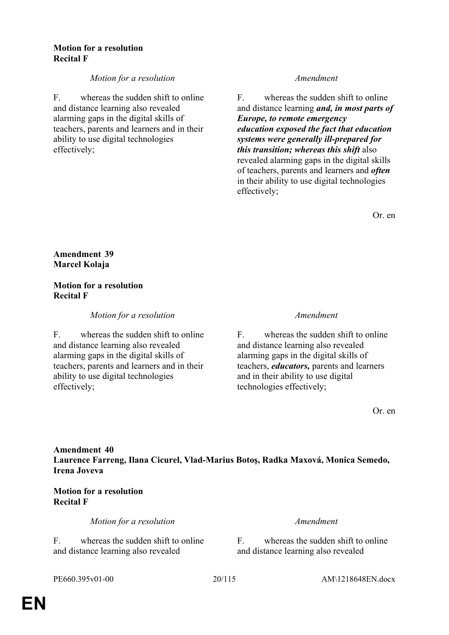### **Motion for a resolution Recital F**

# *Motion for a resolution Amendment*

F. whereas the sudden shift to online and distance learning also revealed alarming gaps in the digital skills of teachers, parents and learners and in their ability to use digital technologies effectively;

F. whereas the sudden shift to online and distance learning *and, in most parts of Europe, to remote emergency education exposed the fact that education systems were generally ill-prepared for this transition; whereas this shift* also revealed alarming gaps in the digital skills of teachers, parents and learners and *often* in their ability to use digital technologies effectively;

Or. en

# **Amendment 39 Marcel Kolaja**

### **Motion for a resolution Recital F**

# *Motion for a resolution Amendment*

F. whereas the sudden shift to online and distance learning also revealed alarming gaps in the digital skills of teachers, parents and learners and in their ability to use digital technologies effectively;

F. whereas the sudden shift to online and distance learning also revealed alarming gaps in the digital skills of teachers, *educators,* parents and learners and in their ability to use digital technologies effectively;

Or. en

# **Amendment 40 Laurence Farreng, Ilana Cicurel, Vlad-Marius Botoş, Radka Maxová, Monica Semedo, Irena Joveva**

# **Motion for a resolution Recital F**

*Motion for a resolution Amendment*

F. whereas the sudden shift to online and distance learning also revealed

F. whereas the sudden shift to online and distance learning also revealed

PE660.395v01-00 20/115 AM\1218648EN.docx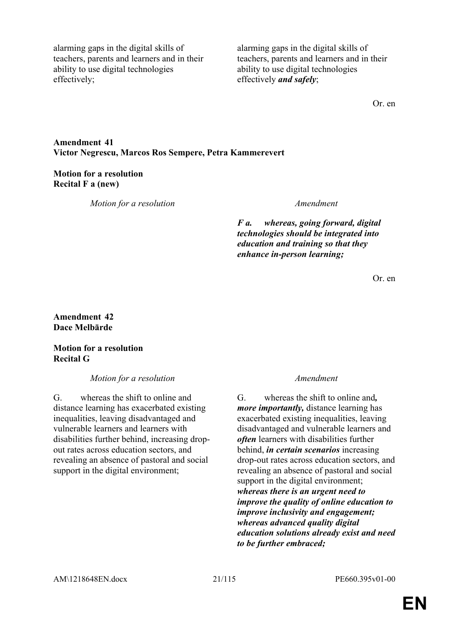alarming gaps in the digital skills of teachers, parents and learners and in their ability to use digital technologies effectively;

alarming gaps in the digital skills of teachers, parents and learners and in their ability to use digital technologies effectively *and safely*;

Or. en

### **Amendment 41 Victor Negrescu, Marcos Ros Sempere, Petra Kammerevert**

# **Motion for a resolution Recital F a (new)**

*Motion for a resolution Amendment*

*F a. whereas, going forward, digital technologies should be integrated into education and training so that they enhance in-person learning;*

Or. en

### **Amendment 42 Dace Melbārde**

# **Motion for a resolution Recital G**

*Motion for a resolution Amendment*

G. whereas the shift to online and distance learning has exacerbated existing inequalities, leaving disadvantaged and vulnerable learners and learners with disabilities further behind, increasing dropout rates across education sectors, and revealing an absence of pastoral and social support in the digital environment;

G. whereas the shift to online and*, more importantly,* distance learning has exacerbated existing inequalities, leaving disadvantaged and vulnerable learners and *often* learners with disabilities further behind, *in certain scenarios* increasing drop-out rates across education sectors, and revealing an absence of pastoral and social support in the digital environment; *whereas there is an urgent need to improve the quality of online education to improve inclusivity and engagement; whereas advanced quality digital education solutions already exist and need to be further embraced;*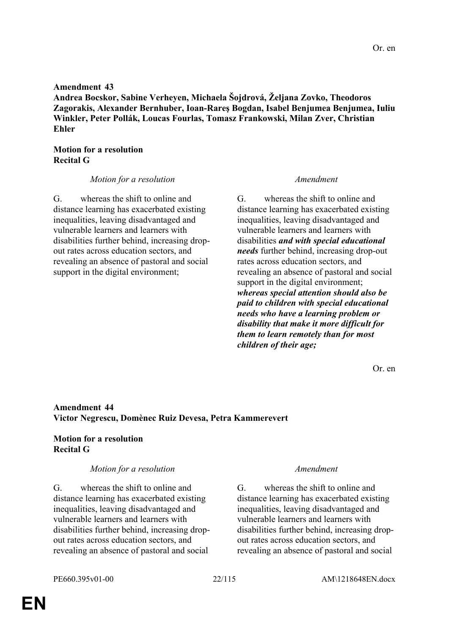### **Amendment 43**

**Andrea Bocskor, Sabine Verheyen, Michaela Šojdrová, Željana Zovko, Theodoros Zagorakis, Alexander Bernhuber, Ioan-Rareş Bogdan, Isabel Benjumea Benjumea, Iuliu Winkler, Peter Pollák, Loucas Fourlas, Tomasz Frankowski, Milan Zver, Christian Ehler**

### **Motion for a resolution Recital G**

### *Motion for a resolution Amendment*

G. whereas the shift to online and distance learning has exacerbated existing inequalities, leaving disadvantaged and vulnerable learners and learners with disabilities further behind, increasing dropout rates across education sectors, and revealing an absence of pastoral and social support in the digital environment;

G. whereas the shift to online and distance learning has exacerbated existing inequalities, leaving disadvantaged and vulnerable learners and learners with disabilities *and with special educational needs* further behind, increasing drop-out rates across education sectors, and revealing an absence of pastoral and social support in the digital environment; *whereas special attention should also be paid to children with special educational needs who have a learning problem or disability that make it more difficult for them to learn remotely than for most children of their age;*

Or. en

### **Amendment 44 Victor Negrescu, Domènec Ruiz Devesa, Petra Kammerevert**

### **Motion for a resolution Recital G**

### *Motion for a resolution Amendment*

G. whereas the shift to online and distance learning has exacerbated existing inequalities, leaving disadvantaged and vulnerable learners and learners with disabilities further behind, increasing dropout rates across education sectors, and revealing an absence of pastoral and social

G. whereas the shift to online and distance learning has exacerbated existing inequalities, leaving disadvantaged and vulnerable learners and learners with disabilities further behind, increasing dropout rates across education sectors, and revealing an absence of pastoral and social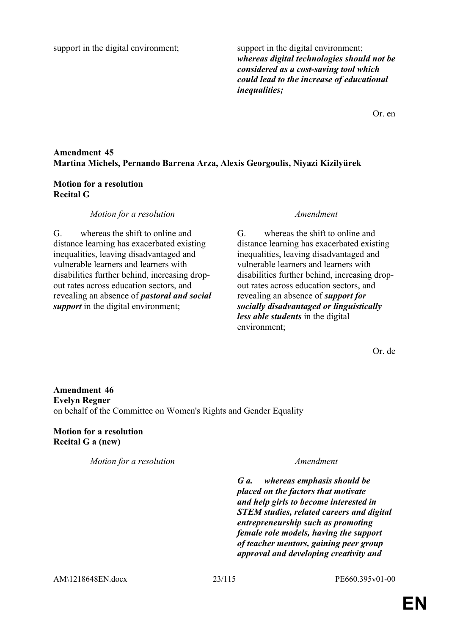support in the digital environment; support in the digital environment;

*whereas digital technologies should not be considered as a cost-saving tool which could lead to the increase of educational inequalities;*

Or. en

# **Amendment 45 Martina Michels, Pernando Barrena Arza, Alexis Georgoulis, Niyazi Kizilyürek**

# **Motion for a resolution Recital G**

# *Motion for a resolution Amendment*

G. whereas the shift to online and distance learning has exacerbated existing inequalities, leaving disadvantaged and vulnerable learners and learners with disabilities further behind, increasing dropout rates across education sectors, and revealing an absence of *pastoral and social support* in the digital environment;

G. whereas the shift to online and distance learning has exacerbated existing inequalities, leaving disadvantaged and vulnerable learners and learners with disabilities further behind, increasing dropout rates across education sectors, and revealing an absence of *support for socially disadvantaged or linguistically less able students* in the digital environment;

Or. de

**Amendment 46 Evelyn Regner** on behalf of the Committee on Women's Rights and Gender Equality

**Motion for a resolution Recital G a (new)**

*Motion for a resolution Amendment*

*G a. whereas emphasis should be placed on the factors that motivate and help girls to become interested in STEM studies, related careers and digital entrepreneurship such as promoting female role models, having the support of teacher mentors, gaining peer group approval and developing creativity and*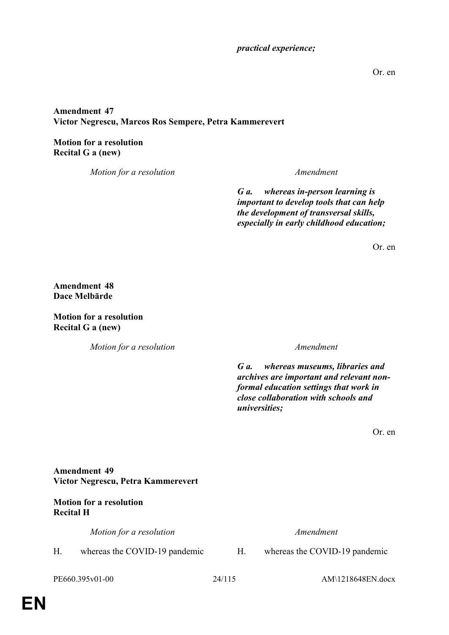### *practical experience;*

Or. en

# **Amendment 47 Victor Negrescu, Marcos Ros Sempere, Petra Kammerevert**

**Motion for a resolution Recital G a (new)**

*Motion for a resolution Amendment*

*G a. whereas in-person learning is important to develop tools that can help the development of transversal skills, especially in early childhood education;*

Or. en

**Amendment 48 Dace Melbārde**

**Motion for a resolution Recital G a (new)**

*Motion for a resolution Amendment*

*G a. whereas museums, libraries and archives are important and relevant nonformal education settings that work in close collaboration with schools and universities;*

Or. en

**Amendment 49 Victor Negrescu, Petra Kammerevert**

# **Motion for a resolution Recital H**

*Motion for a resolution Amendment*

H. whereas the COVID-19 pandemic H. whereas the COVID-19 pandemic

PE660.395v01-00 24/115 AM\1218648EN.docx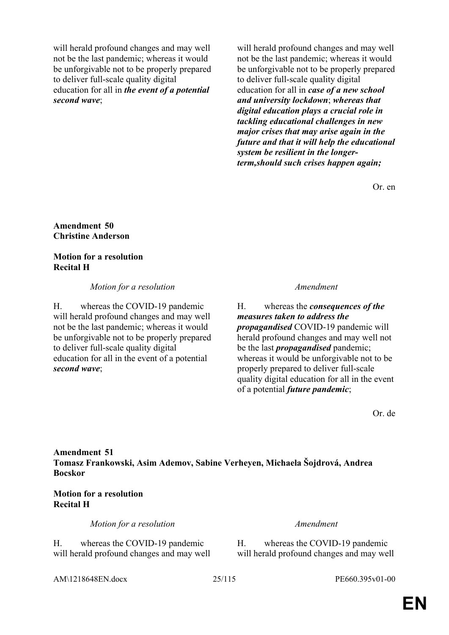will herald profound changes and may well not be the last pandemic; whereas it would be unforgivable not to be properly prepared to deliver full-scale quality digital education for all in *the event of a potential second wave*;

will herald profound changes and may well not be the last pandemic; whereas it would be unforgivable not to be properly prepared to deliver full-scale quality digital education for all in *case of a new school and university lockdown*; *whereas that digital education plays a crucial role in tackling educational challenges in new major crises that may arise again in the future and that it will help the educational system be resilient in the longerterm,should such crises happen again;*

Or. en

**Amendment 50 Christine Anderson**

**Motion for a resolution Recital H**

*Motion for a resolution Amendment*

H. whereas the COVID-19 pandemic will herald profound changes and may well not be the last pandemic; whereas it would be unforgivable not to be properly prepared to deliver full-scale quality digital education for all in the event of a potential *second wave*;

H. whereas the *consequences of the measures taken to address the propagandised* COVID-19 pandemic will herald profound changes and may well not be the last *propagandised* pandemic; whereas it would be unforgivable not to be properly prepared to deliver full-scale quality digital education for all in the event of a potential *future pandemic*;

Or. de

# **Amendment 51 Tomasz Frankowski, Asim Ademov, Sabine Verheyen, Michaela Šojdrová, Andrea Bocskor**

# **Motion for a resolution Recital H**

*Motion for a resolution Amendment*

H. whereas the COVID-19 pandemic will herald profound changes and may well

H. whereas the COVID-19 pandemic will herald profound changes and may well

AM\1218648EN.docx 25/115 PE660.395v01-00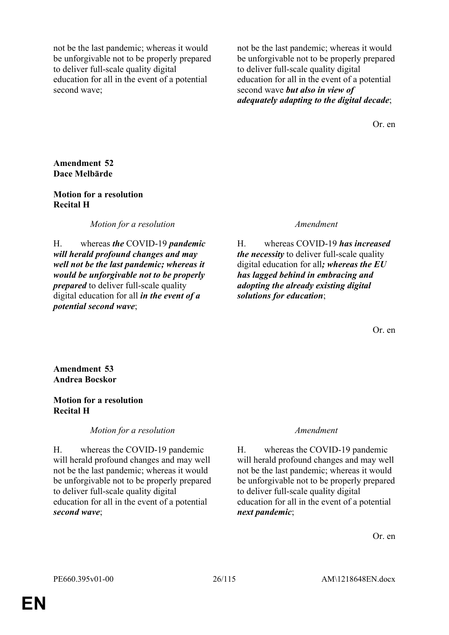not be the last pandemic; whereas it would be unforgivable not to be properly prepared to deliver full-scale quality digital education for all in the event of a potential second wave;

not be the last pandemic; whereas it would be unforgivable not to be properly prepared to deliver full-scale quality digital education for all in the event of a potential second wave *but also in view of adequately adapting to the digital decade*;

Or. en

# **Amendment 52 Dace Melbārde**

### **Motion for a resolution Recital H**

*Motion for a resolution Amendment*

H. whereas *the* COVID-19 *pandemic will herald profound changes and may well not be the last pandemic; whereas it would be unforgivable not to be properly prepared* to deliver full-scale quality digital education for all *in the event of a potential second wave*;

H. whereas COVID-19 *has increased the necessity* to deliver full-scale quality digital education for all*; whereas the EU has lagged behind in embracing and adopting the already existing digital solutions for education*;

Or. en

**Amendment 53 Andrea Bocskor**

# **Motion for a resolution Recital H**

*Motion for a resolution Amendment*

H. whereas the COVID-19 pandemic will herald profound changes and may well not be the last pandemic; whereas it would be unforgivable not to be properly prepared to deliver full-scale quality digital education for all in the event of a potential *second wave*;

H. whereas the COVID-19 pandemic will herald profound changes and may well not be the last pandemic; whereas it would be unforgivable not to be properly prepared to deliver full-scale quality digital education for all in the event of a potential *next pandemic*;

Or. en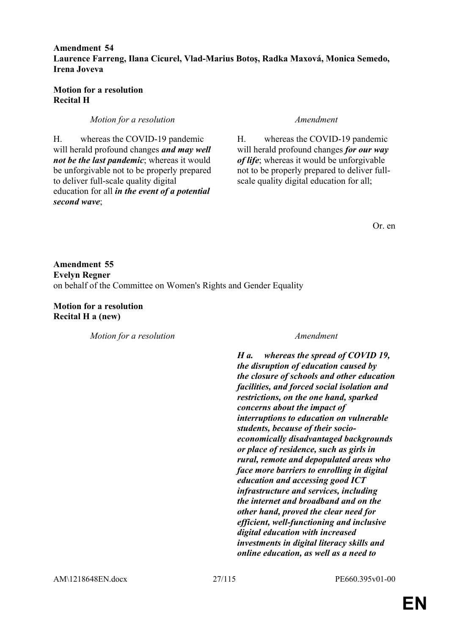### **Amendment 54 Laurence Farreng, Ilana Cicurel, Vlad-Marius Botoş, Radka Maxová, Monica Semedo, Irena Joveva**

# **Motion for a resolution Recital H**

*Motion for a resolution Amendment*

H. whereas the COVID-19 pandemic will herald profound changes *and may well not be the last pandemic*; whereas it would be unforgivable not to be properly prepared to deliver full-scale quality digital education for all *in the event of a potential second wave*;

H. whereas the COVID-19 pandemic will herald profound changes *for our way of life*; whereas it would be unforgivable not to be properly prepared to deliver fullscale quality digital education for all;

Or. en

**Amendment 55 Evelyn Regner** on behalf of the Committee on Women's Rights and Gender Equality

**Motion for a resolution Recital H a (new)**

*Motion for a resolution Amendment*

*H a. whereas the spread of COVID 19, the disruption of education caused by the closure of schools and other education facilities, and forced social isolation and restrictions, on the one hand, sparked concerns about the impact of interruptions to education on vulnerable students, because of their socioeconomically disadvantaged backgrounds or place of residence, such as girls in rural, remote and depopulated areas who face more barriers to enrolling in digital education and accessing good ICT infrastructure and services, including the internet and broadband and on the other hand, proved the clear need for efficient, well-functioning and inclusive digital education with increased investments in digital literacy skills and online education, as well as a need to*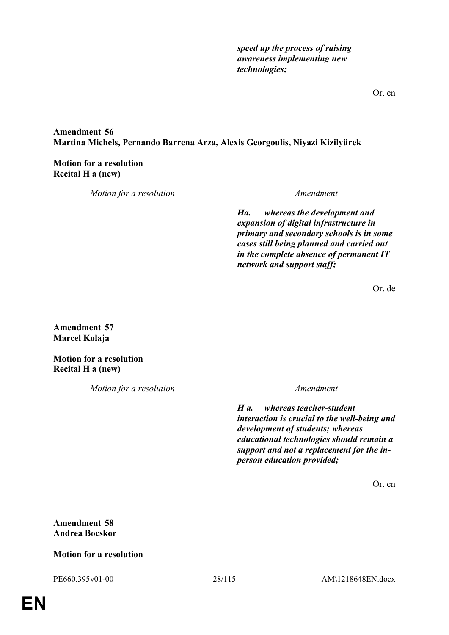*speed up the process of raising awareness implementing new technologies;*

# **Amendment 56 Martina Michels, Pernando Barrena Arza, Alexis Georgoulis, Niyazi Kizilyürek**

# **Motion for a resolution Recital H a (new)**

*Motion for a resolution Amendment*

*Ha. whereas the development and expansion of digital infrastructure in primary and secondary schools is in some cases still being planned and carried out in the complete absence of permanent IT network and support staff;*

Or. de

**Amendment 57 Marcel Kolaja**

**Motion for a resolution Recital H a (new)**

*Motion for a resolution Amendment*

*H a. whereas teacher-student interaction is crucial to the well-being and development of students; whereas educational technologies should remain a support and not a replacement for the inperson education provided;*

Or. en

# **Amendment 58 Andrea Bocskor**

# **Motion for a resolution**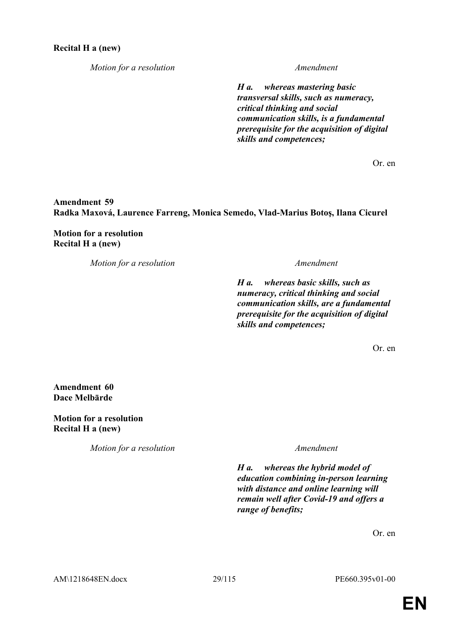*Motion for a resolution Amendment*

*H a. whereas mastering basic transversal skills, such as numeracy, critical thinking and social communication skills, is a fundamental prerequisite for the acquisition of digital skills and competences;*

Or. en

**Amendment 59 Radka Maxová, Laurence Farreng, Monica Semedo, Vlad-Marius Botoş, Ilana Cicurel**

**Motion for a resolution Recital H a (new)**

*Motion for a resolution Amendment*

*H a. whereas basic skills, such as numeracy, critical thinking and social communication skills, are a fundamental prerequisite for the acquisition of digital skills and competences;*

Or. en

**Amendment 60 Dace Melbārde**

**Motion for a resolution Recital H a (new)**

*Motion for a resolution Amendment*

*H a. whereas the hybrid model of education combining in-person learning with distance and online learning will remain well after Covid-19 and offers a range of benefits;*

Or. en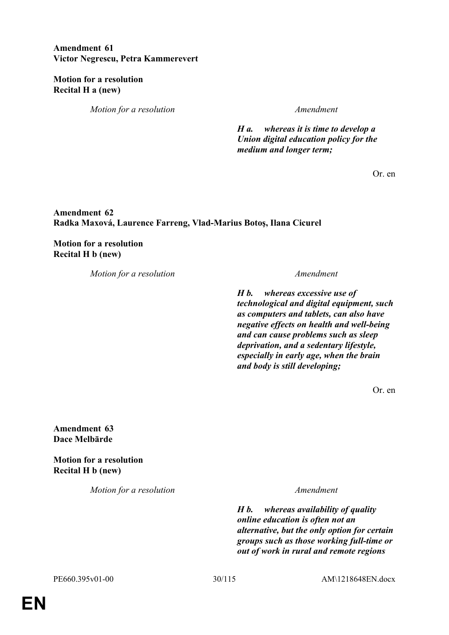# **Amendment 61 Victor Negrescu, Petra Kammerevert**

**Motion for a resolution Recital H a (new)**

*Motion for a resolution Amendment*

*H a. whereas it is time to develop a Union digital education policy for the medium and longer term;*

Or. en

# **Amendment 62 Radka Maxová, Laurence Farreng, Vlad-Marius Botoş, Ilana Cicurel**

**Motion for a resolution Recital H b (new)**

*Motion for a resolution Amendment*

*H b. whereas excessive use of technological and digital equipment, such as computers and tablets, can also have negative effects on health and well-being and can cause problems such as sleep deprivation, and a sedentary lifestyle, especially in early age, when the brain and body is still developing;*

Or. en

**Amendment 63 Dace Melbārde**

**Motion for a resolution Recital H b (new)**

*Motion for a resolution Amendment*

*H b. whereas availability of quality online education is often not an alternative, but the only option for certain groups such as those working full-time or out of work in rural and remote regions*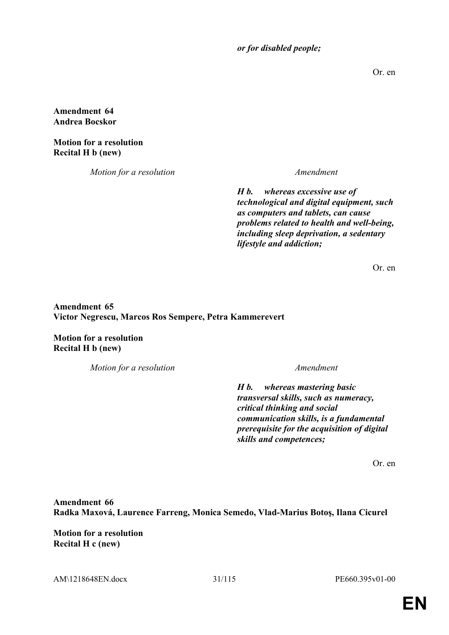*or for disabled people;*

Or. en

**Amendment 64 Andrea Bocskor**

**Motion for a resolution Recital H b (new)**

*Motion for a resolution Amendment*

*H b. whereas excessive use of technological and digital equipment, such as computers and tablets, can cause problems related to health and well-being, including sleep deprivation, a sedentary lifestyle and addiction;*

Or. en

**Amendment 65 Victor Negrescu, Marcos Ros Sempere, Petra Kammerevert**

**Motion for a resolution Recital H b (new)**

*Motion for a resolution Amendment*

*H b. whereas mastering basic transversal skills, such as numeracy, critical thinking and social communication skills, is a fundamental prerequisite for the acquisition of digital skills and competences;*

Or. en

**Amendment 66 Radka Maxová, Laurence Farreng, Monica Semedo, Vlad-Marius Botoş, Ilana Cicurel**

**Motion for a resolution Recital H c (new)**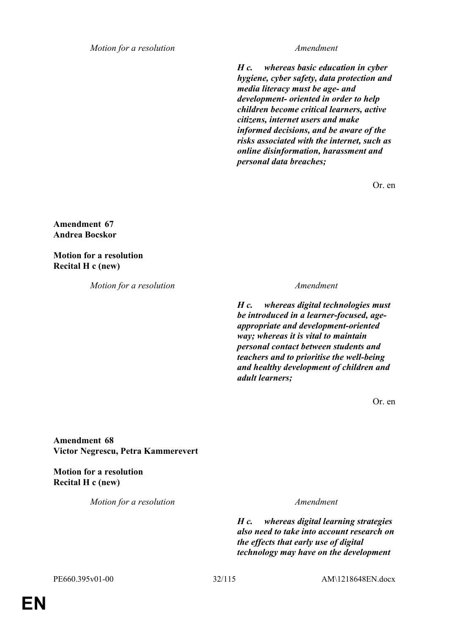*Motion for a resolution Amendment*

*H c. whereas basic education in cyber hygiene, cyber safety, data protection and media literacy must be age- and development- oriented in order to help children become critical learners, active citizens, internet users and make informed decisions, and be aware of the risks associated with the internet, such as online disinformation, harassment and personal data breaches;*

Or. en

**Amendment 67 Andrea Bocskor**

**Motion for a resolution Recital H c (new)**

*Motion for a resolution Amendment*

*H c. whereas digital technologies must be introduced in a learner-focused, ageappropriate and development-oriented way; whereas it is vital to maintain personal contact between students and teachers and to prioritise the well-being and healthy development of children and adult learners;*

Or. en

**Amendment 68 Victor Negrescu, Petra Kammerevert**

**Motion for a resolution Recital H c (new)**

*Motion for a resolution Amendment*

*H c. whereas digital learning strategies also need to take into account research on the effects that early use of digital technology may have on the development*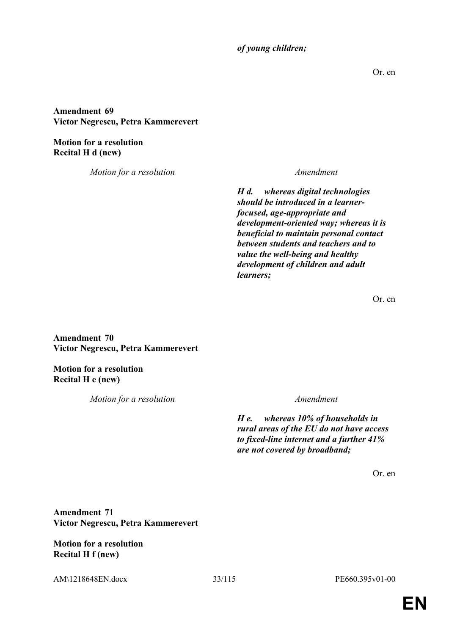*of young children;*

Or. en

**Amendment 69 Victor Negrescu, Petra Kammerevert**

**Motion for a resolution Recital H d (new)**

*Motion for a resolution Amendment*

*H d. whereas digital technologies should be introduced in a learnerfocused, age-appropriate and development-oriented way; whereas it is beneficial to maintain personal contact between students and teachers and to value the well-being and healthy development of children and adult learners;*

Or. en

**Amendment 70 Victor Negrescu, Petra Kammerevert**

**Motion for a resolution Recital H e (new)**

*Motion for a resolution Amendment*

*H e. whereas 10% of households in rural areas of the EU do not have access to fixed-line internet and a further 41% are not covered by broadband;*

Or. en

**Amendment 71 Victor Negrescu, Petra Kammerevert**

**Motion for a resolution Recital H f (new)**

AM\1218648EN.docx 33/115 PE660.395v01-00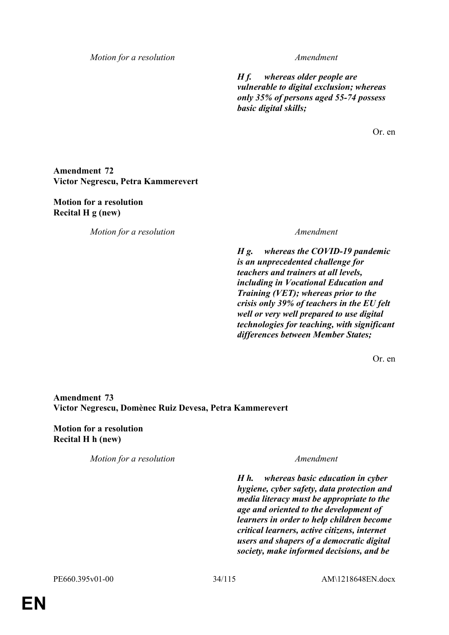*Motion for a resolution Amendment*

*H f. whereas older people are vulnerable to digital exclusion; whereas only 35% of persons aged 55-74 possess basic digital skills;*

Or. en

# **Amendment 72 Victor Negrescu, Petra Kammerevert**

**Motion for a resolution Recital H g (new)**

*Motion for a resolution Amendment*

*H g. whereas the COVID-19 pandemic is an unprecedented challenge for teachers and trainers at all levels, including in Vocational Education and Training (VET); whereas prior to the crisis only 39% of teachers in the EU felt well or very well prepared to use digital technologies for teaching, with significant differences between Member States;*

Or. en

**Amendment 73 Victor Negrescu, Domènec Ruiz Devesa, Petra Kammerevert**

**Motion for a resolution Recital H h (new)**

*Motion for a resolution Amendment*

*H h. whereas basic education in cyber hygiene, cyber safety, data protection and media literacy must be appropriate to the age and oriented to the development of learners in order to help children become critical learners, active citizens, internet users and shapers of a democratic digital society, make informed decisions, and be*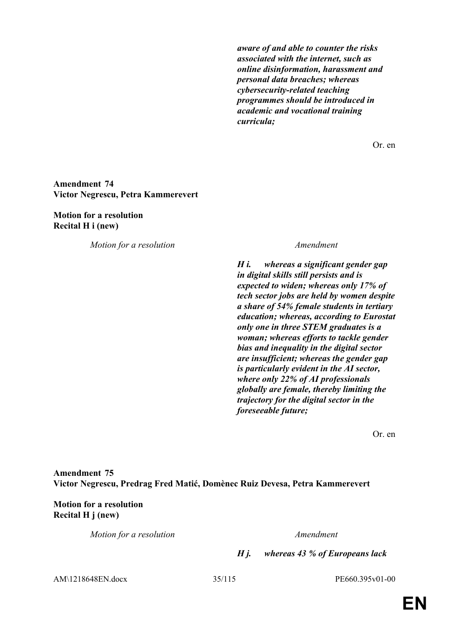*aware of and able to counter the risks associated with the internet, such as online disinformation, harassment and personal data breaches; whereas cybersecurity-related teaching programmes should be introduced in academic and vocational training curricula;*

Or. en

### **Amendment 74 Victor Negrescu, Petra Kammerevert**

### **Motion for a resolution Recital H i (new)**

*Motion for a resolution Amendment*

*H i. whereas a significant gender gap in digital skills still persists and is expected to widen; whereas only 17% of tech sector jobs are held by women despite a share of 54% female students in tertiary education; whereas, according to Eurostat only one in three STEM graduates is a woman; whereas efforts to tackle gender bias and inequality in the digital sector are insufficient; whereas the gender gap is particularly evident in the AI sector, where only 22% of AI professionals globally are female, thereby limiting the trajectory for the digital sector in the foreseeable future;*

Or. en

**Amendment 75 Victor Negrescu, Predrag Fred Matić, Domènec Ruiz Devesa, Petra Kammerevert**

# **Motion for a resolution Recital H j (new)**

*Motion for a resolution Amendment*

*H j. whereas 43 % of Europeans lack* 

AM\1218648EN.docx 35/115 PE660.395v01-00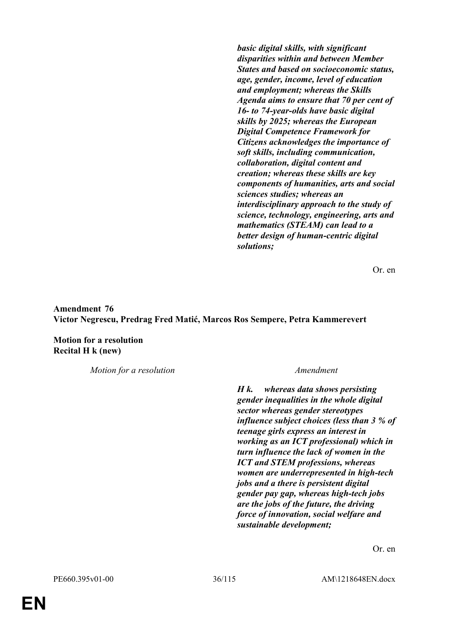*basic digital skills, with significant disparities within and between Member States and based on socioeconomic status, age, gender, income, level of education and employment; whereas the Skills Agenda aims to ensure that 70 per cent of 16- to 74-year-olds have basic digital skills by 2025; whereas the European Digital Competence Framework for Citizens acknowledges the importance of soft skills, including communication, collaboration, digital content and creation; whereas these skills are key components of humanities, arts and social sciences studies; whereas an interdisciplinary approach to the study of science, technology, engineering, arts and mathematics (STEAM) can lead to a better design of human-centric digital solutions;*

Or. en

**Amendment 76 Victor Negrescu, Predrag Fred Matić, Marcos Ros Sempere, Petra Kammerevert**

**Motion for a resolution Recital H k (new)**

*Motion for a resolution Amendment*

*H k. whereas data shows persisting gender inequalities in the whole digital sector whereas gender stereotypes influence subject choices (less than 3 % of teenage girls express an interest in working as an ICT professional) which in turn influence the lack of women in the ICT and STEM professions, whereas women are underrepresented in high-tech jobs and a there is persistent digital gender pay gap, whereas high-tech jobs are the jobs of the future, the driving force of innovation, social welfare and sustainable development;*

Or. en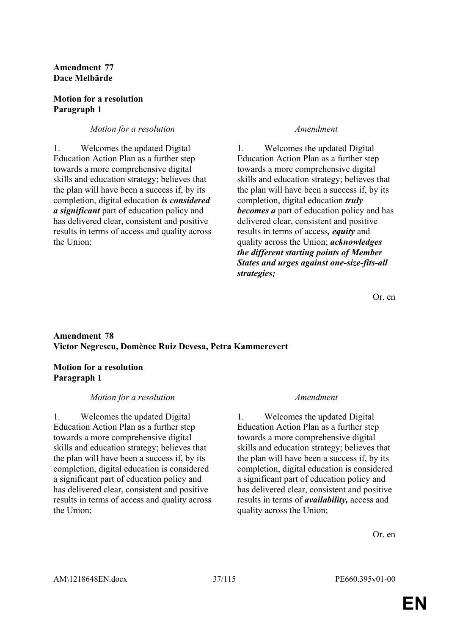# **Amendment 77 Dace Melbārde**

# **Motion for a resolution Paragraph 1**

# *Motion for a resolution Amendment*

1. Welcomes the updated Digital Education Action Plan as a further step towards a more comprehensive digital skills and education strategy; believes that the plan will have been a success if, by its completion, digital education *is considered a significant* part of education policy and has delivered clear, consistent and positive results in terms of access and quality across the Union;

1. Welcomes the updated Digital Education Action Plan as a further step towards a more comprehensive digital skills and education strategy; believes that the plan will have been a success if, by its completion, digital education *truly becomes a* part of education policy and has delivered clear, consistent and positive results in terms of access*, equity* and quality across the Union; *acknowledges the different starting points of Member States and urges against one-size-fits-all strategies;*

Or. en

# **Amendment 78 Victor Negrescu, Domènec Ruiz Devesa, Petra Kammerevert**

# **Motion for a resolution Paragraph 1**

# *Motion for a resolution Amendment*

1. Welcomes the updated Digital Education Action Plan as a further step towards a more comprehensive digital skills and education strategy; believes that the plan will have been a success if, by its completion, digital education is considered a significant part of education policy and has delivered clear, consistent and positive results in terms of access and quality across the Union;

1. Welcomes the updated Digital Education Action Plan as a further step towards a more comprehensive digital skills and education strategy; believes that the plan will have been a success if, by its completion, digital education is considered a significant part of education policy and has delivered clear, consistent and positive results in terms of *availability,* access and quality across the Union;

Or. en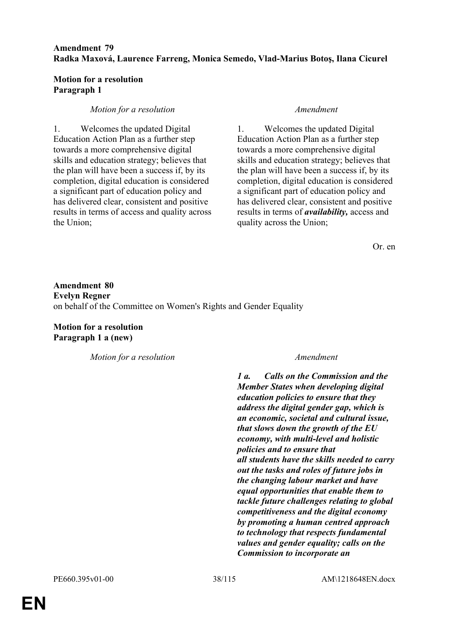# **Amendment 79 Radka Maxová, Laurence Farreng, Monica Semedo, Vlad-Marius Botoş, Ilana Cicurel**

### **Motion for a resolution Paragraph 1**

# *Motion for a resolution Amendment*

1. Welcomes the updated Digital Education Action Plan as a further step towards a more comprehensive digital skills and education strategy; believes that the plan will have been a success if, by its completion, digital education is considered a significant part of education policy and has delivered clear, consistent and positive results in terms of access and quality across the Union;

1. Welcomes the updated Digital Education Action Plan as a further step towards a more comprehensive digital skills and education strategy; believes that the plan will have been a success if, by its completion, digital education is considered a significant part of education policy and has delivered clear, consistent and positive results in terms of *availability,* access and quality across the Union;

Or. en

**Amendment 80 Evelyn Regner** on behalf of the Committee on Women's Rights and Gender Equality

**Motion for a resolution Paragraph 1 a (new)**

*Motion for a resolution Amendment*

*1 a. Calls on the Commission and the Member States when developing digital education policies to ensure that they address the digital gender gap, which is an economic, societal and cultural issue, that slows down the growth of the EU economy, with multi-level and holistic policies and to ensure that all students have the skills needed to carry out the tasks and roles of future jobs in the changing labour market and have equal opportunities that enable them to tackle future challenges relating to global competitiveness and the digital economy by promoting a human centred approach to technology that respects fundamental values and gender equality; calls on the Commission to incorporate an*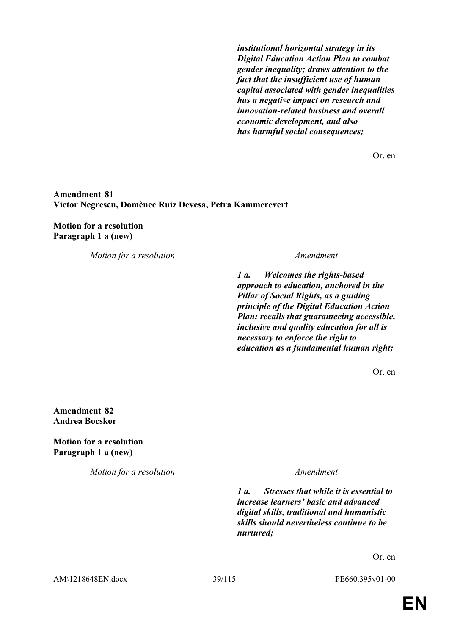*institutional horizontal strategy in its Digital Education Action Plan to combat gender inequality; draws attention to the fact that the insufficient use of human capital associated with gender inequalities has a negative impact on research and innovation-related business and overall economic development, and also has harmful social consequences;*

Or. en

### **Amendment 81 Victor Negrescu, Domènec Ruiz Devesa, Petra Kammerevert**

### **Motion for a resolution Paragraph 1 a (new)**

*Motion for a resolution Amendment*

*1 a. Welcomes the rights-based approach to education, anchored in the Pillar of Social Rights, as a guiding principle of the Digital Education Action Plan; recalls that guaranteeing accessible, inclusive and quality education for all is necessary to enforce the right to education as a fundamental human right;*

Or. en

**Amendment 82 Andrea Bocskor**

**Motion for a resolution Paragraph 1 a (new)**

*Motion for a resolution Amendment*

*1 a. Stresses that while it is essential to increase learners' basic and advanced digital skills, traditional and humanistic skills should nevertheless continue to be nurtured;*

Or. en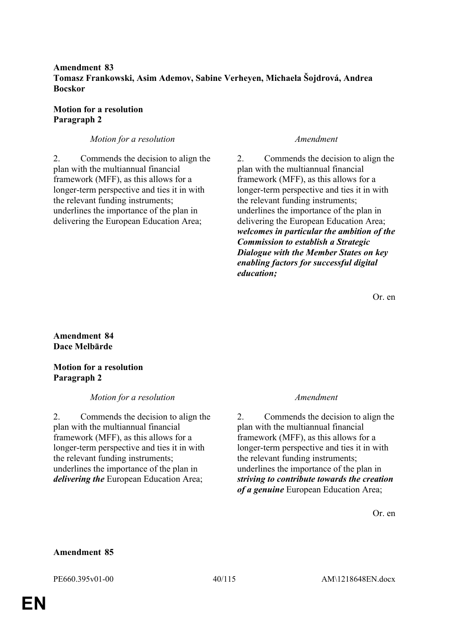# **Amendment 83 Tomasz Frankowski, Asim Ademov, Sabine Verheyen, Michaela Šojdrová, Andrea Bocskor**

# **Motion for a resolution Paragraph 2**

# *Motion for a resolution Amendment*

2. Commends the decision to align the plan with the multiannual financial framework (MFF), as this allows for a longer-term perspective and ties it in with the relevant funding instruments; underlines the importance of the plan in delivering the European Education Area;

2. Commends the decision to align the plan with the multiannual financial framework (MFF), as this allows for a longer-term perspective and ties it in with the relevant funding instruments; underlines the importance of the plan in delivering the European Education Area; *welcomes in particular the ambition of the Commission to establish a Strategic Dialogue with the Member States on key enabling factors for successful digital education;*

Or. en

# **Amendment 84 Dace Melbārde**

# **Motion for a resolution Paragraph 2**

# *Motion for a resolution Amendment*

2. Commends the decision to align the plan with the multiannual financial framework (MFF), as this allows for a longer-term perspective and ties it in with the relevant funding instruments; underlines the importance of the plan in *delivering the* European Education Area;

2. Commends the decision to align the plan with the multiannual financial framework (MFF), as this allows for a longer-term perspective and ties it in with the relevant funding instruments; underlines the importance of the plan in *striving to contribute towards the creation of a genuine* European Education Area;

Or. en

# **Amendment 85**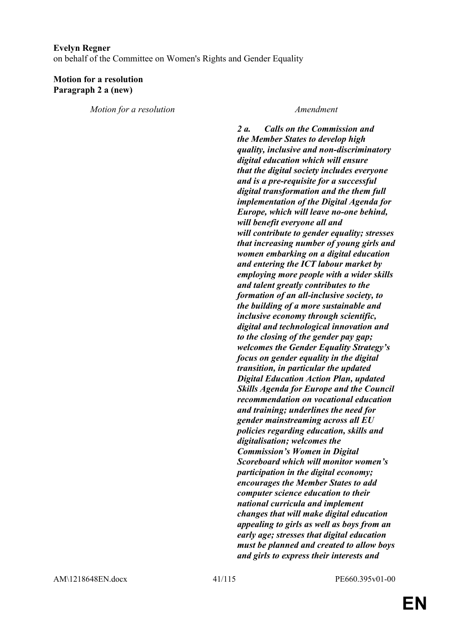### **Evelyn Regner**

on behalf of the Committee on Women's Rights and Gender Equality

### **Motion for a resolution Paragraph 2 a (new)**

*Motion for a resolution Amendment*

*2 a. Calls on the Commission and the Member States to develop high quality, inclusive and non-discriminatory digital education which will ensure that the digital society includes everyone and is a pre-requisite for a successful digital transformation and the them full implementation of the Digital Agenda for Europe, which will leave no-one behind, will benefit everyone all and will contribute to gender equality; stresses that increasing number of young girls and women embarking on a digital education and entering the ICT labour market by employing more people with a wider skills and talent greatly contributes to the formation of an all-inclusive society, to the building of a more sustainable and inclusive economy through scientific, digital and technological innovation and to the closing of the gender pay gap; welcomes the Gender Equality Strategy's focus on gender equality in the digital transition, in particular the updated Digital Education Action Plan, updated Skills Agenda for Europe and the Council recommendation on vocational education and training; underlines the need for gender mainstreaming across all EU policies regarding education, skills and digitalisation; welcomes the Commission's Women in Digital Scoreboard which will monitor women's participation in the digital economy; encourages the Member States to add computer science education to their national curricula and implement changes that will make digital education appealing to girls as well as boys from an early age; stresses that digital education must be planned and created to allow boys and girls to express their interests and*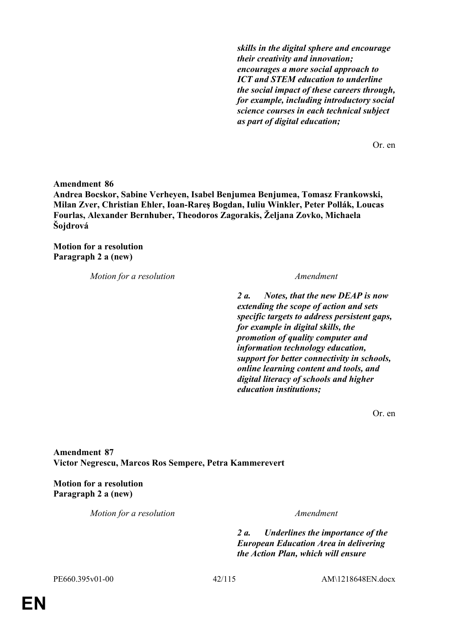*skills in the digital sphere and encourage their creativity and innovation; encourages a more social approach to ICT and STEM education to underline the social impact of these careers through, for example, including introductory social science courses in each technical subject as part of digital education;*

Or. en

**Amendment 86 Andrea Bocskor, Sabine Verheyen, Isabel Benjumea Benjumea, Tomasz Frankowski, Milan Zver, Christian Ehler, Ioan-Rareş Bogdan, Iuliu Winkler, Peter Pollák, Loucas Fourlas, Alexander Bernhuber, Theodoros Zagorakis, Željana Zovko, Michaela Šojdrová**

**Motion for a resolution Paragraph 2 a (new)**

*Motion for a resolution Amendment*

*2 a. Notes, that the new DEAP is now extending the scope of action and sets specific targets to address persistent gaps, for example in digital skills, the promotion of quality computer and information technology education, support for better connectivity in schools, online learning content and tools, and digital literacy of schools and higher education institutions;*

Or. en

**Amendment 87 Victor Negrescu, Marcos Ros Sempere, Petra Kammerevert**

**Motion for a resolution Paragraph 2 a (new)**

*Motion for a resolution Amendment*

*2 a. Underlines the importance of the European Education Area in delivering the Action Plan, which will ensure*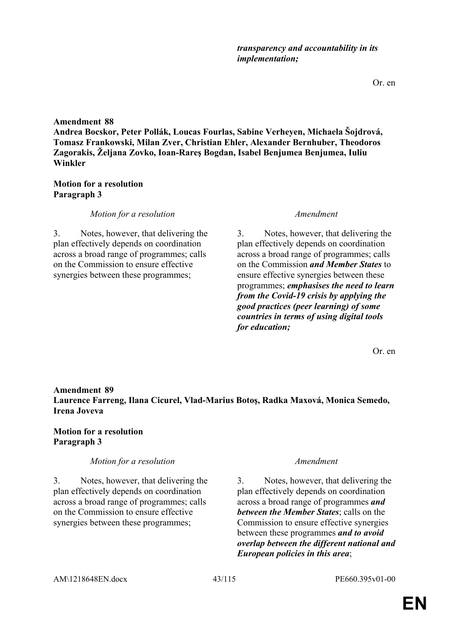3. Notes, however, that delivering the plan effectively depends on coordination across a broad range of programmes *and between the Member States*; calls on the Commission to ensure effective synergies between these programmes *and to avoid overlap between the different national and European policies in this area*;

**Laurence Farreng, Ilana Cicurel, Vlad-Marius Botoş, Radka Maxová, Monica Semedo, Irena Joveva**

# **Motion for a resolution Paragraph 3**

*Motion for a resolution Amendment*

3. Notes, however, that delivering the plan effectively depends on coordination across a broad range of programmes; calls on the Commission to ensure effective synergies between these programmes;

**Amendment 89**

# 3. Notes, however, that delivering the plan effectively depends on coordination

**Motion for a resolution**

**Amendment 88**

**Paragraph 3**

across a broad range of programmes; calls on the Commission to ensure effective synergies between these programmes;

# *Motion for a resolution Amendment*

3. Notes, however, that delivering the plan effectively depends on coordination across a broad range of programmes; calls on the Commission *and Member States* to ensure effective synergies between these programmes; *emphasises the need to learn from the Covid-19 crisis by applying the good practices (peer learning) of some countries in terms of using digital tools for education;*

**Andrea Bocskor, Peter Pollák, Loucas Fourlas, Sabine Verheyen, Michaela Šojdrová, Tomasz Frankowski, Milan Zver, Christian Ehler, Alexander Bernhuber, Theodoros Zagorakis, Željana Zovko, Ioan-Rareş Bogdan, Isabel Benjumea Benjumea, Iuliu Winkler**

# *transparency and accountability in its implementation;*

Or. en

Or. en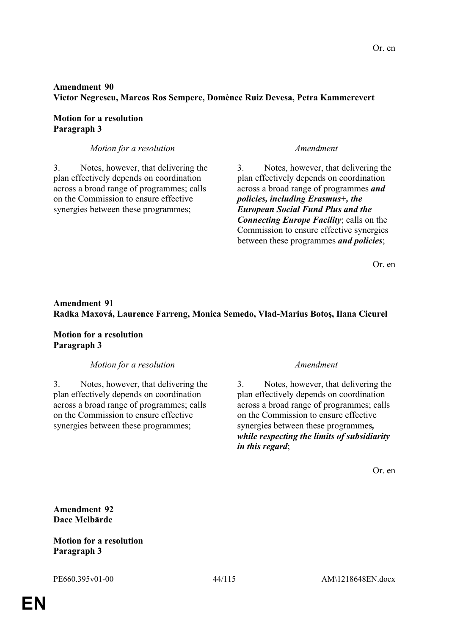# **Amendment 90 Victor Negrescu, Marcos Ros Sempere, Domènec Ruiz Devesa, Petra Kammerevert**

# **Motion for a resolution Paragraph 3**

# *Motion for a resolution Amendment*

3. Notes, however, that delivering the plan effectively depends on coordination across a broad range of programmes; calls on the Commission to ensure effective synergies between these programmes;

3. Notes, however, that delivering the plan effectively depends on coordination across a broad range of programmes *and policies, including Erasmus+, the European Social Fund Plus and the Connecting Europe Facility*; calls on the Commission to ensure effective synergies between these programmes *and policies*;

Or. en

# **Amendment 91 Radka Maxová, Laurence Farreng, Monica Semedo, Vlad-Marius Botoş, Ilana Cicurel**

**Motion for a resolution Paragraph 3**

# *Motion for a resolution Amendment*

3. Notes, however, that delivering the plan effectively depends on coordination across a broad range of programmes; calls on the Commission to ensure effective synergies between these programmes;

3. Notes, however, that delivering the plan effectively depends on coordination across a broad range of programmes; calls on the Commission to ensure effective synergies between these programmes*, while respecting the limits of subsidiarity in this regard*;

Or. en

**Amendment 92 Dace Melbārde**

# **Motion for a resolution Paragraph 3**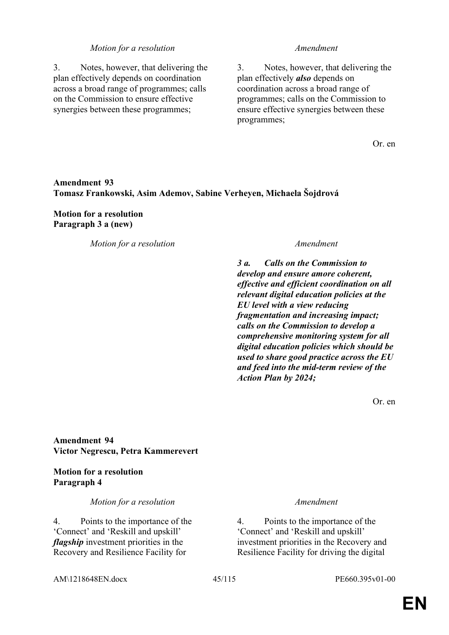3. Notes, however, that delivering the plan effectively depends on coordination across a broad range of programmes; calls on the Commission to ensure effective synergies between these programmes;

3. Notes, however, that delivering the plan effectively *also* depends on coordination across a broad range of programmes; calls on the Commission to ensure effective synergies between these programmes;

Or. en

# **Amendment 93 Tomasz Frankowski, Asim Ademov, Sabine Verheyen, Michaela Šojdrová**

### **Motion for a resolution Paragraph 3 a (new)**

*Motion for a resolution Amendment* 

*3 a. Calls on the Commission to develop and ensure amore coherent, effective and efficient coordination on all relevant digital education policies at the EU level with a view reducing fragmentation and increasing impact; calls on the Commission to develop a comprehensive monitoring system for all digital education policies which should be used to share good practice across the EU and feed into the mid-term review of the Action Plan by 2024;*

Or. en

**Amendment 94 Victor Negrescu, Petra Kammerevert**

### **Motion for a resolution Paragraph 4**

*Motion for a resolution Amendment*

4. Points to the importance of the 'Connect' and 'Reskill and upskill' *flagship* investment priorities in the Recovery and Resilience Facility for

4. Points to the importance of the 'Connect' and 'Reskill and upskill' investment priorities in the Recovery and Resilience Facility for driving the digital

AM\1218648EN.docx 45/115 PE660.395v01-00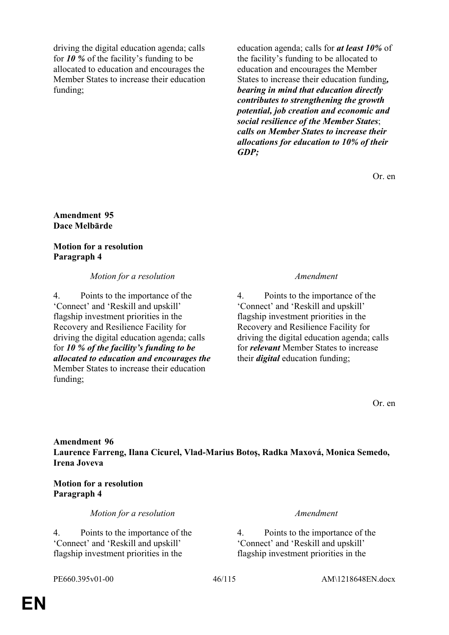driving the digital education agenda; calls for *10 %* of the facility's funding to be allocated to education and encourages the Member States to increase their education funding;

education agenda; calls for *at least 10%* of the facility's funding to be allocated to education and encourages the Member States to increase their education funding*, bearing in mind that education directly contributes to strengthening the growth potential, job creation and economic and social resilience of the Member States*; *calls on Member States to increase their allocations for education to 10% of their GDP;*

Or. en

### **Amendment 95 Dace Melbārde**

# **Motion for a resolution Paragraph 4**

# *Motion for a resolution Amendment*

4. Points to the importance of the 'Connect' and 'Reskill and upskill' flagship investment priorities in the Recovery and Resilience Facility for driving the digital education agenda; calls for *10 % of the facility's funding to be allocated to education and encourages the* Member States to increase their education funding;

4. Points to the importance of the 'Connect' and 'Reskill and upskill' flagship investment priorities in the Recovery and Resilience Facility for driving the digital education agenda; calls for *relevant* Member States to increase their *digital* education funding;

Or. en

**Amendment 96 Laurence Farreng, Ilana Cicurel, Vlad-Marius Botoş, Radka Maxová, Monica Semedo, Irena Joveva**

# **Motion for a resolution Paragraph 4**

*Motion for a resolution Amendment*

4. Points to the importance of the 'Connect' and 'Reskill and upskill' flagship investment priorities in the

4. Points to the importance of the 'Connect' and 'Reskill and upskill' flagship investment priorities in the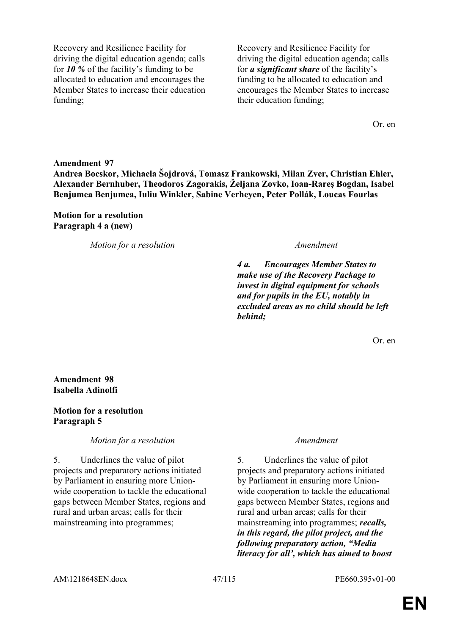Recovery and Resilience Facility for driving the digital education agenda; calls for *10 %* of the facility's funding to be allocated to education and encourages the Member States to increase their education funding;

Recovery and Resilience Facility for driving the digital education agenda; calls for *a significant share* of the facility's funding to be allocated to education and encourages the Member States to increase their education funding;

Or. en

**Amendment 97 Andrea Bocskor, Michaela Šojdrová, Tomasz Frankowski, Milan Zver, Christian Ehler, Alexander Bernhuber, Theodoros Zagorakis, Željana Zovko, Ioan-Rareş Bogdan, Isabel Benjumea Benjumea, Iuliu Winkler, Sabine Verheyen, Peter Pollák, Loucas Fourlas**

### **Motion for a resolution Paragraph 4 a (new)**

*Motion for a resolution Amendment*

*4 a. Encourages Member States to make use of the Recovery Package to invest in digital equipment for schools and for pupils in the EU, notably in excluded areas as no child should be left behind;*

Or. en

**Amendment 98 Isabella Adinolfi**

### **Motion for a resolution Paragraph 5**

*Motion for a resolution Amendment*

5. Underlines the value of pilot projects and preparatory actions initiated by Parliament in ensuring more Unionwide cooperation to tackle the educational gaps between Member States, regions and rural and urban areas; calls for their mainstreaming into programmes;

5. Underlines the value of pilot projects and preparatory actions initiated by Parliament in ensuring more Unionwide cooperation to tackle the educational gaps between Member States, regions and rural and urban areas; calls for their mainstreaming into programmes; *recalls, in this regard, the pilot project, and the following preparatory action, "Media literacy for all', which has aimed to boost*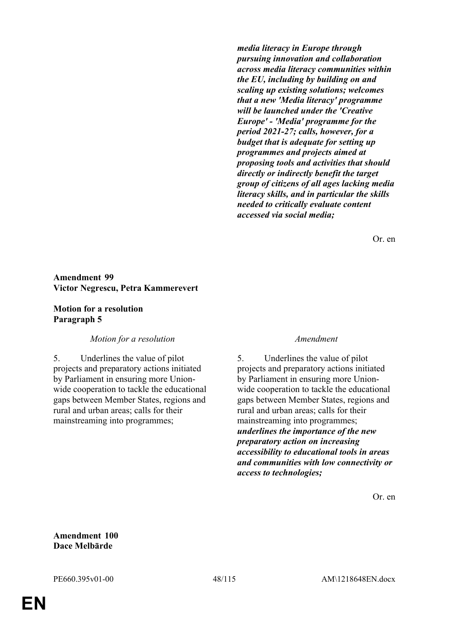*media literacy in Europe through pursuing innovation and collaboration across media literacy communities within the EU, including by building on and scaling up existing solutions; welcomes that a new 'Media literacy' programme will be launched under the 'Creative Europe' - 'Media' programme for the period 2021-27; calls, however, for a budget that is adequate for setting up programmes and projects aimed at proposing tools and activities that should directly or indirectly benefit the target group of citizens of all ages lacking media literacy skills, and in particular the skills needed to critically evaluate content accessed via social media;*

Or. en

### **Amendment 99 Victor Negrescu, Petra Kammerevert**

### **Motion for a resolution Paragraph 5**

### *Motion for a resolution Amendment*

5. Underlines the value of pilot projects and preparatory actions initiated by Parliament in ensuring more Unionwide cooperation to tackle the educational gaps between Member States, regions and rural and urban areas; calls for their mainstreaming into programmes;

5. Underlines the value of pilot projects and preparatory actions initiated by Parliament in ensuring more Unionwide cooperation to tackle the educational gaps between Member States, regions and rural and urban areas; calls for their mainstreaming into programmes; *underlines the importance of the new preparatory action on increasing accessibility to educational tools in areas and communities with low connectivity or access to technologies;*

Or. en

**Amendment 100 Dace Melbārde**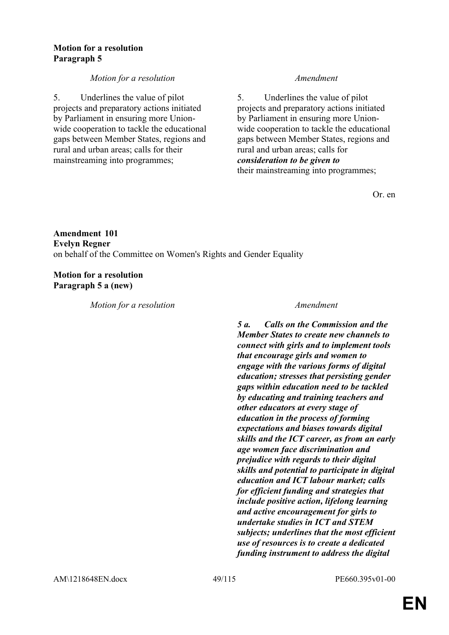### **Motion for a resolution Paragraph 5**

# *Motion for a resolution Amendment*

5. Underlines the value of pilot projects and preparatory actions initiated by Parliament in ensuring more Unionwide cooperation to tackle the educational gaps between Member States, regions and rural and urban areas; calls for their mainstreaming into programmes;

5. Underlines the value of pilot projects and preparatory actions initiated by Parliament in ensuring more Unionwide cooperation to tackle the educational gaps between Member States, regions and rural and urban areas; calls for *consideration to be given to* their mainstreaming into programmes;

Or. en

# **Amendment 101 Evelyn Regner** on behalf of the Committee on Women's Rights and Gender Equality

**Motion for a resolution Paragraph 5 a (new)**

*Motion for a resolution Amendment*

*5 a. Calls on the Commission and the Member States to create new channels to connect with girls and to implement tools that encourage girls and women to engage with the various forms of digital education; stresses that persisting gender gaps within education need to be tackled by educating and training teachers and other educators at every stage of education in the process of forming expectations and biases towards digital skills and the ICT career, as from an early age women face discrimination and prejudice with regards to their digital skills and potential to participate in digital education and ICT labour market; calls for efficient funding and strategies that include positive action, lifelong learning and active encouragement for girls to undertake studies in ICT and STEM subjects; underlines that the most efficient use of resources is to create a dedicated funding instrument to address the digital*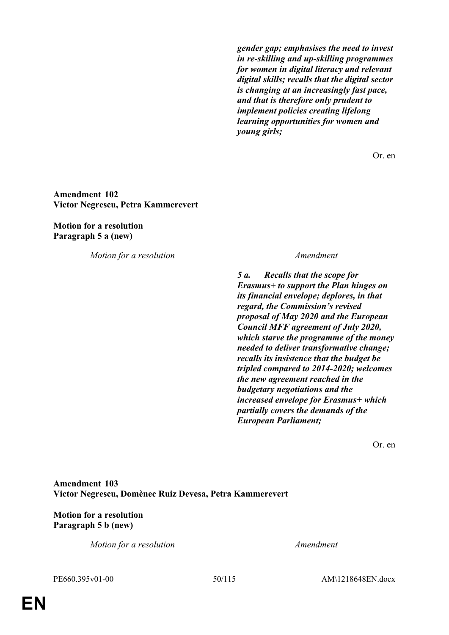*gender gap; emphasises the need to invest in re-skilling and up-skilling programmes for women in digital literacy and relevant digital skills; recalls that the digital sector is changing at an increasingly fast pace, and that is therefore only prudent to implement policies creating lifelong learning opportunities for women and young girls;*

Or. en

### **Amendment 102 Victor Negrescu, Petra Kammerevert**

**Motion for a resolution Paragraph 5 a (new)**

*Motion for a resolution Amendment*

*5 a. Recalls that the scope for Erasmus+ to support the Plan hinges on its financial envelope; deplores, in that regard, the Commission's revised proposal of May 2020 and the European Council MFF agreement of July 2020, which starve the programme of the money needed to deliver transformative change; recalls its insistence that the budget be tripled compared to 2014-2020; welcomes the new agreement reached in the budgetary negotiations and the increased envelope for Erasmus+ which partially covers the demands of the European Parliament;*

Or. en

**Amendment 103 Victor Negrescu, Domènec Ruiz Devesa, Petra Kammerevert**

# **Motion for a resolution Paragraph 5 b (new)**

*Motion for a resolution Amendment*

PE660.395v01-00 50/115 AM\1218648EN.docx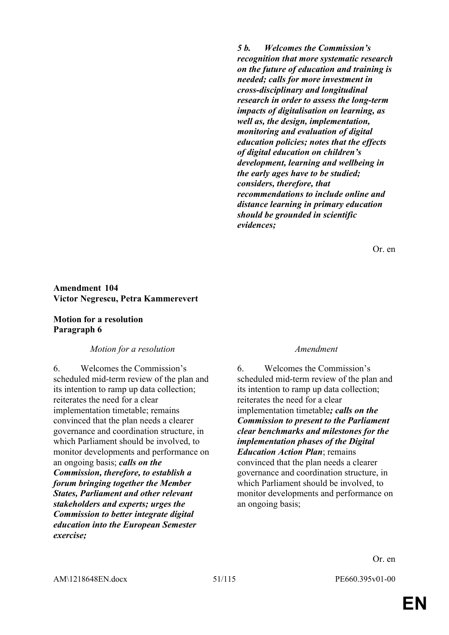*5 b. Welcomes the Commission's recognition that more systematic research on the future of education and training is needed; calls for more investment in cross-disciplinary and longitudinal research in order to assess the long-term impacts of digitalisation on learning, as well as, the design, implementation, monitoring and evaluation of digital education policies; notes that the effects of digital education on children's development, learning and wellbeing in the early ages have to be studied; considers, therefore, that recommendations to include online and distance learning in primary education should be grounded in scientific evidences;*

Or. en

### **Amendment 104 Victor Negrescu, Petra Kammerevert**

### **Motion for a resolution Paragraph 6**

### *Motion for a resolution Amendment*

6. Welcomes the Commission's scheduled mid-term review of the plan and its intention to ramp up data collection; reiterates the need for a clear implementation timetable; remains convinced that the plan needs a clearer governance and coordination structure, in which Parliament should be involved, to monitor developments and performance on an ongoing basis; *calls on the Commission, therefore, to establish a forum bringing together the Member States, Parliament and other relevant stakeholders and experts; urges the Commission to better integrate digital education into the European Semester exercise;*

6. Welcomes the Commission's scheduled mid-term review of the plan and its intention to ramp up data collection; reiterates the need for a clear implementation timetable*; calls on the Commission to present to the Parliament clear benchmarks and milestones for the implementation phases of the Digital Education Action Plan*; remains convinced that the plan needs a clearer governance and coordination structure, in which Parliament should be involved, to monitor developments and performance on an ongoing basis;

Or. en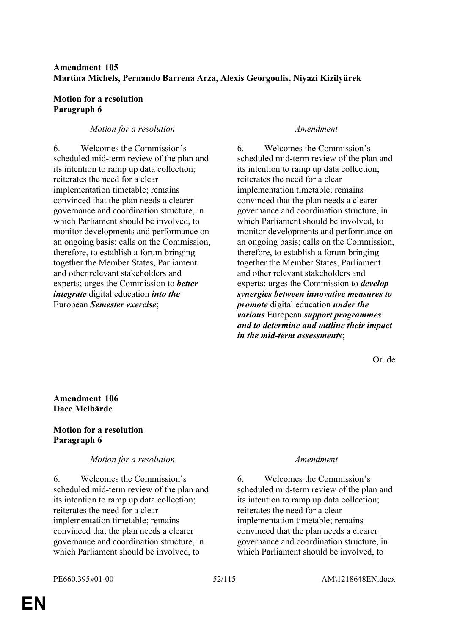# **Amendment 105 Martina Michels, Pernando Barrena Arza, Alexis Georgoulis, Niyazi Kizilyürek**

### **Motion for a resolution Paragraph 6**

# *Motion for a resolution Amendment*

6. Welcomes the Commission's scheduled mid-term review of the plan and its intention to ramp up data collection; reiterates the need for a clear implementation timetable; remains convinced that the plan needs a clearer governance and coordination structure, in which Parliament should be involved, to monitor developments and performance on an ongoing basis; calls on the Commission, therefore, to establish a forum bringing together the Member States, Parliament and other relevant stakeholders and experts; urges the Commission to *better integrate* digital education *into the* European *Semester exercise*;

6. Welcomes the Commission's scheduled mid-term review of the plan and its intention to ramp up data collection; reiterates the need for a clear implementation timetable; remains convinced that the plan needs a clearer governance and coordination structure, in which Parliament should be involved, to monitor developments and performance on an ongoing basis; calls on the Commission, therefore, to establish a forum bringing together the Member States, Parliament and other relevant stakeholders and experts; urges the Commission to *develop synergies between innovative measures to promote* digital education *under the various* European *support programmes and to determine and outline their impact in the mid-term assessments*;

Or. de

# **Amendment 106 Dace Melbārde**

# **Motion for a resolution Paragraph 6**

### *Motion for a resolution Amendment*

6. Welcomes the Commission's scheduled mid-term review of the plan and its intention to ramp up data collection; reiterates the need for a clear implementation timetable; remains convinced that the plan needs a clearer governance and coordination structure, in which Parliament should be involved, to

6. Welcomes the Commission's scheduled mid-term review of the plan and its intention to ramp up data collection; reiterates the need for a clear implementation timetable; remains convinced that the plan needs a clearer governance and coordination structure, in which Parliament should be involved, to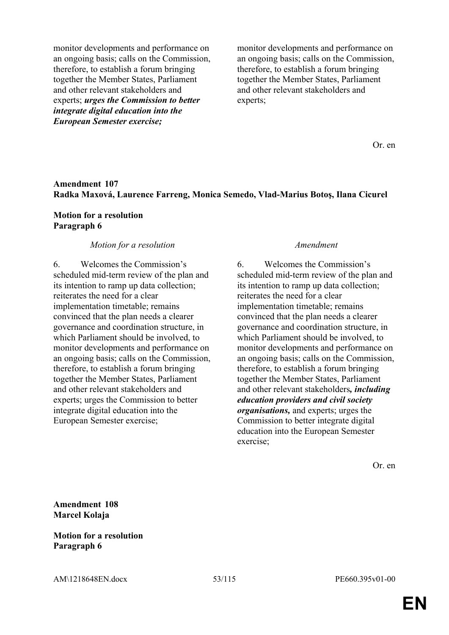monitor developments and performance on an ongoing basis; calls on the Commission, therefore, to establish a forum bringing together the Member States, Parliament and other relevant stakeholders and experts; *urges the Commission to better integrate digital education into the European Semester exercise;*

monitor developments and performance on an ongoing basis; calls on the Commission, therefore, to establish a forum bringing together the Member States, Parliament and other relevant stakeholders and experts;

Or. en

### **Amendment 107 Radka Maxová, Laurence Farreng, Monica Semedo, Vlad-Marius Botoş, Ilana Cicurel**

### **Motion for a resolution Paragraph 6**

### *Motion for a resolution Amendment*

6. Welcomes the Commission's scheduled mid-term review of the plan and its intention to ramp up data collection; reiterates the need for a clear implementation timetable; remains convinced that the plan needs a clearer governance and coordination structure, in which Parliament should be involved, to monitor developments and performance on an ongoing basis; calls on the Commission, therefore, to establish a forum bringing together the Member States, Parliament and other relevant stakeholders and experts; urges the Commission to better integrate digital education into the European Semester exercise;

6. Welcomes the Commission's scheduled mid-term review of the plan and its intention to ramp up data collection; reiterates the need for a clear implementation timetable; remains convinced that the plan needs a clearer governance and coordination structure, in which Parliament should be involved, to monitor developments and performance on an ongoing basis; calls on the Commission, therefore, to establish a forum bringing together the Member States, Parliament and other relevant stakeholders*, including education providers and civil society organisations,* and experts; urges the Commission to better integrate digital education into the European Semester exercise;

Or. en

**Amendment 108 Marcel Kolaja**

### **Motion for a resolution Paragraph 6**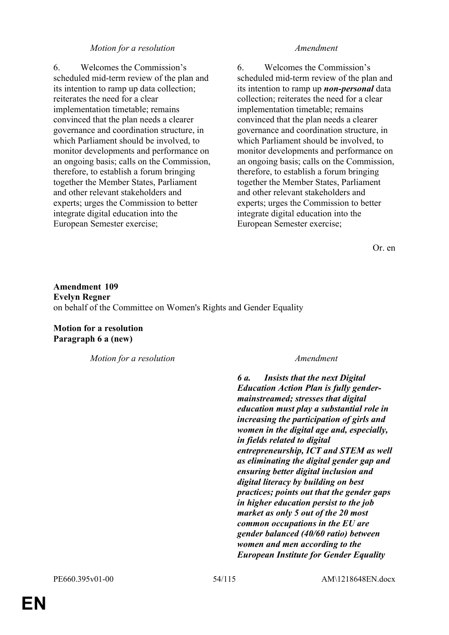6. Welcomes the Commission's scheduled mid-term review of the plan and its intention to ramp up data collection; reiterates the need for a clear implementation timetable; remains convinced that the plan needs a clearer governance and coordination structure, in which Parliament should be involved, to monitor developments and performance on an ongoing basis; calls on the Commission, therefore, to establish a forum bringing together the Member States, Parliament and other relevant stakeholders and experts; urges the Commission to better integrate digital education into the European Semester exercise;

6. Welcomes the Commission's scheduled mid-term review of the plan and its intention to ramp up *non-personal* data collection; reiterates the need for a clear implementation timetable; remains convinced that the plan needs a clearer governance and coordination structure, in which Parliament should be involved, to monitor developments and performance on an ongoing basis; calls on the Commission, therefore, to establish a forum bringing together the Member States, Parliament and other relevant stakeholders and experts; urges the Commission to better integrate digital education into the European Semester exercise;

Or. en

**Amendment 109 Evelyn Regner** on behalf of the Committee on Women's Rights and Gender Equality

**Motion for a resolution Paragraph 6 a (new)**

*Motion for a resolution Amendment*

*6 a. Insists that the next Digital Education Action Plan is fully gendermainstreamed; stresses that digital education must play a substantial role in increasing the participation of girls and women in the digital age and, especially, in fields related to digital entrepreneurship, ICT and STEM as well as eliminating the digital gender gap and ensuring better digital inclusion and digital literacy by building on best practices; points out that the gender gaps in higher education persist to the job market as only 5 out of the 20 most common occupations in the EU are gender balanced (40/60 ratio) between women and men according to the European Institute for Gender Equality*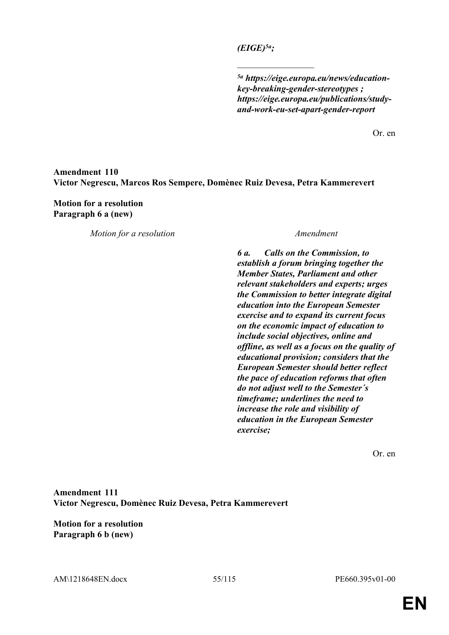*(EIGE)5a;*

 $\frac{1}{2}$ 

*5a https://eige.europa.eu/news/educationkey-breaking-gender-stereotypes ; https://eige.europa.eu/publications/studyand-work-eu-set-apart-gender-report*

Or. en

# **Amendment 110 Victor Negrescu, Marcos Ros Sempere, Domènec Ruiz Devesa, Petra Kammerevert**

**Motion for a resolution Paragraph 6 a (new)**

*Motion for a resolution Amendment*

*6 a. Calls on the Commission, to establish a forum bringing together the Member States, Parliament and other relevant stakeholders and experts; urges the Commission to better integrate digital education into the European Semester exercise and to expand its current focus on the economic impact of education to include social objectives, online and offline, as well as a focus on the quality of educational provision; considers that the European Semester should better reflect the pace of education reforms that often do not adjust well to the Semester´s timeframe; underlines the need to increase the role and visibility of education in the European Semester exercise;*

Or. en

**Amendment 111 Victor Negrescu, Domènec Ruiz Devesa, Petra Kammerevert**

**Motion for a resolution Paragraph 6 b (new)**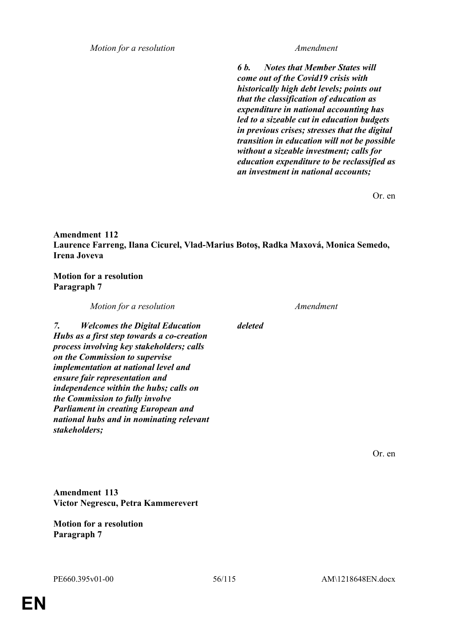*6 b. Notes that Member States will come out of the Covid19 crisis with historically high debt levels; points out that the classification of education as expenditure in national accounting has led to a sizeable cut in education budgets in previous crises; stresses that the digital transition in education will not be possible without a sizeable investment; calls for education expenditure to be reclassified as an investment in national accounts;*

Or. en

# **Amendment 112 Laurence Farreng, Ilana Cicurel, Vlad-Marius Botoş, Radka Maxová, Monica Semedo, Irena Joveva**

**Motion for a resolution Paragraph 7**

|    | Motion for a resolution                                                                                                                                                                                                                                                                                                                                                                                                                            |         | Amendment |
|----|----------------------------------------------------------------------------------------------------------------------------------------------------------------------------------------------------------------------------------------------------------------------------------------------------------------------------------------------------------------------------------------------------------------------------------------------------|---------|-----------|
| 7. | <b>Welcomes the Digital Education</b><br>Hubs as a first step towards a co-creation<br>process involving key stakeholders; calls<br>on the Commission to supervise<br><i>implementation at national level and</i><br>ensure fair representation and<br><i>independence within the hubs; calls on</i><br>the Commission to fully involve<br><b>Parliament in creating European and</b><br>national hubs and in nominating relevant<br>stakeholders; | deleted |           |
|    | <b>Amendment 113</b><br>Victor Negrescu, Petra Kammerevert                                                                                                                                                                                                                                                                                                                                                                                         |         |           |

**Motion for a resolution Paragraph 7**

Or. en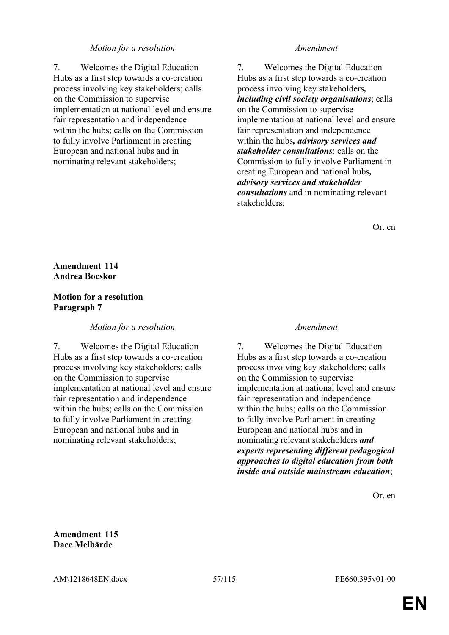7. Welcomes the Digital Education Hubs as a first step towards a co-creation process involving key stakeholders; calls on the Commission to supervise implementation at national level and ensure fair representation and independence within the hubs; calls on the Commission to fully involve Parliament in creating European and national hubs and in nominating relevant stakeholders;

7. Welcomes the Digital Education Hubs as a first step towards a co-creation process involving key stakeholders*, including civil society organisations*; calls on the Commission to supervise implementation at national level and ensure fair representation and independence within the hubs*, advisory services and stakeholder consultations*; calls on the Commission to fully involve Parliament in creating European and national hubs*, advisory services and stakeholder consultations* and in nominating relevant stakeholders;

Or. en

# **Amendment 114 Andrea Bocskor**

# **Motion for a resolution Paragraph 7**

### *Motion for a resolution Amendment*

7. Welcomes the Digital Education Hubs as a first step towards a co-creation process involving key stakeholders; calls on the Commission to supervise implementation at national level and ensure fair representation and independence within the hubs; calls on the Commission to fully involve Parliament in creating European and national hubs and in nominating relevant stakeholders;

7. Welcomes the Digital Education Hubs as a first step towards a co-creation process involving key stakeholders; calls on the Commission to supervise implementation at national level and ensure fair representation and independence within the hubs; calls on the Commission to fully involve Parliament in creating European and national hubs and in nominating relevant stakeholders *and experts representing different pedagogical approaches to digital education from both inside and outside mainstream education*;

Or. en

**Amendment 115 Dace Melbārde**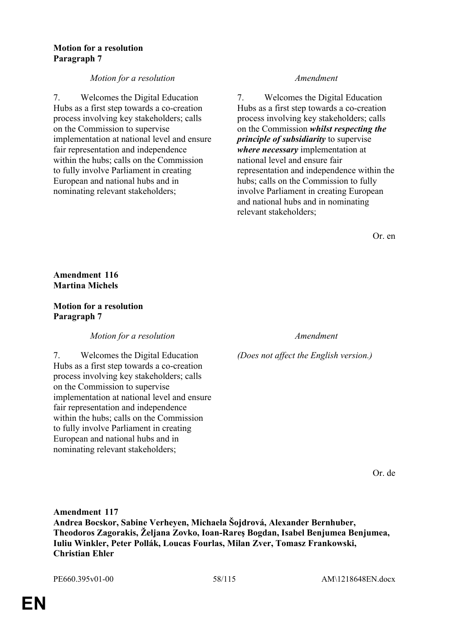### **Motion for a resolution Paragraph 7**

# *Motion for a resolution Amendment*

7. Welcomes the Digital Education Hubs as a first step towards a co-creation process involving key stakeholders; calls on the Commission to supervise implementation at national level and ensure fair representation and independence within the hubs; calls on the Commission to fully involve Parliament in creating European and national hubs and in nominating relevant stakeholders;

7. Welcomes the Digital Education Hubs as a first step towards a co-creation process involving key stakeholders; calls on the Commission *whilst respecting the principle of subsidiarity* to supervise *where necessary* implementation at national level and ensure fair representation and independence within the hubs; calls on the Commission to fully involve Parliament in creating European and national hubs and in nominating relevant stakeholders;

Or. en

# **Amendment 116 Martina Michels**

# **Motion for a resolution Paragraph 7**

*Motion for a resolution Amendment*

7. Welcomes the Digital Education Hubs as a first step towards a co-creation process involving key stakeholders; calls on the Commission to supervise implementation at national level and ensure fair representation and independence within the hubs; calls on the Commission to fully involve Parliament in creating European and national hubs and in nominating relevant stakeholders;

*(Does not affect the English version.)*

Or. de

**Amendment 117 Andrea Bocskor, Sabine Verheyen, Michaela Šojdrová, Alexander Bernhuber, Theodoros Zagorakis, Željana Zovko, Ioan-Rareş Bogdan, Isabel Benjumea Benjumea, Iuliu Winkler, Peter Pollák, Loucas Fourlas, Milan Zver, Tomasz Frankowski, Christian Ehler**

PE660.395v01-00 58/115 AM\1218648EN.docx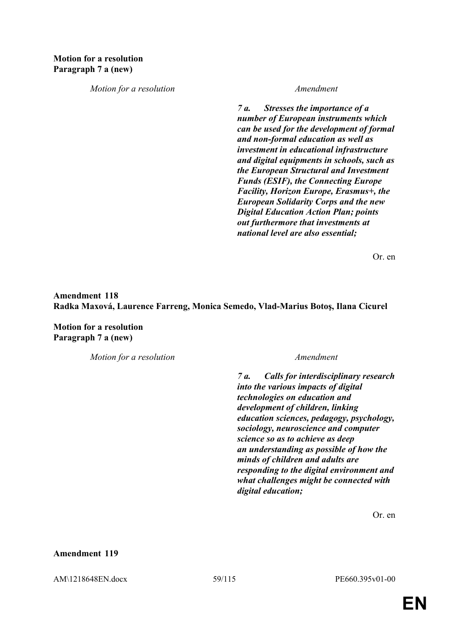*7 a. Stresses the importance of a number of European instruments which can be used for the development of formal and non-formal education as well as investment in educational infrastructure and digital equipments in schools, such as the European Structural and Investment Funds (ESIF), the Connecting Europe Facility, Horizon Europe, Erasmus+, the European Solidarity Corps and the new Digital Education Action Plan; points out furthermore that investments at national level are also essential;*

Or. en

**Amendment 118 Radka Maxová, Laurence Farreng, Monica Semedo, Vlad-Marius Botoş, Ilana Cicurel**

**Motion for a resolution Paragraph 7 a (new)**

*Motion for a resolution Amendment*

*7 a. Calls for interdisciplinary research into the various impacts of digital technologies on education and development of children, linking education sciences, pedagogy, psychology, sociology, neuroscience and computer science so as to achieve as deep an understanding as possible of how the minds of children and adults are responding to the digital environment and what challenges might be connected with digital education;*

Or. en

**Amendment 119**

AM\1218648EN.docx 59/115 PE660.395v01-00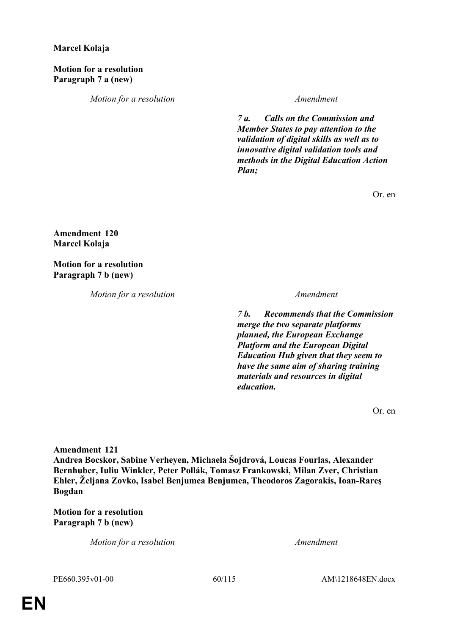# **Marcel Kolaja**

**Motion for a resolution Paragraph 7 a (new)**

*Motion for a resolution Amendment*

*7 a. Calls on the Commission and Member States to pay attention to the validation of digital skills as well as to innovative digital validation tools and methods in the Digital Education Action Plan;*

Or. en

**Amendment 120 Marcel Kolaja**

**Motion for a resolution Paragraph 7 b (new)**

*Motion for a resolution Amendment*

*7 b. Recommends that the Commission merge the two separate platforms planned, the European Exchange Platform and the European Digital Education Hub given that they seem to have the same aim of sharing training materials and resources in digital education.*

Or. en

**Amendment 121**

**Andrea Bocskor, Sabine Verheyen, Michaela Šojdrová, Loucas Fourlas, Alexander Bernhuber, Iuliu Winkler, Peter Pollák, Tomasz Frankowski, Milan Zver, Christian Ehler, Željana Zovko, Isabel Benjumea Benjumea, Theodoros Zagorakis, Ioan-Rareş Bogdan**

**Motion for a resolution Paragraph 7 b (new)**

*Motion for a resolution Amendment*

PE660.395v01-00 60/115 AM\1218648EN.docx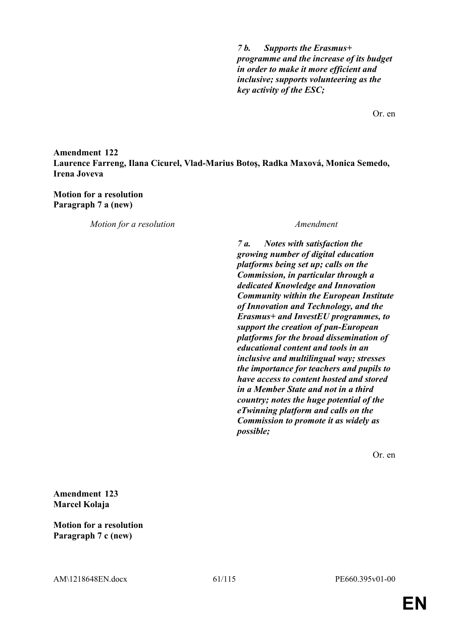*7 b. Supports the Erasmus+ programme and the increase of its budget in order to make it more efficient and inclusive; supports volunteering as the key activity of the ESC;*

Or. en

# **Amendment 122 Laurence Farreng, Ilana Cicurel, Vlad-Marius Botoş, Radka Maxová, Monica Semedo, Irena Joveva**

### **Motion for a resolution Paragraph 7 a (new)**

*Motion for a resolution Amendment*

*7 a. Notes with satisfaction the growing number of digital education platforms being set up; calls on the Commission, in particular through a dedicated Knowledge and Innovation Community within the European Institute of Innovation and Technology, and the Erasmus+ and InvestEU programmes, to support the creation of pan-European platforms for the broad dissemination of educational content and tools in an inclusive and multilingual way; stresses the importance for teachers and pupils to have access to content hosted and stored in a Member State and not in a third country; notes the huge potential of the eTwinning platform and calls on the Commission to promote it as widely as possible;*

Or. en

**Amendment 123 Marcel Kolaja**

**Motion for a resolution Paragraph 7 c (new)**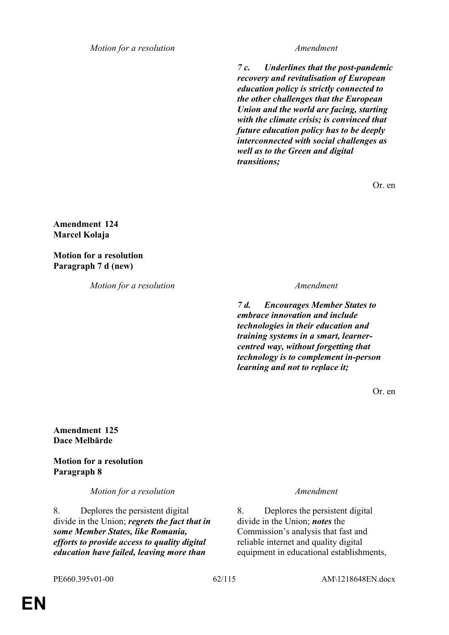*7 c. Underlines that the post-pandemic recovery and revitalisation of European education policy is strictly connected to the other challenges that the European Union and the world are facing, starting with the climate crisis; is convinced that future education policy has to be deeply interconnected with social challenges as well as to the Green and digital transitions;*

Or. en

**Amendment 124 Marcel Kolaja**

**Motion for a resolution Paragraph 7 d (new)**

*Motion for a resolution Amendment*

*7 d. Encourages Member States to embrace innovation and include technologies in their education and training systems in a smart, learnercentred way, without forgetting that technology is to complement in-person learning and not to replace it;*

Or. en

**Amendment 125 Dace Melbārde**

**Motion for a resolution Paragraph 8**

*Motion for a resolution Amendment*

8. Deplores the persistent digital divide in the Union; *regrets the fact that in some Member States, like Romania, efforts to provide access to quality digital education have failed, leaving more than* 

8. Deplores the persistent digital divide in the Union; *notes* the Commission's analysis that fast and reliable internet and quality digital equipment in educational establishments,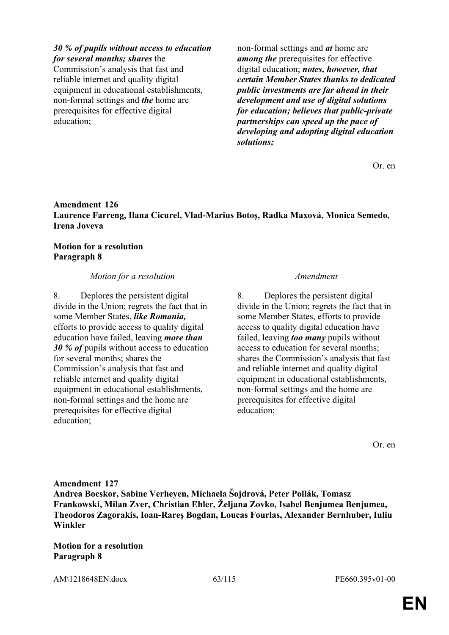### *30 % of pupils without access to education*

*for several months; shares* the Commission's analysis that fast and reliable internet and quality digital equipment in educational establishments, non-formal settings and *the* home are prerequisites for effective digital education;

non-formal settings and *at* home are *among the* prerequisites for effective digital education; *notes, however, that certain Member States thanks to dedicated public investments are far ahead in their development and use of digital solutions for education; believes that public-private partnerships can speed up the pace of developing and adopting digital education solutions;*

Or. en

# **Amendment 126 Laurence Farreng, Ilana Cicurel, Vlad-Marius Botoş, Radka Maxová, Monica Semedo, Irena Joveva**

# **Motion for a resolution Paragraph 8**

# *Motion for a resolution Amendment*

8. Deplores the persistent digital divide in the Union; regrets the fact that in some Member States, *like Romania,* efforts to provide access to quality digital education have failed, leaving *more than 30 % of* pupils without access to education for several months; shares the Commission's analysis that fast and reliable internet and quality digital equipment in educational establishments, non-formal settings and the home are prerequisites for effective digital education;

8. Deplores the persistent digital divide in the Union; regrets the fact that in some Member States, efforts to provide access to quality digital education have failed, leaving *too many* pupils without access to education for several months; shares the Commission's analysis that fast and reliable internet and quality digital equipment in educational establishments, non-formal settings and the home are prerequisites for effective digital education;

Or. en

**Amendment 127 Andrea Bocskor, Sabine Verheyen, Michaela Šojdrová, Peter Pollák, Tomasz Frankowski, Milan Zver, Christian Ehler, Željana Zovko, Isabel Benjumea Benjumea, Theodoros Zagorakis, Ioan-Rareş Bogdan, Loucas Fourlas, Alexander Bernhuber, Iuliu Winkler**

**Motion for a resolution Paragraph 8**

AM\1218648EN.docx 63/115 PE660.395v01-00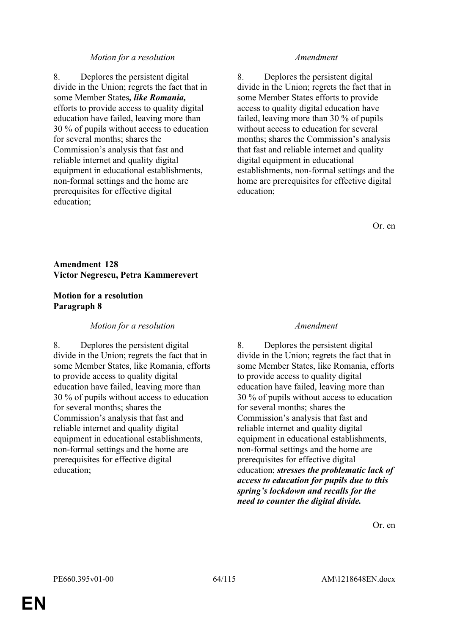8. Deplores the persistent digital divide in the Union; regrets the fact that in some Member States*, like Romania,* efforts to provide access to quality digital education have failed, leaving more than 30 % of pupils without access to education for several months; shares the Commission's analysis that fast and reliable internet and quality digital equipment in educational establishments, non-formal settings and the home are prerequisites for effective digital education;

8. Deplores the persistent digital divide in the Union; regrets the fact that in some Member States efforts to provide access to quality digital education have failed, leaving more than 30 % of pupils without access to education for several months; shares the Commission's analysis that fast and reliable internet and quality digital equipment in educational establishments, non-formal settings and the home are prerequisites for effective digital education;

Or. en

# **Amendment 128 Victor Negrescu, Petra Kammerevert**

### **Motion for a resolution Paragraph 8**

### *Motion for a resolution Amendment*

8. Deplores the persistent digital divide in the Union; regrets the fact that in some Member States, like Romania, efforts to provide access to quality digital education have failed, leaving more than 30 % of pupils without access to education for several months; shares the Commission's analysis that fast and reliable internet and quality digital equipment in educational establishments, non-formal settings and the home are prerequisites for effective digital education;

8. Deplores the persistent digital divide in the Union; regrets the fact that in some Member States, like Romania, efforts to provide access to quality digital education have failed, leaving more than 30 % of pupils without access to education for several months; shares the Commission's analysis that fast and reliable internet and quality digital equipment in educational establishments, non-formal settings and the home are prerequisites for effective digital education; *stresses the problematic lack of access to education for pupils due to this spring's lockdown and recalls for the need to counter the digital divide.*

Or. en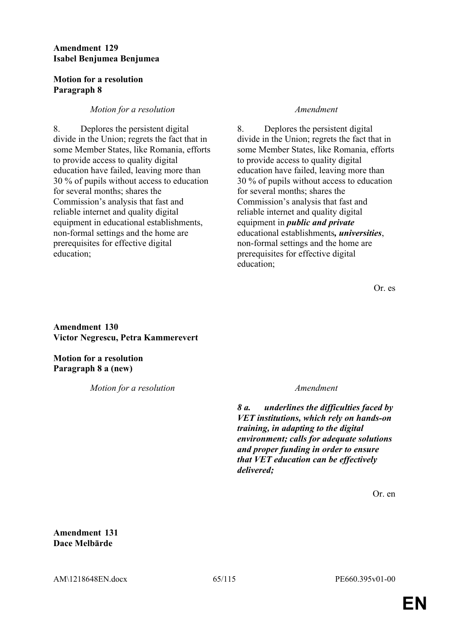# **Amendment 129 Isabel Benjumea Benjumea**

# **Motion for a resolution Paragraph 8**

# *Motion for a resolution Amendment*

8. Deplores the persistent digital divide in the Union; regrets the fact that in some Member States, like Romania, efforts to provide access to quality digital education have failed, leaving more than 30 % of pupils without access to education for several months; shares the Commission's analysis that fast and reliable internet and quality digital equipment in educational establishments, non-formal settings and the home are prerequisites for effective digital education;

8. Deplores the persistent digital divide in the Union; regrets the fact that in some Member States, like Romania, efforts to provide access to quality digital education have failed, leaving more than 30 % of pupils without access to education for several months; shares the Commission's analysis that fast and reliable internet and quality digital equipment in *public and private* educational establishments*, universities*, non-formal settings and the home are prerequisites for effective digital education;

Or. es

**Amendment 130 Victor Negrescu, Petra Kammerevert**

**Motion for a resolution Paragraph 8 a (new)**

*Motion for a resolution Amendment*

*8 a. underlines the difficulties faced by VET institutions, which rely on hands-on training, in adapting to the digital environment; calls for adequate solutions and proper funding in order to ensure that VET education can be effectively delivered;*

Or. en

**Amendment 131 Dace Melbārde**

AM\1218648EN.docx 65/115 PE660.395v01-00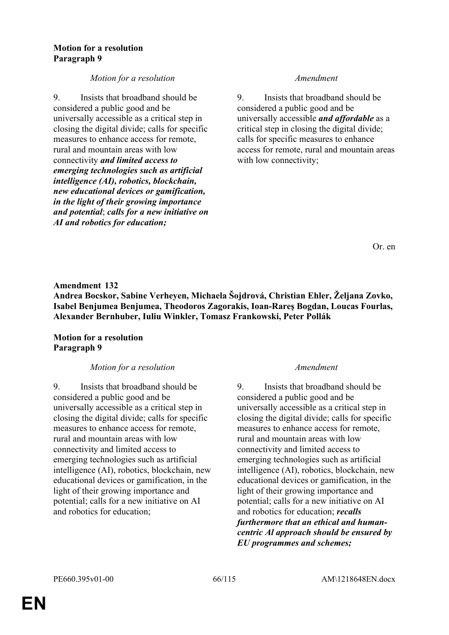### **Motion for a resolution Paragraph 9**

# *Motion for a resolution Amendment*

9. Insists that broadband should be considered a public good and be universally accessible as a critical step in closing the digital divide; calls for specific measures to enhance access for remote, rural and mountain areas with low connectivity *and limited access to emerging technologies such as artificial intelligence (AI), robotics, blockchain, new educational devices or gamification, in the light of their growing importance and potential*; *calls for a new initiative on AI and robotics for education;*

9. Insists that broadband should be considered a public good and be universally accessible *and affordable* as a critical step in closing the digital divide; calls for specific measures to enhance access for remote, rural and mountain areas with low connectivity;

Or. en

# **Amendment 132**

**Andrea Bocskor, Sabine Verheyen, Michaela Šojdrová, Christian Ehler, Željana Zovko, Isabel Benjumea Benjumea, Theodoros Zagorakis, Ioan-Rareş Bogdan, Loucas Fourlas, Alexander Bernhuber, Iuliu Winkler, Tomasz Frankowski, Peter Pollák**

# **Motion for a resolution Paragraph 9**

### *Motion for a resolution Amendment*

9. Insists that broadband should be considered a public good and be universally accessible as a critical step in closing the digital divide; calls for specific measures to enhance access for remote, rural and mountain areas with low connectivity and limited access to emerging technologies such as artificial intelligence (AI), robotics, blockchain, new educational devices or gamification, in the light of their growing importance and potential; calls for a new initiative on AI and robotics for education;

9. Insists that broadband should be considered a public good and be universally accessible as a critical step in closing the digital divide; calls for specific measures to enhance access for remote, rural and mountain areas with low connectivity and limited access to emerging technologies such as artificial intelligence (AI), robotics, blockchain, new educational devices or gamification, in the light of their growing importance and potential; calls for a new initiative on AI and robotics for education; *recalls furthermore that an ethical and humancentric Al approach should be ensured by EU programmes and schemes;*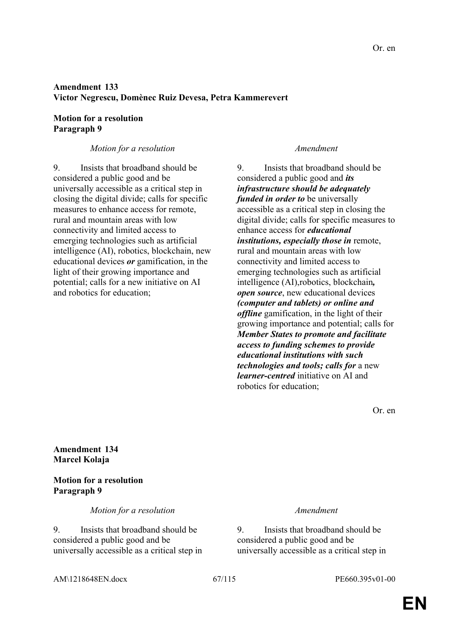# **Amendment 133 Victor Negrescu, Domènec Ruiz Devesa, Petra Kammerevert**

# **Motion for a resolution Paragraph 9**

# *Motion for a resolution Amendment*

9. Insists that broadband should be considered a public good and be universally accessible as a critical step in closing the digital divide; calls for specific measures to enhance access for remote, rural and mountain areas with low connectivity and limited access to emerging technologies such as artificial intelligence (AI), robotics, blockchain, new educational devices *or* gamification, in the light of their growing importance and potential; calls for a new initiative on AI and robotics for education;

9. Insists that broadband should be considered a public good and *its infrastructure should be adequately funded in order to* be universally accessible as a critical step in closing the digital divide; calls for specific measures to enhance access for *educational institutions, especially those in* remote, rural and mountain areas with low connectivity and limited access to emerging technologies such as artificial intelligence (AI),robotics, blockchain*, open source*, new educational devices *(computer and tablets) or online and offline* gamification, in the light of their growing importance and potential; calls for *Member States to promote and facilitate access to funding schemes to provide educational institutions with such technologies and tools; calls for* a new *learner-centred* initiative on AI and robotics for education;

Or. en

**Amendment 134 Marcel Kolaja**

# **Motion for a resolution Paragraph 9**

*Motion for a resolution Amendment*

9. Insists that broadband should be considered a public good and be universally accessible as a critical step in

9. Insists that broadband should be considered a public good and be universally accessible as a critical step in

AM\1218648EN.docx 67/115 PE660.395v01-00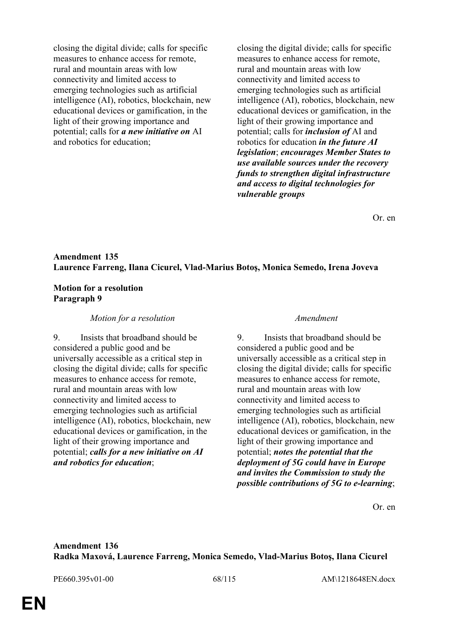closing the digital divide; calls for specific measures to enhance access for remote, rural and mountain areas with low connectivity and limited access to emerging technologies such as artificial intelligence (AI), robotics, blockchain, new educational devices or gamification, in the light of their growing importance and potential; calls for *a new initiative on* AI and robotics for education;

closing the digital divide; calls for specific measures to enhance access for remote, rural and mountain areas with low connectivity and limited access to emerging technologies such as artificial intelligence (AI), robotics, blockchain, new educational devices or gamification, in the light of their growing importance and potential; calls for *inclusion of* AI and robotics for education *in the future AI legislation*; *encourages Member States to use available sources under the recovery funds to strengthen digital infrastructure and access to digital technologies for vulnerable groups*

Or. en

### **Amendment 135 Laurence Farreng, Ilana Cicurel, Vlad-Marius Botoş, Monica Semedo, Irena Joveva**

### **Motion for a resolution Paragraph 9**

### *Motion for a resolution Amendment*

9. Insists that broadband should be considered a public good and be universally accessible as a critical step in closing the digital divide; calls for specific measures to enhance access for remote, rural and mountain areas with low connectivity and limited access to emerging technologies such as artificial intelligence (AI), robotics, blockchain, new educational devices or gamification, in the light of their growing importance and potential; *calls for a new initiative on AI and robotics for education*;

9. Insists that broadband should be considered a public good and be universally accessible as a critical step in closing the digital divide; calls for specific measures to enhance access for remote, rural and mountain areas with low connectivity and limited access to emerging technologies such as artificial intelligence (AI), robotics, blockchain, new educational devices or gamification, in the light of their growing importance and potential; *notes the potential that the deployment of 5G could have in Europe and invites the Commission to study the possible contributions of 5G to e-learning*;

Or. en

### **Amendment 136 Radka Maxová, Laurence Farreng, Monica Semedo, Vlad-Marius Botoş, Ilana Cicurel**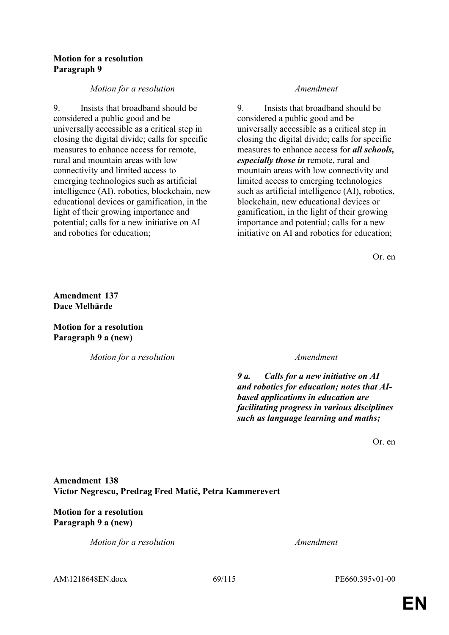### **Motion for a resolution Paragraph 9**

# *Motion for a resolution Amendment*

9. Insists that broadband should be considered a public good and be universally accessible as a critical step in closing the digital divide; calls for specific measures to enhance access for remote, rural and mountain areas with low connectivity and limited access to emerging technologies such as artificial intelligence (AI), robotics, blockchain, new educational devices or gamification, in the light of their growing importance and potential; calls for a new initiative on AI and robotics for education;

9. Insists that broadband should be considered a public good and be universally accessible as a critical step in closing the digital divide; calls for specific measures to enhance access for *all schools, especially those in* remote, rural and mountain areas with low connectivity and limited access to emerging technologies such as artificial intelligence (AI), robotics, blockchain, new educational devices or gamification, in the light of their growing importance and potential; calls for a new initiative on AI and robotics for education;

Or. en

**Amendment 137 Dace Melbārde**

**Motion for a resolution Paragraph 9 a (new)**

*Motion for a resolution Amendment*

*9 a. Calls for a new initiative on AI and robotics for education; notes that AIbased applications in education are facilitating progress in various disciplines such as language learning and maths;*

Or. en

# **Amendment 138 Victor Negrescu, Predrag Fred Matić, Petra Kammerevert**

# **Motion for a resolution Paragraph 9 a (new)**

*Motion for a resolution Amendment*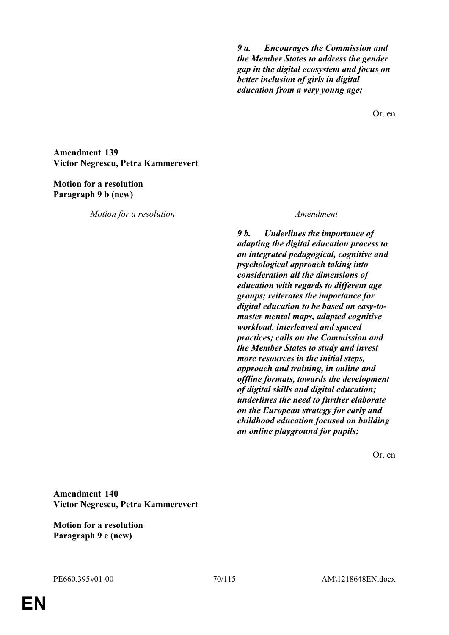*9 a. Encourages the Commission and the Member States to address the gender gap in the digital ecosystem and focus on better inclusion of girls in digital education from a very young age;*

Or. en

**Amendment 139 Victor Negrescu, Petra Kammerevert**

### **Motion for a resolution Paragraph 9 b (new)**

*Motion for a resolution Amendment*

*9 b. Underlines the importance of adapting the digital education process to an integrated pedagogical, cognitive and psychological approach taking into consideration all the dimensions of education with regards to different age groups; reiterates the importance for digital education to be based on easy-tomaster mental maps, adapted cognitive workload, interleaved and spaced practices; calls on the Commission and the Member States to study and invest more resources in the initial steps, approach and training, in online and offline formats, towards the development of digital skills and digital education; underlines the need to further elaborate on the European strategy for early and childhood education focused on building an online playground for pupils;*

Or. en

**Amendment 140 Victor Negrescu, Petra Kammerevert**

**Motion for a resolution Paragraph 9 c (new)**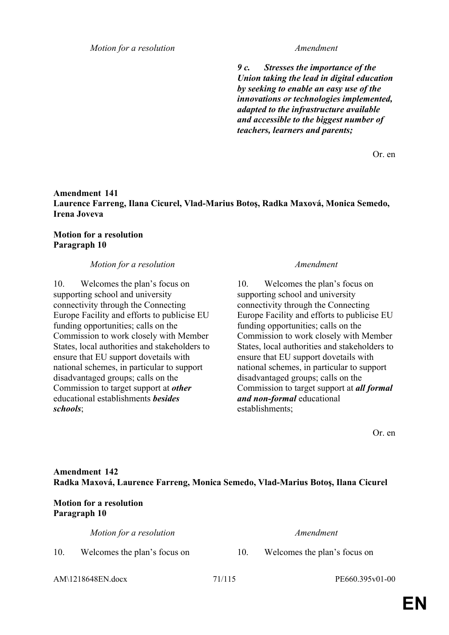*9 c. Stresses the importance of the Union taking the lead in digital education by seeking to enable an easy use of the innovations or technologies implemented, adapted to the infrastructure available and accessible to the biggest number of teachers, learners and parents;*

Or. en

### **Amendment 141 Laurence Farreng, Ilana Cicurel, Vlad-Marius Botoş, Radka Maxová, Monica Semedo, Irena Joveva**

### **Motion for a resolution Paragraph 10**

### *Motion for a resolution Amendment*

10. Welcomes the plan's focus on supporting school and university connectivity through the Connecting Europe Facility and efforts to publicise EU funding opportunities; calls on the Commission to work closely with Member States, local authorities and stakeholders to ensure that EU support dovetails with national schemes, in particular to support disadvantaged groups; calls on the Commission to target support at *other* educational establishments *besides schools*;

10. Welcomes the plan's focus on supporting school and university connectivity through the Connecting Europe Facility and efforts to publicise EU funding opportunities; calls on the Commission to work closely with Member States, local authorities and stakeholders to ensure that EU support dovetails with national schemes, in particular to support disadvantaged groups; calls on the Commission to target support at *all formal and non-formal* educational establishments;

Or. en

# **Amendment 142 Radka Maxová, Laurence Farreng, Monica Semedo, Vlad-Marius Botoş, Ilana Cicurel**

# **Motion for a resolution Paragraph 10**

*Motion for a resolution Amendment*

- 10. Welcomes the plan's focus on 10. Welcomes the plan's focus on
- 

AM\1218648EN.docx 71/115 PE660.395v01-00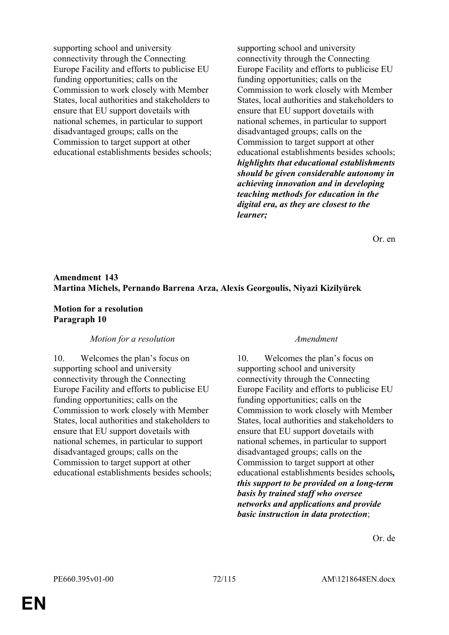supporting school and university connectivity through the Connecting Europe Facility and efforts to publicise EU funding opportunities; calls on the Commission to work closely with Member States, local authorities and stakeholders to ensure that EU support dovetails with national schemes, in particular to support disadvantaged groups; calls on the Commission to target support at other educational establishments besides schools; supporting school and university connectivity through the Connecting Europe Facility and efforts to publicise EU funding opportunities; calls on the Commission to work closely with Member States, local authorities and stakeholders to ensure that EU support dovetails with national schemes, in particular to support disadvantaged groups; calls on the Commission to target support at other educational establishments besides schools; *highlights that educational establishments should be given considerable autonomy in achieving innovation and in developing teaching methods for education in the digital era, as they are closest to the learner;*

Or. en

# **Amendment 143 Martina Michels, Pernando Barrena Arza, Alexis Georgoulis, Niyazi Kizilyürek**

### **Motion for a resolution Paragraph 10**

### *Motion for a resolution Amendment*

10. Welcomes the plan's focus on supporting school and university connectivity through the Connecting Europe Facility and efforts to publicise EU funding opportunities; calls on the Commission to work closely with Member States, local authorities and stakeholders to ensure that EU support dovetails with national schemes, in particular to support disadvantaged groups; calls on the Commission to target support at other educational establishments besides schools;

10. Welcomes the plan's focus on supporting school and university connectivity through the Connecting Europe Facility and efforts to publicise EU funding opportunities; calls on the Commission to work closely with Member States, local authorities and stakeholders to ensure that EU support dovetails with national schemes, in particular to support disadvantaged groups; calls on the Commission to target support at other educational establishments besides schools*, this support to be provided on a long-term basis by trained staff who oversee networks and applications and provide basic instruction in data protection*;

Or. de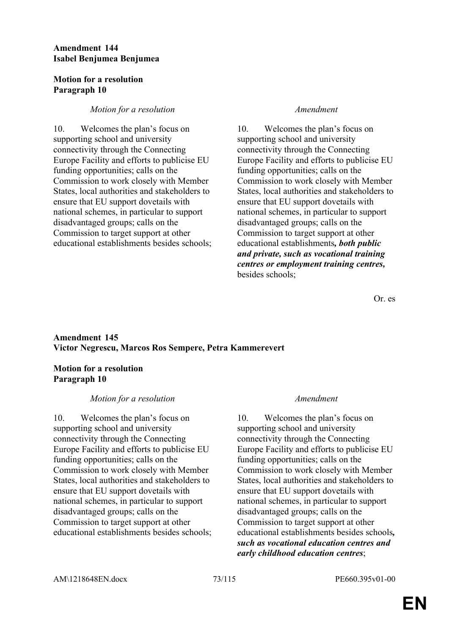## **Amendment 144 Isabel Benjumea Benjumea**

## **Motion for a resolution Paragraph 10**

## *Motion for a resolution Amendment*

10. Welcomes the plan's focus on supporting school and university connectivity through the Connecting Europe Facility and efforts to publicise EU funding opportunities; calls on the Commission to work closely with Member States, local authorities and stakeholders to ensure that EU support dovetails with national schemes, in particular to support disadvantaged groups; calls on the Commission to target support at other educational establishments besides schools;

10. Welcomes the plan's focus on supporting school and university connectivity through the Connecting Europe Facility and efforts to publicise EU funding opportunities; calls on the Commission to work closely with Member States, local authorities and stakeholders to ensure that EU support dovetails with national schemes, in particular to support disadvantaged groups; calls on the Commission to target support at other educational establishments*, both public and private, such as vocational training centres or employment training centres,* besides schools;

Or. es

# **Amendment 145 Victor Negrescu, Marcos Ros Sempere, Petra Kammerevert**

# **Motion for a resolution Paragraph 10**

## *Motion for a resolution Amendment*

10. Welcomes the plan's focus on supporting school and university connectivity through the Connecting Europe Facility and efforts to publicise EU funding opportunities; calls on the Commission to work closely with Member States, local authorities and stakeholders to ensure that EU support dovetails with national schemes, in particular to support disadvantaged groups; calls on the Commission to target support at other educational establishments besides schools;

10. Welcomes the plan's focus on supporting school and university connectivity through the Connecting Europe Facility and efforts to publicise EU funding opportunities; calls on the Commission to work closely with Member States, local authorities and stakeholders to ensure that EU support dovetails with national schemes, in particular to support disadvantaged groups; calls on the Commission to target support at other educational establishments besides schools*, such as vocational education centres and early childhood education centres*;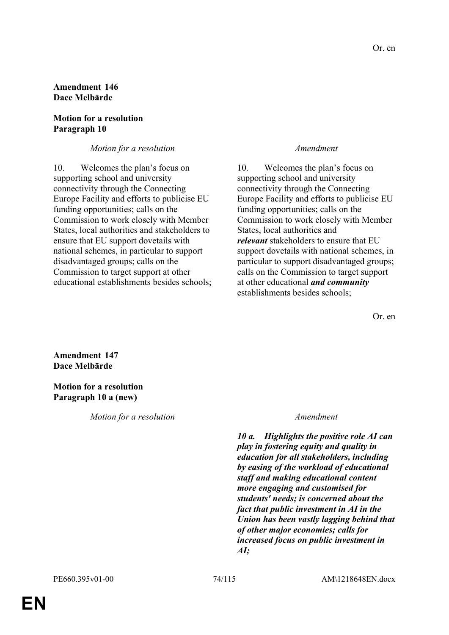## **Amendment 146 Dace Melbārde**

## **Motion for a resolution Paragraph 10**

## *Motion for a resolution Amendment*

10. Welcomes the plan's focus on supporting school and university connectivity through the Connecting Europe Facility and efforts to publicise EU funding opportunities; calls on the Commission to work closely with Member States, local authorities and stakeholders to ensure that EU support dovetails with national schemes, in particular to support disadvantaged groups; calls on the Commission to target support at other educational establishments besides schools;

10. Welcomes the plan's focus on supporting school and university connectivity through the Connecting Europe Facility and efforts to publicise EU funding opportunities; calls on the Commission to work closely with Member States, local authorities and *relevant* stakeholders to ensure that EU support dovetails with national schemes, in particular to support disadvantaged groups; calls on the Commission to target support at other educational *and community* establishments besides schools;

Or. en

**Amendment 147 Dace Melbārde**

**Motion for a resolution Paragraph 10 a (new)**

*Motion for a resolution Amendment*

*10 a. Highlights the positive role AI can play in fostering equity and quality in education for all stakeholders, including by easing of the workload of educational staff and making educational content more engaging and customised for students' needs; is concerned about the fact that public investment in AI in the Union has been vastly lagging behind that of other major economies; calls for increased focus on public investment in AI;*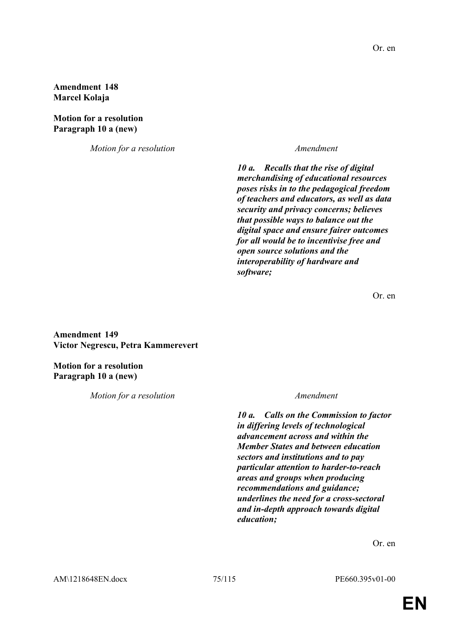**Amendment 148 Marcel Kolaja**

**Motion for a resolution Paragraph 10 a (new)**

*Motion for a resolution Amendment*

*10 a. Recalls that the rise of digital merchandising of educational resources poses risks in to the pedagogical freedom of teachers and educators, as well as data security and privacy concerns; believes that possible ways to balance out the digital space and ensure fairer outcomes for all would be to incentivise free and open source solutions and the interoperability of hardware and software;*

Or. en

**Amendment 149 Victor Negrescu, Petra Kammerevert**

**Motion for a resolution Paragraph 10 a (new)**

*Motion for a resolution Amendment*

*10 a. Calls on the Commission to factor in differing levels of technological advancement across and within the Member States and between education sectors and institutions and to pay particular attention to harder-to-reach areas and groups when producing recommendations and guidance; underlines the need for a cross-sectoral and in-depth approach towards digital education;*

Or. en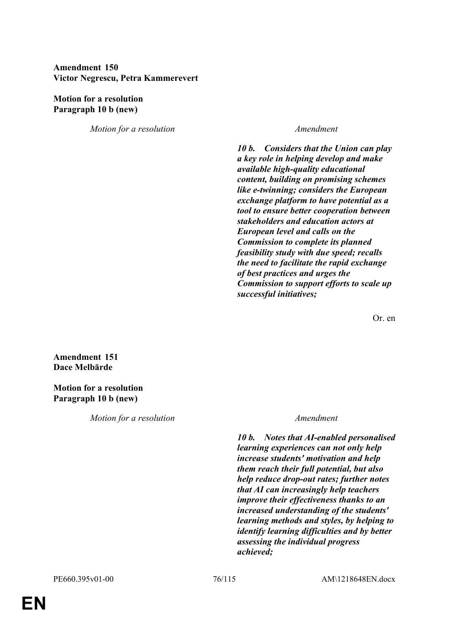## **Amendment 150 Victor Negrescu, Petra Kammerevert**

## **Motion for a resolution Paragraph 10 b (new)**

*Motion for a resolution Amendment*

*10 b. Considers that the Union can play a key role in helping develop and make available high-quality educational content, building on promising schemes like e-twinning; considers the European exchange platform to have potential as a tool to ensure better cooperation between stakeholders and education actors at European level and calls on the Commission to complete its planned feasibility study with due speed; recalls the need to facilitate the rapid exchange of best practices and urges the Commission to support efforts to scale up successful initiatives;*

Or. en

**Amendment 151 Dace Melbārde**

**Motion for a resolution Paragraph 10 b (new)**

*Motion for a resolution Amendment*

*10 b. Notes that AI-enabled personalised learning experiences can not only help increase students' motivation and help them reach their full potential, but also help reduce drop-out rates; further notes that AI can increasingly help teachers improve their effectiveness thanks to an increased understanding of the students' learning methods and styles, by helping to identify learning difficulties and by better assessing the individual progress achieved;*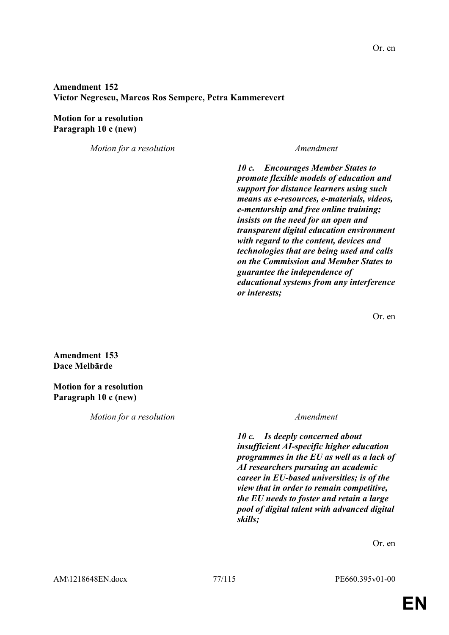## **Amendment 152 Victor Negrescu, Marcos Ros Sempere, Petra Kammerevert**

## **Motion for a resolution Paragraph 10 c (new)**

*Motion for a resolution Amendment*

*10 c. Encourages Member States to promote flexible models of education and support for distance learners using such means as e-resources, e-materials, videos, e-mentorship and free online training; insists on the need for an open and transparent digital education environment with regard to the content, devices and technologies that are being used and calls on the Commission and Member States to guarantee the independence of educational systems from any interference or interests;*

Or. en

**Amendment 153 Dace Melbārde**

**Motion for a resolution Paragraph 10 c (new)**

*Motion for a resolution Amendment*

*10 c. Is deeply concerned about insufficient AI-specific higher education programmes in the EU as well as a lack of AI researchers pursuing an academic career in EU-based universities; is of the view that in order to remain competitive, the EU needs to foster and retain a large pool of digital talent with advanced digital skills;*

Or. en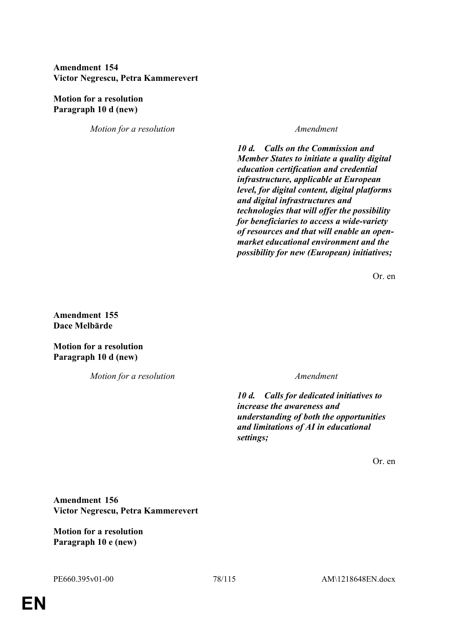## **Amendment 154 Victor Negrescu, Petra Kammerevert**

## **Motion for a resolution Paragraph 10 d (new)**

*Motion for a resolution Amendment*

*10 d. Calls on the Commission and Member States to initiate a quality digital education certification and credential infrastructure, applicable at European level, for digital content, digital platforms and digital infrastructures and technologies that will offer the possibility for beneficiaries to access a wide-variety of resources and that will enable an openmarket educational environment and the possibility for new (European) initiatives;*

Or. en

**Amendment 155 Dace Melbārde**

**Motion for a resolution Paragraph 10 d (new)**

*Motion for a resolution Amendment*

*10 d. Calls for dedicated initiatives to increase the awareness and understanding of both the opportunities and limitations of AI in educational settings;*

Or. en

**Amendment 156 Victor Negrescu, Petra Kammerevert**

**Motion for a resolution Paragraph 10 e (new)**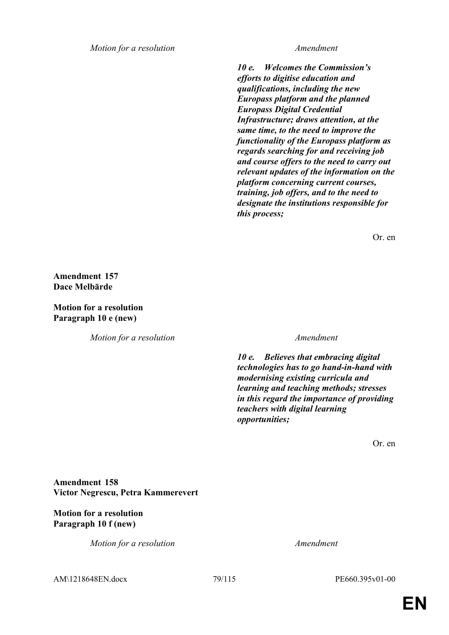*Motion for a resolution Amendment*

*10 e. Welcomes the Commission's efforts to digitise education and qualifications, including the new Europass platform and the planned Europass Digital Credential Infrastructure; draws attention, at the same time, to the need to improve the functionality of the Europass platform as regards searching for and receiving job and course offers to the need to carry out relevant updates of the information on the platform concerning current courses, training, job offers, and to the need to designate the institutions responsible for this process;*

Or. en

**Amendment 157 Dace Melbārde**

**Motion for a resolution Paragraph 10 e (new)**

*Motion for a resolution Amendment*

*10 e. Believes that embracing digital technologies has to go hand-in-hand with modernising existing curricula and learning and teaching methods; stresses in this regard the importance of providing teachers with digital learning opportunities;*

Or. en

**Amendment 158 Victor Negrescu, Petra Kammerevert**

## **Motion for a resolution Paragraph 10 f (new)**

*Motion for a resolution Amendment*

AM\1218648EN.docx 79/115 PE660.395v01-00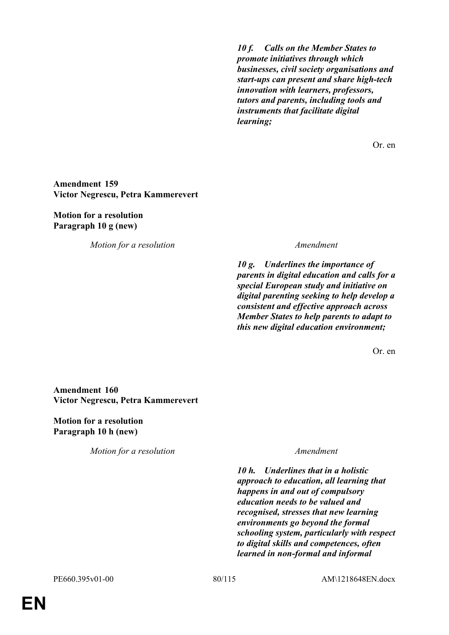*10 f. Calls on the Member States to promote initiatives through which businesses, civil society organisations and start-ups can present and share high-tech innovation with learners, professors, tutors and parents, including tools and instruments that facilitate digital learning;*

Or. en

### **Amendment 159 Victor Negrescu, Petra Kammerevert**

### **Motion for a resolution Paragraph 10 g (new)**

*Motion for a resolution Amendment*

*10 g. Underlines the importance of parents in digital education and calls for a special European study and initiative on digital parenting seeking to help develop a consistent and effective approach across Member States to help parents to adapt to this new digital education environment;*

Or. en

## **Amendment 160 Victor Negrescu, Petra Kammerevert**

**Motion for a resolution Paragraph 10 h (new)**

*Motion for a resolution Amendment*

*10 h. Underlines that in a holistic approach to education, all learning that happens in and out of compulsory education needs to be valued and recognised, stresses that new learning environments go beyond the formal schooling system, particularly with respect to digital skills and competences, often learned in non-formal and informal*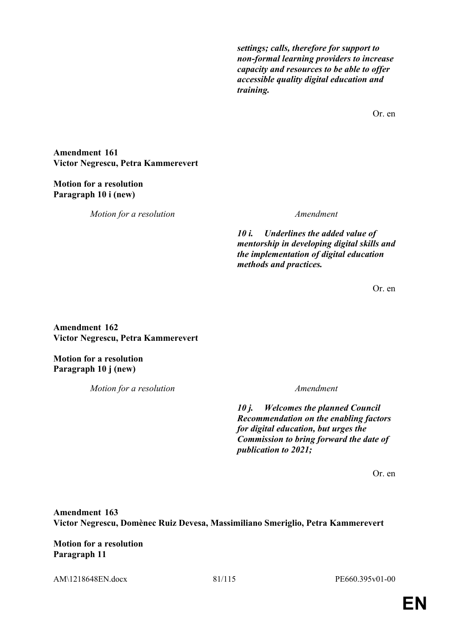*settings; calls, therefore for support to non-formal learning providers to increase capacity and resources to be able to offer accessible quality digital education and training.*

Or. en

**Amendment 161 Victor Negrescu, Petra Kammerevert**

## **Motion for a resolution Paragraph 10 i (new)**

*Motion for a resolution Amendment*

*10 i. Underlines the added value of mentorship in developing digital skills and the implementation of digital education methods and practices.*

Or. en

**Amendment 162 Victor Negrescu, Petra Kammerevert**

**Motion for a resolution Paragraph 10 j (new)**

*Motion for a resolution Amendment*

*10 j. Welcomes the planned Council Recommendation on the enabling factors for digital education, but urges the Commission to bring forward the date of publication to 2021;*

Or. en

**Amendment 163 Victor Negrescu, Domènec Ruiz Devesa, Massimiliano Smeriglio, Petra Kammerevert**

**Motion for a resolution Paragraph 11**

AM\1218648EN.docx 81/115 PE660.395v01-00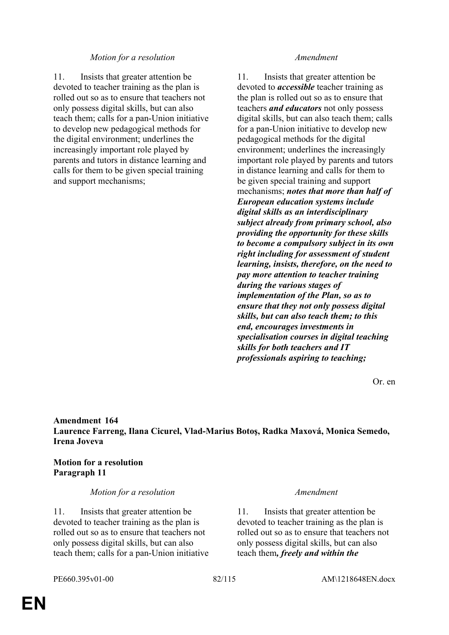### *Motion for a resolution Amendment*

11. Insists that greater attention be devoted to teacher training as the plan is rolled out so as to ensure that teachers not only possess digital skills, but can also teach them; calls for a pan-Union initiative to develop new pedagogical methods for the digital environment; underlines the increasingly important role played by parents and tutors in distance learning and calls for them to be given special training and support mechanisms;

11. Insists that greater attention be devoted to *accessible* teacher training as the plan is rolled out so as to ensure that teachers *and educators* not only possess digital skills, but can also teach them; calls for a pan-Union initiative to develop new pedagogical methods for the digital environment; underlines the increasingly important role played by parents and tutors in distance learning and calls for them to be given special training and support mechanisms; *notes that more than half of European education systems include digital skills as an interdisciplinary subject already from primary school, also providing the opportunity for these skills to become a compulsory subject in its own right including for assessment of student learning, insists, therefore, on the need to pay more attention to teacher training during the various stages of implementation of the Plan, so as to ensure that they not only possess digital skills, but can also teach them; to this end, encourages investments in specialisation courses in digital teaching skills for both teachers and IT professionals aspiring to teaching;*

Or. en

## **Amendment 164 Laurence Farreng, Ilana Cicurel, Vlad-Marius Botoş, Radka Maxová, Monica Semedo, Irena Joveva**

## **Motion for a resolution Paragraph 11**

### *Motion for a resolution Amendment*

11. Insists that greater attention be devoted to teacher training as the plan is rolled out so as to ensure that teachers not only possess digital skills, but can also teach them; calls for a pan-Union initiative

11. Insists that greater attention be devoted to teacher training as the plan is rolled out so as to ensure that teachers not only possess digital skills, but can also teach them*, freely and within the*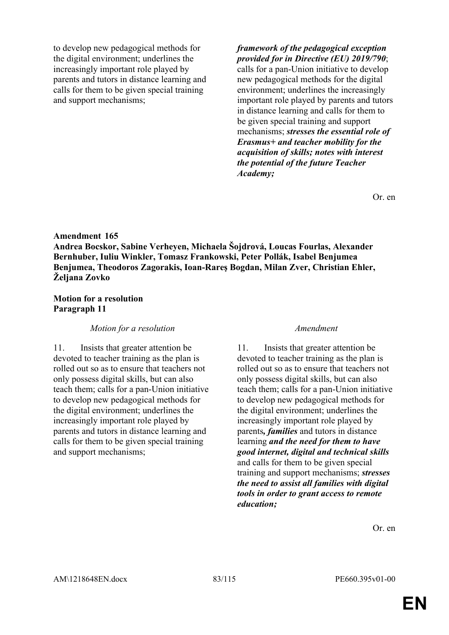to develop new pedagogical methods for the digital environment; underlines the increasingly important role played by parents and tutors in distance learning and calls for them to be given special training and support mechanisms;

*framework of the pedagogical exception provided for in Directive (EU) 2019/790*; calls for a pan-Union initiative to develop new pedagogical methods for the digital environment; underlines the increasingly important role played by parents and tutors in distance learning and calls for them to be given special training and support mechanisms; *stresses the essential role of Erasmus+ and teacher mobility for the acquisition of skills; notes with interest the potential of the future Teacher Academy;*

Or. en

### **Amendment 165**

**Andrea Bocskor, Sabine Verheyen, Michaela Šojdrová, Loucas Fourlas, Alexander Bernhuber, Iuliu Winkler, Tomasz Frankowski, Peter Pollák, Isabel Benjumea Benjumea, Theodoros Zagorakis, Ioan-Rareş Bogdan, Milan Zver, Christian Ehler, Željana Zovko**

### **Motion for a resolution Paragraph 11**

### *Motion for a resolution Amendment*

11. Insists that greater attention be devoted to teacher training as the plan is rolled out so as to ensure that teachers not only possess digital skills, but can also teach them; calls for a pan-Union initiative to develop new pedagogical methods for the digital environment; underlines the increasingly important role played by parents and tutors in distance learning and calls for them to be given special training and support mechanisms;

11. Insists that greater attention be devoted to teacher training as the plan is rolled out so as to ensure that teachers not only possess digital skills, but can also teach them; calls for a pan-Union initiative to develop new pedagogical methods for the digital environment; underlines the increasingly important role played by parents*, families* and tutors in distance learning *and the need for them to have good internet, digital and technical skills* and calls for them to be given special training and support mechanisms; *stresses the need to assist all families with digital tools in order to grant access to remote education;*

Or. en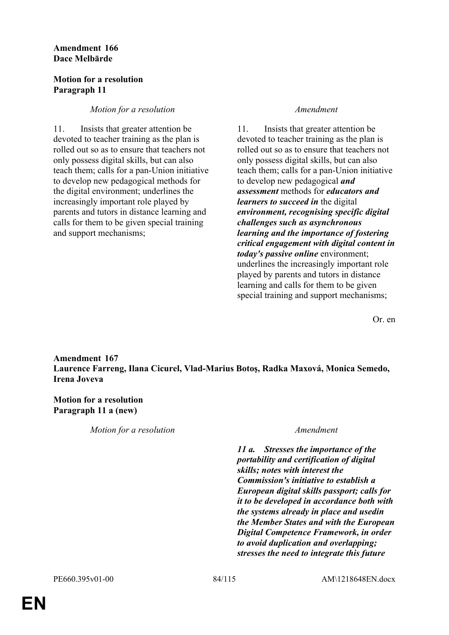## **Amendment 166 Dace Melbārde**

### **Motion for a resolution Paragraph 11**

## *Motion for a resolution Amendment*

11. Insists that greater attention be devoted to teacher training as the plan is rolled out so as to ensure that teachers not only possess digital skills, but can also teach them; calls for a pan-Union initiative to develop new pedagogical methods for the digital environment; underlines the increasingly important role played by parents and tutors in distance learning and calls for them to be given special training and support mechanisms;

11. Insists that greater attention be devoted to teacher training as the plan is rolled out so as to ensure that teachers not only possess digital skills, but can also teach them; calls for a pan-Union initiative to develop new pedagogical *and assessment* methods for *educators and learners to succeed in* the digital *environment, recognising specific digital challenges such as asynchronous learning and the importance of fostering critical engagement with digital content in today's passive online* environment; underlines the increasingly important role played by parents and tutors in distance learning and calls for them to be given special training and support mechanisms;

Or. en

## **Amendment 167 Laurence Farreng, Ilana Cicurel, Vlad-Marius Botoş, Radka Maxová, Monica Semedo, Irena Joveva**

# **Motion for a resolution Paragraph 11 a (new)**

*Motion for a resolution Amendment*

*11 a. Stresses the importance of the portability and certification of digital skills; notes with interest the Commission's initiative to establish a European digital skills passport; calls for it to be developed in accordance both with the systems already in place and usedin the Member States and with the European Digital Competence Framework, in order to avoid duplication and overlapping; stresses the need to integrate this future*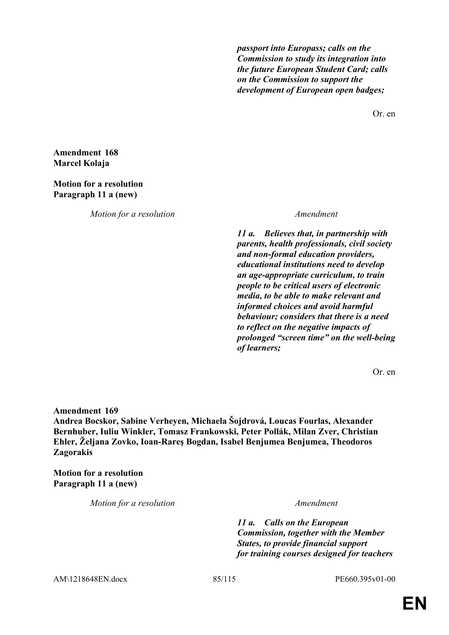*passport into Europass; calls on the Commission to study its integration into the future European Student Card; calls on the Commission to support the development of European open badges;*

Or. en

**Amendment 168 Marcel Kolaja**

### **Motion for a resolution Paragraph 11 a (new)**

*Motion for a resolution Amendment*

*11 a. Believes that, in partnership with parents, health professionals, civil society and non-formal education providers, educational institutions need to develop an age-appropriate curriculum, to train people to be critical users of electronic media, to be able to make relevant and informed choices and avoid harmful behaviour; considers that there is a need to reflect on the negative impacts of prolonged "screen time" on the well-being of learners;*

Or. en

**Amendment 169 Andrea Bocskor, Sabine Verheyen, Michaela Šojdrová, Loucas Fourlas, Alexander Bernhuber, Iuliu Winkler, Tomasz Frankowski, Peter Pollák, Milan Zver, Christian Ehler, Željana Zovko, Ioan-Rareş Bogdan, Isabel Benjumea Benjumea, Theodoros Zagorakis**

**Motion for a resolution Paragraph 11 a (new)**

*Motion for a resolution Amendment*

*11 a. Calls on the European Commission, together with the Member States, to provide financial support for training courses designed for teachers* 

AM\1218648EN.docx 85/115 PE660.395v01-00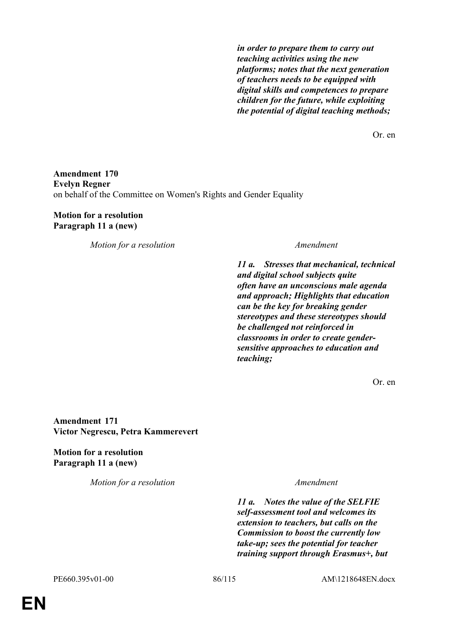*in order to prepare them to carry out teaching activities using the new platforms; notes that the next generation of teachers needs to be equipped with digital skills and competences to prepare children for the future, while exploiting the potential of digital teaching methods;*

Or. en

## **Amendment 170 Evelyn Regner** on behalf of the Committee on Women's Rights and Gender Equality

### **Motion for a resolution Paragraph 11 a (new)**

*Motion for a resolution Amendment*

*11 a. Stresses that mechanical, technical and digital school subjects quite often have an unconscious male agenda and approach; Highlights that education can be the key for breaking gender stereotypes and these stereotypes should be challenged not reinforced in classrooms in order to create gendersensitive approaches to education and teaching;*

Or. en

**Amendment 171 Victor Negrescu, Petra Kammerevert**

**Motion for a resolution Paragraph 11 a (new)**

*Motion for a resolution Amendment*

*11 a. Notes the value of the SELFIE self-assessment tool and welcomes its extension to teachers, but calls on the Commission to boost the currently low take-up; sees the potential for teacher training support through Erasmus+, but*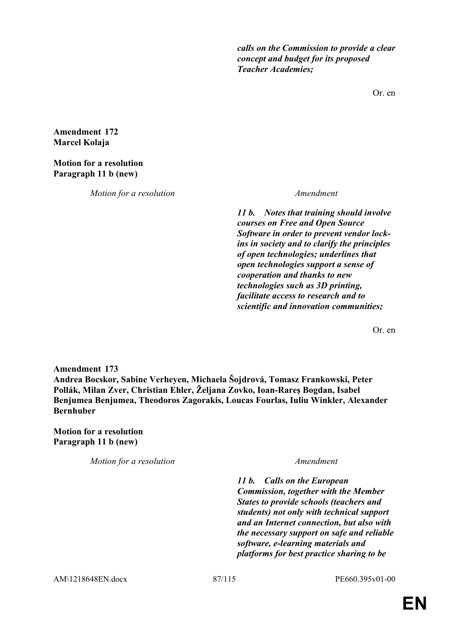*calls on the Commission to provide a clear concept and budget for its proposed Teacher Academies;*

Or. en

**Amendment 172 Marcel Kolaja**

### **Motion for a resolution Paragraph 11 b (new)**

*Motion for a resolution Amendment*

*11 b. Notes that training should involve courses on Free and Open Source Software in order to prevent vendor lockins in society and to clarify the principles of open technologies; underlines that open technologies support a sense of cooperation and thanks to new technologies such as 3D printing, facilitate access to research and to scientific and innovation communities;*

Or. en

**Amendment 173 Andrea Bocskor, Sabine Verheyen, Michaela Šojdrová, Tomasz Frankowski, Peter Pollák, Milan Zver, Christian Ehler, Željana Zovko, Ioan-Rareş Bogdan, Isabel Benjumea Benjumea, Theodoros Zagorakis, Loucas Fourlas, Iuliu Winkler, Alexander Bernhuber**

**Motion for a resolution Paragraph 11 b (new)**

*Motion for a resolution Amendment*

*11 b. Calls on the European Commission, together with the Member States to provide schools (teachers and students) not only with technical support and an Internet connection, but also with the necessary support on safe and reliable software, e-learning materials and platforms for best practice sharing to be*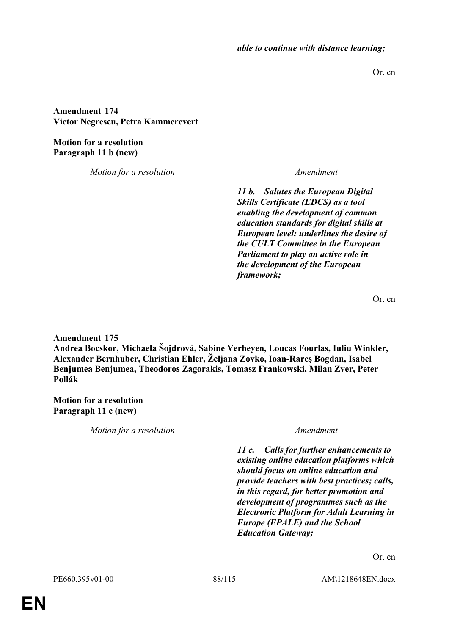*able to continue with distance learning;*

Or. en

**Amendment 174 Victor Negrescu, Petra Kammerevert**

**Motion for a resolution Paragraph 11 b (new)**

*Motion for a resolution Amendment*

*11 b. Salutes the European Digital Skills Certificate (EDCS) as a tool enabling the development of common education standards for digital skills at European level; underlines the desire of the CULT Committee in the European Parliament to play an active role in the development of the European framework;*

Or. en

**Amendment 175**

**Andrea Bocskor, Michaela Šojdrová, Sabine Verheyen, Loucas Fourlas, Iuliu Winkler, Alexander Bernhuber, Christian Ehler, Željana Zovko, Ioan-Rareş Bogdan, Isabel Benjumea Benjumea, Theodoros Zagorakis, Tomasz Frankowski, Milan Zver, Peter Pollák**

**Motion for a resolution Paragraph 11 c (new)**

*Motion for a resolution Amendment*

*11 c. Calls for further enhancements to existing online education platforms which should focus on online education and provide teachers with best practices; calls, in this regard, for better promotion and development of programmes such as the Electronic Platform for Adult Learning in Europe (EPALE) and the School Education Gateway;*

Or. en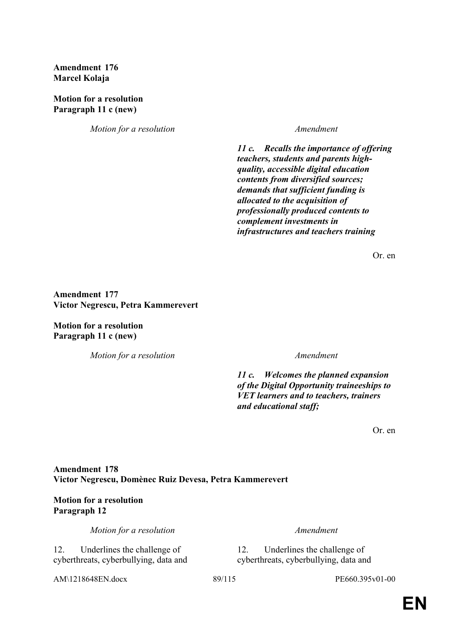## **Amendment 176 Marcel Kolaja**

**Motion for a resolution Paragraph 11 c (new)**

*Motion for a resolution Amendment*

*11 c. Recalls the importance of offering teachers, students and parents highquality, accessible digital education contents from diversified sources; demands that sufficient funding is allocated to the acquisition of professionally produced contents to complement investments in infrastructures and teachers training*

Or. en

**Amendment 177 Victor Negrescu, Petra Kammerevert**

**Motion for a resolution Paragraph 11 c (new)**

*Motion for a resolution Amendment*

*11 c. Welcomes the planned expansion of the Digital Opportunity traineeships to VET learners and to teachers, trainers and educational staff;*

Or. en

## **Amendment 178 Victor Negrescu, Domènec Ruiz Devesa, Petra Kammerevert**

## **Motion for a resolution Paragraph 12**

*Motion for a resolution Amendment*

12. Underlines the challenge of cyberthreats, cyberbullying, data and

AM\1218648EN.docx 89/115 PE660.395v01-00

12. Underlines the challenge of cyberthreats, cyberbullying, data and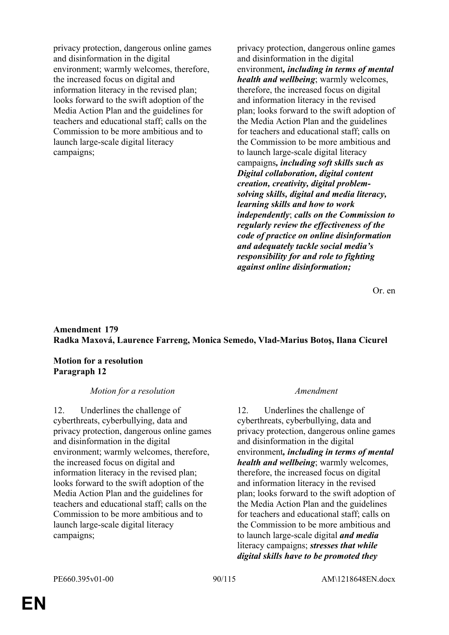privacy protection, dangerous online games and disinformation in the digital environment; warmly welcomes, therefore, the increased focus on digital and information literacy in the revised plan; looks forward to the swift adoption of the Media Action Plan and the guidelines for teachers and educational staff; calls on the Commission to be more ambitious and to launch large-scale digital literacy campaigns;

privacy protection, dangerous online games and disinformation in the digital environment*, including in terms of mental health and wellbeing*; warmly welcomes, therefore, the increased focus on digital and information literacy in the revised plan; looks forward to the swift adoption of the Media Action Plan and the guidelines for teachers and educational staff; calls on the Commission to be more ambitious and to launch large-scale digital literacy campaigns*, including soft skills such as Digital collaboration, digital content creation, creativity, digital problemsolving skills, digital and media literacy, learning skills and how to work independently*; *calls on the Commission to regularly review the effectiveness of the code of practice on online disinformation and adequately tackle social media's responsibility for and role to fighting against online disinformation;*

Or. en

# **Amendment 179 Radka Maxová, Laurence Farreng, Monica Semedo, Vlad-Marius Botoş, Ilana Cicurel**

**Motion for a resolution Paragraph 12**

### *Motion for a resolution Amendment*

12. Underlines the challenge of cyberthreats, cyberbullying, data and privacy protection, dangerous online games and disinformation in the digital environment; warmly welcomes, therefore, the increased focus on digital and information literacy in the revised plan; looks forward to the swift adoption of the Media Action Plan and the guidelines for teachers and educational staff; calls on the Commission to be more ambitious and to launch large-scale digital literacy campaigns;

12. Underlines the challenge of cyberthreats, cyberbullying, data and privacy protection, dangerous online games and disinformation in the digital environment*, including in terms of mental health and wellbeing*; warmly welcomes, therefore, the increased focus on digital and information literacy in the revised plan; looks forward to the swift adoption of the Media Action Plan and the guidelines for teachers and educational staff; calls on the Commission to be more ambitious and to launch large-scale digital *and media* literacy campaigns; *stresses that while digital skills have to be promoted they*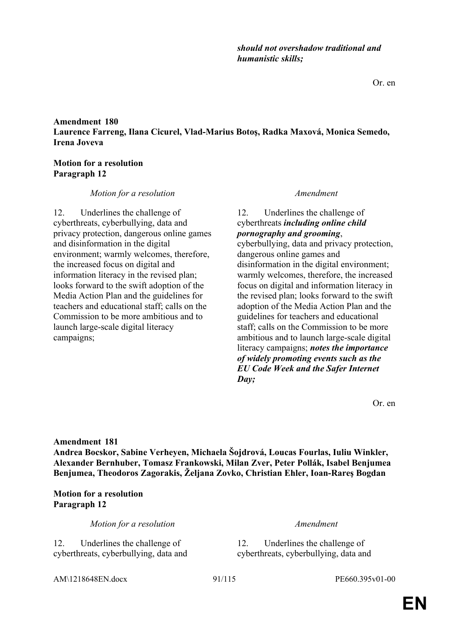AM\1218648EN.docx 91/115 PE660.395v01-00

**Amendment 180 Laurence Farreng, Ilana Cicurel, Vlad-Marius Botoş, Radka Maxová, Monica Semedo, Irena Joveva**

### **Motion for a resolution Paragraph 12**

## *Motion for a resolution Amendment*

12. Underlines the challenge of cyberthreats, cyberbullying, data and privacy protection, dangerous online games and disinformation in the digital environment; warmly welcomes, therefore, the increased focus on digital and information literacy in the revised plan; looks forward to the swift adoption of the Media Action Plan and the guidelines for teachers and educational staff; calls on the Commission to be more ambitious and to launch large-scale digital literacy campaigns;

*should not overshadow traditional and* 

*humanistic skills;*

12. Underlines the challenge of cyberthreats *including online child pornography and grooming*,

cyberbullying, data and privacy protection, dangerous online games and disinformation in the digital environment; warmly welcomes, therefore, the increased focus on digital and information literacy in the revised plan; looks forward to the swift adoption of the Media Action Plan and the guidelines for teachers and educational staff; calls on the Commission to be more ambitious and to launch large-scale digital literacy campaigns; *notes the importance of widely promoting events such as the EU Code Week and the Safer Internet Day;*

Or. en

Or. en

**Amendment 181**

**Andrea Bocskor, Sabine Verheyen, Michaela Šojdrová, Loucas Fourlas, Iuliu Winkler, Alexander Bernhuber, Tomasz Frankowski, Milan Zver, Peter Pollák, Isabel Benjumea Benjumea, Theodoros Zagorakis, Željana Zovko, Christian Ehler, Ioan-Rareş Bogdan**

**Motion for a resolution Paragraph 12**

*Motion for a resolution Amendment*

12. Underlines the challenge of cyberthreats, cyberbullying, data and

12. Underlines the challenge of cyberthreats, cyberbullying, data and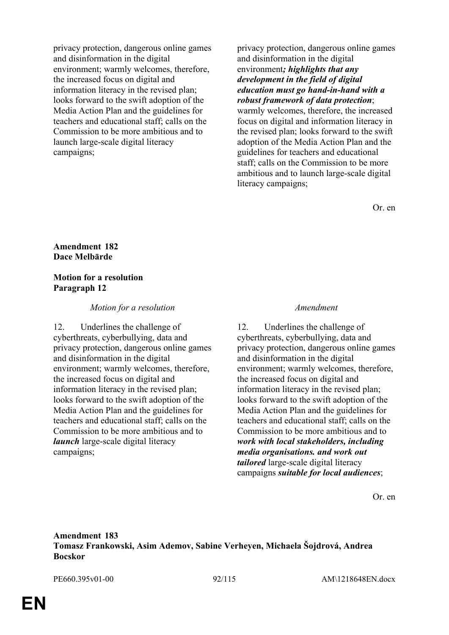privacy protection, dangerous online games and disinformation in the digital environment; warmly welcomes, therefore, the increased focus on digital and information literacy in the revised plan; looks forward to the swift adoption of the Media Action Plan and the guidelines for teachers and educational staff; calls on the Commission to be more ambitious and to launch large-scale digital literacy campaigns;

privacy protection, dangerous online games and disinformation in the digital environment*; highlights that any development in the field of digital education must go hand-in-hand with a robust framework of data protection*;

warmly welcomes, therefore, the increased focus on digital and information literacy in the revised plan; looks forward to the swift adoption of the Media Action Plan and the guidelines for teachers and educational staff; calls on the Commission to be more ambitious and to launch large-scale digital literacy campaigns;

Or. en

### **Amendment 182 Dace Melbārde**

### **Motion for a resolution Paragraph 12**

### *Motion for a resolution Amendment*

12. Underlines the challenge of cyberthreats, cyberbullying, data and privacy protection, dangerous online games and disinformation in the digital environment; warmly welcomes, therefore, the increased focus on digital and information literacy in the revised plan; looks forward to the swift adoption of the Media Action Plan and the guidelines for teachers and educational staff; calls on the Commission to be more ambitious and to *launch* large-scale digital literacy campaigns;

12. Underlines the challenge of cyberthreats, cyberbullying, data and privacy protection, dangerous online games and disinformation in the digital environment; warmly welcomes, therefore, the increased focus on digital and information literacy in the revised plan; looks forward to the swift adoption of the Media Action Plan and the guidelines for teachers and educational staff; calls on the Commission to be more ambitious and to *work with local stakeholders, including media organisations. and work out tailored* large-scale digital literacy campaigns *suitable for local audiences*;

Or. en

## **Amendment 183 Tomasz Frankowski, Asim Ademov, Sabine Verheyen, Michaela Šojdrová, Andrea Bocskor**

PE660.395v01-00 92/115 AM\1218648EN.docx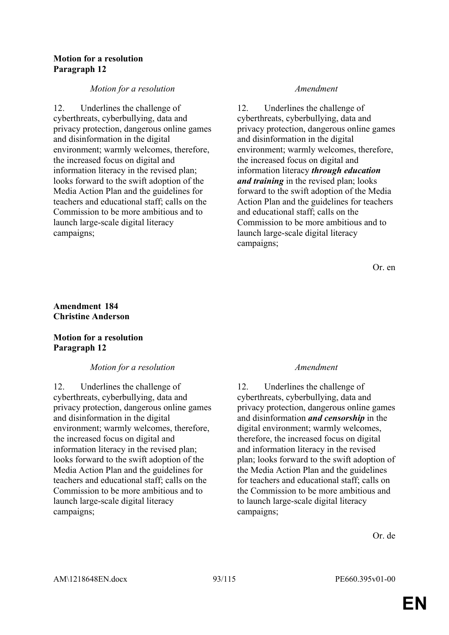## **Motion for a resolution Paragraph 12**

## *Motion for a resolution Amendment*

12. Underlines the challenge of cyberthreats, cyberbullying, data and privacy protection, dangerous online games and disinformation in the digital environment; warmly welcomes, therefore, the increased focus on digital and information literacy in the revised plan; looks forward to the swift adoption of the Media Action Plan and the guidelines for teachers and educational staff; calls on the Commission to be more ambitious and to launch large-scale digital literacy campaigns;

12. Underlines the challenge of cyberthreats, cyberbullying, data and privacy protection, dangerous online games and disinformation in the digital environment; warmly welcomes, therefore, the increased focus on digital and information literacy *through education and training* in the revised plan; looks forward to the swift adoption of the Media Action Plan and the guidelines for teachers and educational staff; calls on the Commission to be more ambitious and to launch large-scale digital literacy campaigns;

Or. en

## **Amendment 184 Christine Anderson**

## **Motion for a resolution Paragraph 12**

## *Motion for a resolution Amendment*

12. Underlines the challenge of cyberthreats, cyberbullying, data and privacy protection, dangerous online games and disinformation in the digital environment; warmly welcomes, therefore, the increased focus on digital and information literacy in the revised plan; looks forward to the swift adoption of the Media Action Plan and the guidelines for teachers and educational staff; calls on the Commission to be more ambitious and to launch large-scale digital literacy campaigns;

12. Underlines the challenge of cyberthreats, cyberbullying, data and privacy protection, dangerous online games and disinformation *and censorship* in the digital environment; warmly welcomes, therefore, the increased focus on digital and information literacy in the revised plan; looks forward to the swift adoption of the Media Action Plan and the guidelines for teachers and educational staff; calls on the Commission to be more ambitious and to launch large-scale digital literacy campaigns;

Or. de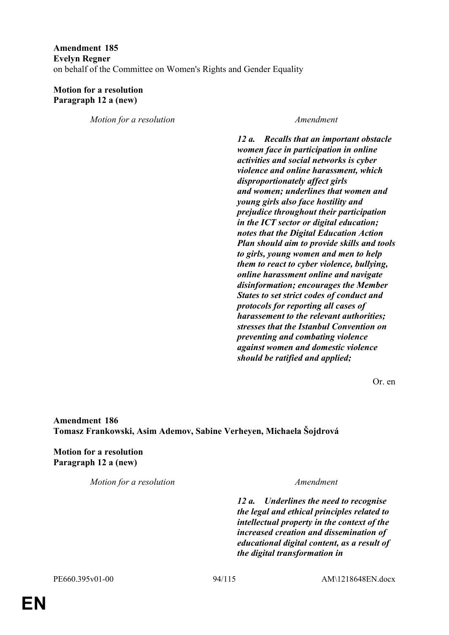## **Amendment 185 Evelyn Regner** on behalf of the Committee on Women's Rights and Gender Equality

## **Motion for a resolution Paragraph 12 a (new)**

*Motion for a resolution Amendment*

*12 a. Recalls that an important obstacle women face in participation in online activities and social networks is cyber violence and online harassment, which disproportionately affect girls and women; underlines that women and young girls also face hostility and prejudice throughout their participation in the ICT sector or digital education; notes that the Digital Education Action Plan should aim to provide skills and tools to girls, young women and men to help them to react to cyber violence, bullying, online harassment online and navigate disinformation; encourages the Member States to set strict codes of conduct and protocols for reporting all cases of harassement to the relevant authorities; stresses that the Istanbul Convention on preventing and combating violence against women and domestic violence should be ratified and applied;*

Or. en

**Amendment 186 Tomasz Frankowski, Asim Ademov, Sabine Verheyen, Michaela Šojdrová**

**Motion for a resolution Paragraph 12 a (new)**

*Motion for a resolution Amendment*

*12 a. Underlines the need to recognise the legal and ethical principles related to intellectual property in the context of the increased creation and dissemination of educational digital content, as a result of the digital transformation in*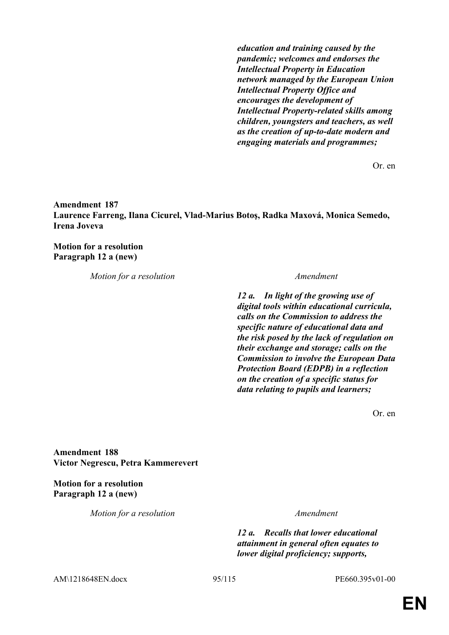*education and training caused by the pandemic; welcomes and endorses the Intellectual Property in Education network managed by the European Union Intellectual Property Office and encourages the development of Intellectual Property-related skills among children, youngsters and teachers, as well as the creation of up-to-date modern and engaging materials and programmes;*

Or. en

**Amendment 187 Laurence Farreng, Ilana Cicurel, Vlad-Marius Botoş, Radka Maxová, Monica Semedo, Irena Joveva**

**Motion for a resolution Paragraph 12 a (new)**

*Motion for a resolution Amendment*

*12 a. In light of the growing use of digital tools within educational curricula, calls on the Commission to address the specific nature of educational data and the risk posed by the lack of regulation on their exchange and storage; calls on the Commission to involve the European Data Protection Board (EDPB) in a reflection on the creation of a specific status for data relating to pupils and learners;*

Or. en

**Amendment 188 Victor Negrescu, Petra Kammerevert**

**Motion for a resolution Paragraph 12 a (new)**

*Motion for a resolution Amendment*

*12 a. Recalls that lower educational attainment in general often equates to lower digital proficiency; supports,* 

AM\1218648EN.docx 95/115 PE660.395v01-00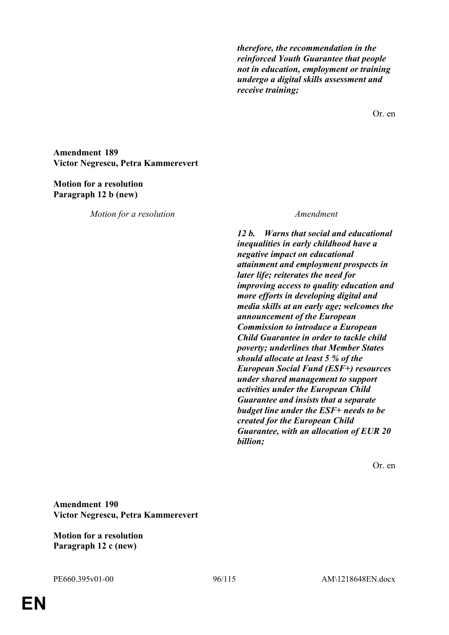*therefore, the recommendation in the reinforced Youth Guarantee that people not in education, employment or training undergo a digital skills assessment and receive training;*

Or. en

**Amendment 189 Victor Negrescu, Petra Kammerevert**

### **Motion for a resolution Paragraph 12 b (new)**

*Motion for a resolution Amendment*

*12 b. Warns that social and educational inequalities in early childhood have a negative impact on educational attainment and employment prospects in later life; reiterates the need for improving access to quality education and more efforts in developing digital and media skills at an early age; welcomes the announcement of the European Commission to introduce a European Child Guarantee in order to tackle child poverty; underlines that Member States should allocate at least 5 % of the European Social Fund (ESF+) resources under shared management to support activities under the European Child Guarantee and insists that a separate budget line under the ESF+ needs to be created for the European Child Guarantee, with an allocation of EUR 20 billion;*

Or. en

**Amendment 190 Victor Negrescu, Petra Kammerevert**

**Motion for a resolution Paragraph 12 c (new)**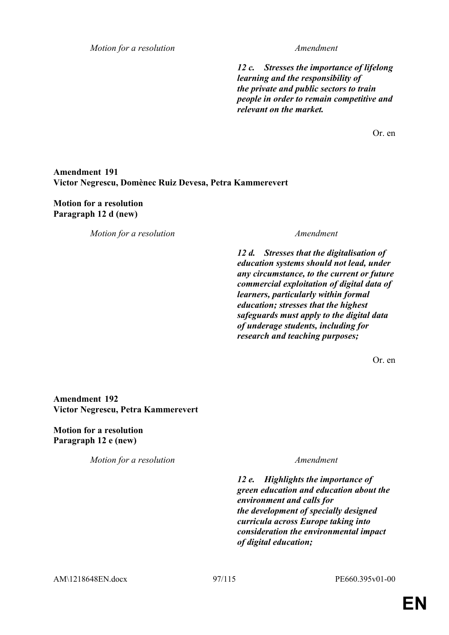*Motion for a resolution Amendment*

*12 c. Stresses the importance of lifelong learning and the responsibility of the private and public sectors to train people in order to remain competitive and relevant on the market.*

Or. en

## **Amendment 191 Victor Negrescu, Domènec Ruiz Devesa, Petra Kammerevert**

**Motion for a resolution Paragraph 12 d (new)**

*Motion for a resolution Amendment*

*12 d. Stresses that the digitalisation of education systems should not lead, under any circumstance, to the current or future commercial exploitation of digital data of learners, particularly within formal education; stresses that the highest safeguards must apply to the digital data of underage students, including for research and teaching purposes;*

Or. en

**Amendment 192 Victor Negrescu, Petra Kammerevert**

**Motion for a resolution Paragraph 12 e (new)**

*Motion for a resolution Amendment*

*12 e. Highlights the importance of green education and education about the environment and calls for the development of specially designed curricula across Europe taking into consideration the environmental impact of digital education;*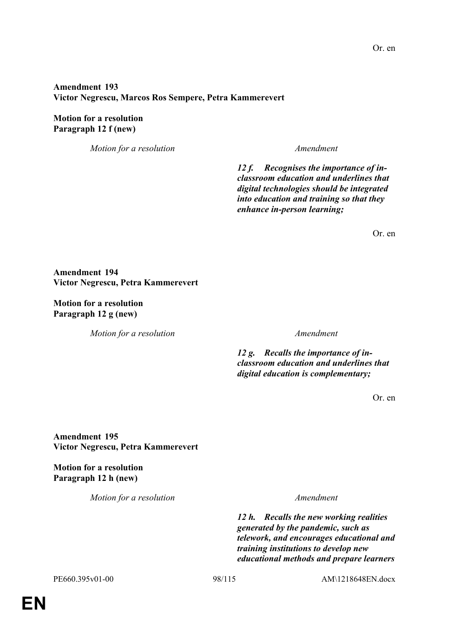## **Amendment 193 Victor Negrescu, Marcos Ros Sempere, Petra Kammerevert**

## **Motion for a resolution Paragraph 12 f (new)**

*Motion for a resolution Amendment*

*12 f. Recognises the importance of inclassroom education and underlines that digital technologies should be integrated into education and training so that they enhance in-person learning;*

Or. en

**Amendment 194 Victor Negrescu, Petra Kammerevert**

**Motion for a resolution Paragraph 12 g (new)**

*Motion for a resolution Amendment*

*12 g. Recalls the importance of inclassroom education and underlines that digital education is complementary;*

Or. en

**Amendment 195 Victor Negrescu, Petra Kammerevert**

**Motion for a resolution Paragraph 12 h (new)**

*Motion for a resolution Amendment*

*12 h. Recalls the new working realities generated by the pandemic, such as telework, and encourages educational and training institutions to develop new educational methods and prepare learners* 

PE660.395v01-00 98/115 AM\1218648EN.docx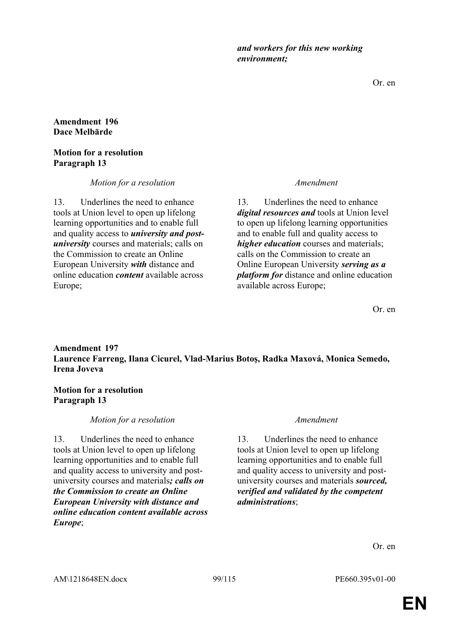*and workers for this new working environment;*

Or. en

**Amendment 196 Dace Melbārde**

### **Motion for a resolution Paragraph 13**

*Motion for a resolution Amendment*

13. Underlines the need to enhance tools at Union level to open up lifelong learning opportunities and to enable full and quality access to *university and postuniversity* courses and materials; calls on the Commission to create an Online European University *with* distance and online education *content* available across Europe;

13. Underlines the need to enhance *digital resources and* tools at Union level to open up lifelong learning opportunities and to enable full and quality access to *higher education* courses and materials; calls on the Commission to create an Online European University *serving as a platform for* distance and online education available across Europe;

Or. en

# **Amendment 197 Laurence Farreng, Ilana Cicurel, Vlad-Marius Botoş, Radka Maxová, Monica Semedo, Irena Joveva**

## **Motion for a resolution Paragraph 13**

## *Motion for a resolution Amendment*

13. Underlines the need to enhance tools at Union level to open up lifelong learning opportunities and to enable full and quality access to university and postuniversity courses and materials*; calls on the Commission to create an Online European University with distance and online education content available across Europe*;

13. Underlines the need to enhance tools at Union level to open up lifelong learning opportunities and to enable full and quality access to university and postuniversity courses and materials *sourced, verified and validated by the competent administrations*;

Or. en

AM\1218648EN.docx 99/115 PE660.395v01-00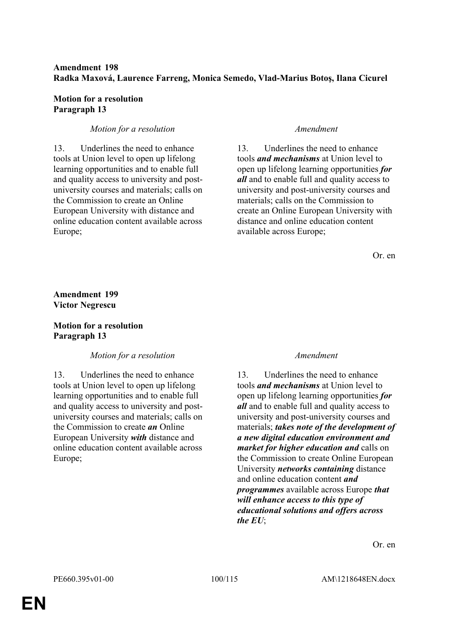# **Amendment 198 Radka Maxová, Laurence Farreng, Monica Semedo, Vlad-Marius Botoş, Ilana Cicurel**

## **Motion for a resolution Paragraph 13**

## *Motion for a resolution Amendment*

13. Underlines the need to enhance tools at Union level to open up lifelong learning opportunities and to enable full and quality access to university and postuniversity courses and materials; calls on the Commission to create an Online European University with distance and online education content available across Europe;

13. Underlines the need to enhance tools *and mechanisms* at Union level to open up lifelong learning opportunities *for all* and to enable full and quality access to university and post-university courses and materials; calls on the Commission to create an Online European University with distance and online education content available across Europe;

Or. en

## **Amendment 199 Victor Negrescu**

# **Motion for a resolution Paragraph 13**

## *Motion for a resolution Amendment*

13. Underlines the need to enhance tools at Union level to open up lifelong learning opportunities and to enable full and quality access to university and postuniversity courses and materials; calls on the Commission to create *an* Online European University *with* distance and online education content available across Europe;

13. Underlines the need to enhance tools *and mechanisms* at Union level to open up lifelong learning opportunities *for all* and to enable full and quality access to university and post-university courses and materials; *takes note of the development of a new digital education environment and market for higher education and* calls on the Commission to create Online European University *networks containing* distance and online education content *and programmes* available across Europe *that will enhance access to this type of educational solutions and offers across the EU*;

Or. en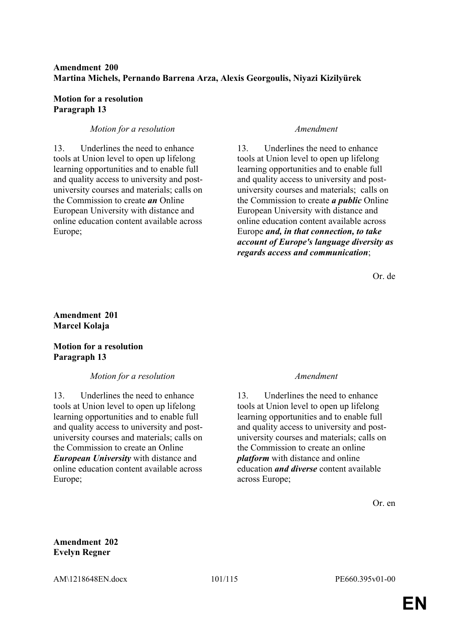## **Amendment 200 Martina Michels, Pernando Barrena Arza, Alexis Georgoulis, Niyazi Kizilyürek**

### **Motion for a resolution Paragraph 13**

## *Motion for a resolution Amendment*

13. Underlines the need to enhance tools at Union level to open up lifelong learning opportunities and to enable full and quality access to university and postuniversity courses and materials; calls on the Commission to create *an* Online European University with distance and online education content available across Europe;

13. Underlines the need to enhance tools at Union level to open up lifelong learning opportunities and to enable full and quality access to university and postuniversity courses and materials; calls on the Commission to create *a public* Online European University with distance and online education content available across Europe *and, in that connection, to take account of Europe's language diversity as regards access and communication*;

Or. de

## **Amendment 201 Marcel Kolaja**

## **Motion for a resolution Paragraph 13**

## *Motion for a resolution Amendment*

13. Underlines the need to enhance tools at Union level to open up lifelong learning opportunities and to enable full and quality access to university and postuniversity courses and materials; calls on the Commission to create an Online *European University* with distance and online education content available across Europe;

13. Underlines the need to enhance tools at Union level to open up lifelong learning opportunities and to enable full and quality access to university and postuniversity courses and materials; calls on the Commission to create an online *platform* with distance and online education *and diverse* content available across Europe;

Or. en

**Amendment 202 Evelyn Regner**

AM\1218648EN.docx 101/115 PE660.395v01-00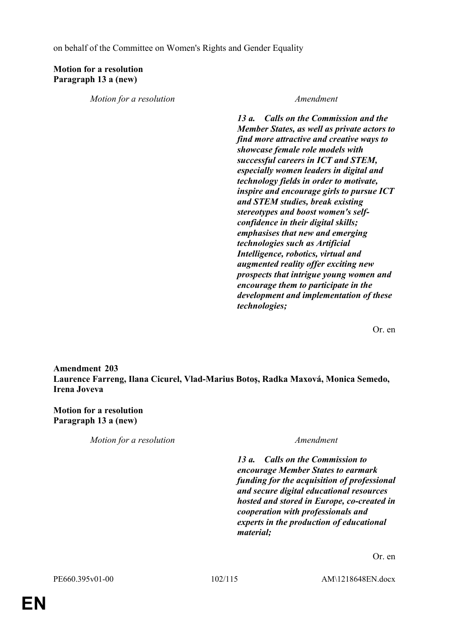on behalf of the Committee on Women's Rights and Gender Equality

# **Motion for a resolution Paragraph 13 a (new)**

*Motion for a resolution Amendment*

*13 a. Calls on the Commission and the Member States, as well as private actors to find more attractive and creative ways to showcase female role models with successful careers in ICT and STEM, especially women leaders in digital and technology fields in order to motivate, inspire and encourage girls to pursue ICT and STEM studies, break existing stereotypes and boost women's selfconfidence in their digital skills; emphasises that new and emerging technologies such as Artificial Intelligence, robotics, virtual and augmented reality offer exciting new prospects that intrigue young women and encourage them to participate in the development and implementation of these technologies;*

Or. en

**Amendment 203 Laurence Farreng, Ilana Cicurel, Vlad-Marius Botoş, Radka Maxová, Monica Semedo, Irena Joveva**

## **Motion for a resolution Paragraph 13 a (new)**

*Motion for a resolution Amendment*

*13 a. Calls on the Commission to encourage Member States to earmark funding for the acquisition of professional and secure digital educational resources hosted and stored in Europe, co-created in cooperation with professionals and experts in the production of educational material;*

Or. en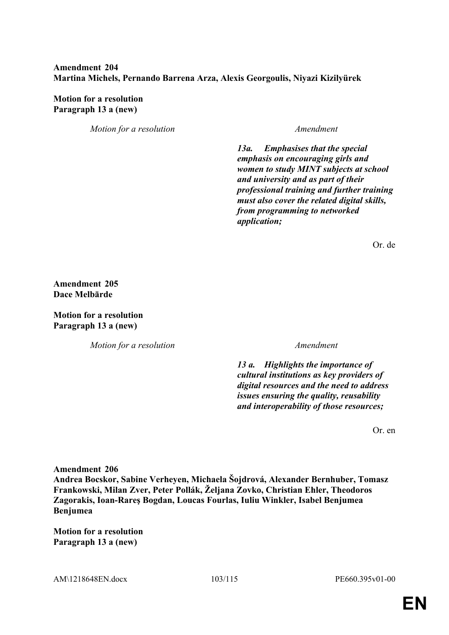# **Amendment 204 Martina Michels, Pernando Barrena Arza, Alexis Georgoulis, Niyazi Kizilyürek**

**Motion for a resolution Paragraph 13 a (new)**

*Motion for a resolution Amendment*

*13a. Emphasises that the special emphasis on encouraging girls and women to study MINT subjects at school and university and as part of their professional training and further training must also cover the related digital skills, from programming to networked application;*

Or. de

**Amendment 205 Dace Melbārde**

**Motion for a resolution Paragraph 13 a (new)**

*Motion for a resolution Amendment*

*13 a. Highlights the importance of cultural institutions as key providers of digital resources and the need to address issues ensuring the quality, reusability and interoperability of those resources;*

Or. en

**Amendment 206**

**Andrea Bocskor, Sabine Verheyen, Michaela Šojdrová, Alexander Bernhuber, Tomasz Frankowski, Milan Zver, Peter Pollák, Željana Zovko, Christian Ehler, Theodoros Zagorakis, Ioan-Rareş Bogdan, Loucas Fourlas, Iuliu Winkler, Isabel Benjumea Benjumea**

**Motion for a resolution Paragraph 13 a (new)**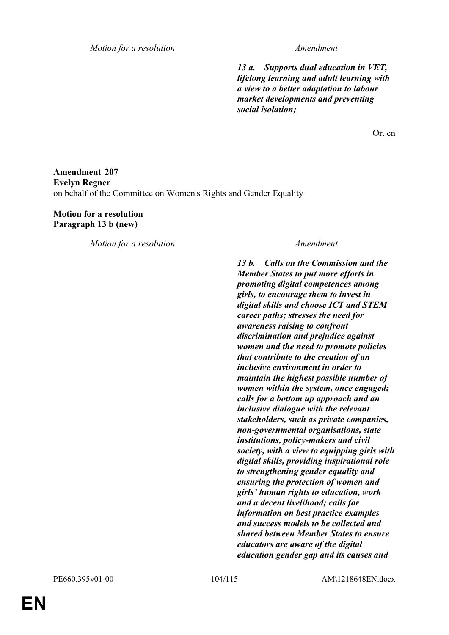*Motion for a resolution Amendment*

*13 a. Supports dual education in VET, lifelong learning and adult learning with a view to a better adaptation to labour market developments and preventing social isolation;*

Or. en

# **Amendment 207 Evelyn Regner** on behalf of the Committee on Women's Rights and Gender Equality

## **Motion for a resolution Paragraph 13 b (new)**

*Motion for a resolution Amendment*

*13 b. Calls on the Commission and the Member States to put more efforts in promoting digital competences among girls, to encourage them to invest in digital skills and choose ICT and STEM career paths; stresses the need for awareness raising to confront discrimination and prejudice against women and the need to promote policies that contribute to the creation of an inclusive environment in order to maintain the highest possible number of women within the system, once engaged; calls for a bottom up approach and an inclusive dialogue with the relevant stakeholders, such as private companies, non-governmental organisations, state institutions, policy-makers and civil society, with a view to equipping girls with digital skills, providing inspirational role to strengthening gender equality and ensuring the protection of women and girls' human rights to education, work and a decent livelihood; calls for information on best practice examples and success models to be collected and shared between Member States to ensure educators are aware of the digital education gender gap and its causes and*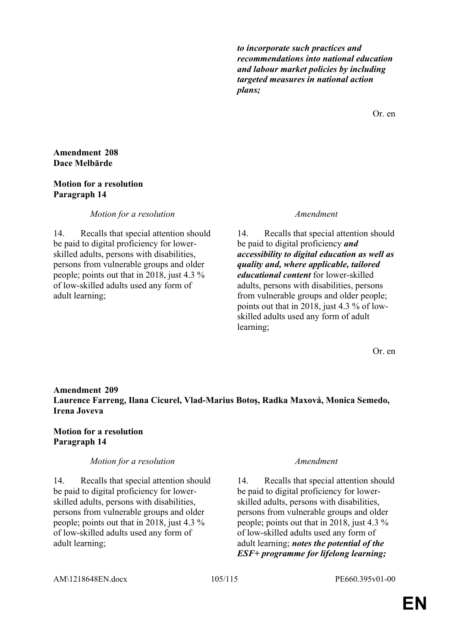*to incorporate such practices and recommendations into national education and labour market policies by including targeted measures in national action plans;*

Or. en

### **Amendment 208 Dace Melbārde**

### **Motion for a resolution Paragraph 14**

*Motion for a resolution Amendment*

14. Recalls that special attention should be paid to digital proficiency for lowerskilled adults, persons with disabilities, persons from vulnerable groups and older people; points out that in 2018, just 4.3 % of low-skilled adults used any form of adult learning;

14. Recalls that special attention should be paid to digital proficiency *and accessibility to digital education as well as quality and, where applicable, tailored educational content* for lower-skilled adults, persons with disabilities, persons from vulnerable groups and older people; points out that in 2018, just 4.3 % of lowskilled adults used any form of adult learning;

Or. en

# **Amendment 209 Laurence Farreng, Ilana Cicurel, Vlad-Marius Botoş, Radka Maxová, Monica Semedo, Irena Joveva**

## **Motion for a resolution Paragraph 14**

## *Motion for a resolution Amendment*

14. Recalls that special attention should be paid to digital proficiency for lowerskilled adults, persons with disabilities, persons from vulnerable groups and older people; points out that in 2018, just 4.3 % of low-skilled adults used any form of adult learning;

14. Recalls that special attention should be paid to digital proficiency for lowerskilled adults, persons with disabilities, persons from vulnerable groups and older people; points out that in 2018, just 4.3 % of low-skilled adults used any form of adult learning; *notes the potential of the ESF+ programme for lifelong learning;*

### AM\1218648EN.docx 105/115 PE660.395v01-00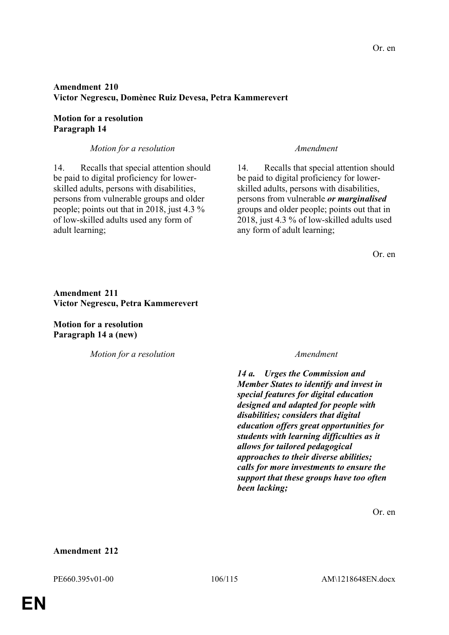# **Amendment 210 Victor Negrescu, Domènec Ruiz Devesa, Petra Kammerevert**

## **Motion for a resolution Paragraph 14**

*Motion for a resolution Amendment*

14. Recalls that special attention should be paid to digital proficiency for lowerskilled adults, persons with disabilities, persons from vulnerable groups and older people; points out that in 2018, just 4.3 % of low-skilled adults used any form of adult learning;

14. Recalls that special attention should be paid to digital proficiency for lowerskilled adults, persons with disabilities, persons from vulnerable *or marginalised* groups and older people; points out that in 2018, just 4.3 % of low-skilled adults used any form of adult learning;

Or. en

## **Amendment 211 Victor Negrescu, Petra Kammerevert**

**Motion for a resolution Paragraph 14 a (new)**

*Motion for a resolution Amendment*

*14 a. Urges the Commission and Member States to identify and invest in special features for digital education designed and adapted for people with disabilities; considers that digital education offers great opportunities for students with learning difficulties as it allows for tailored pedagogical approaches to their diverse abilities; calls for more investments to ensure the support that these groups have too often been lacking;*

Or. en

### **Amendment 212**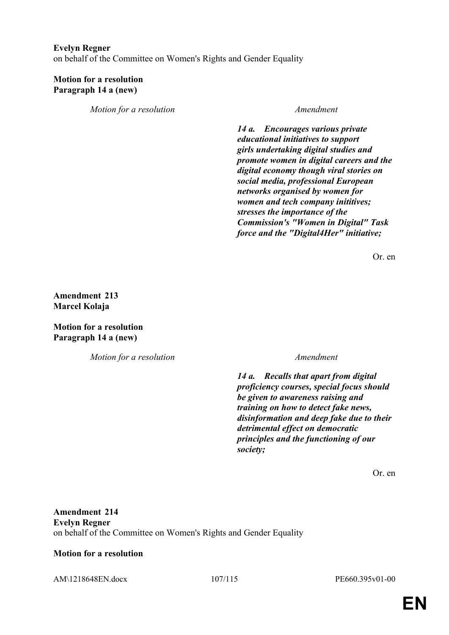### **Evelyn Regner**

on behalf of the Committee on Women's Rights and Gender Equality

### **Motion for a resolution Paragraph 14 a (new)**

*Motion for a resolution Amendment*

*14 a. Encourages various private educational initiatives to support girls undertaking digital studies and promote women in digital careers and the digital economy though viral stories on social media, professional European networks organised by women for women and tech company inititives; stresses the importance of the Commission's "Women in Digital" Task force and the "Digital4Her" initiative;*

Or. en

**Amendment 213 Marcel Kolaja**

**Motion for a resolution Paragraph 14 a (new)**

*Motion for a resolution Amendment*

*14 a. Recalls that apart from digital proficiency courses, special focus should be given to awareness raising and training on how to detect fake news, disinformation and deep fake due to their detrimental effect on democratic principles and the functioning of our society;*

Or. en

**Amendment 214 Evelyn Regner** on behalf of the Committee on Women's Rights and Gender Equality

### **Motion for a resolution**

AM\1218648EN.docx 107/115 PE660.395v01-00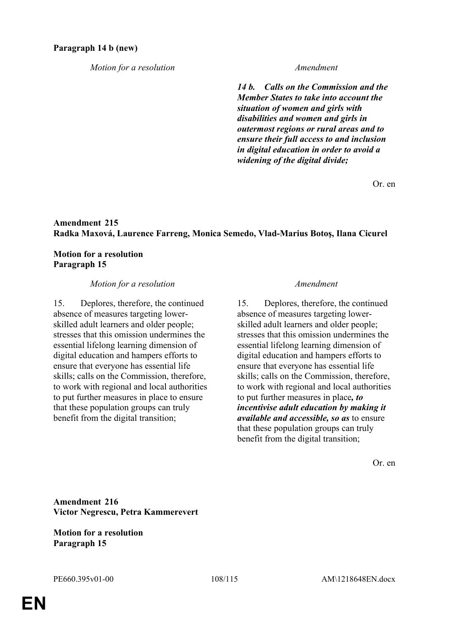## *Motion for a resolution Amendment*

*14 b. Calls on the Commission and the Member States to take into account the situation of women and girls with disabilities and women and girls in outermost regions or rural areas and to ensure their full access to and inclusion in digital education in order to avoid a widening of the digital divide;*

Or. en

# **Amendment 215 Radka Maxová, Laurence Farreng, Monica Semedo, Vlad-Marius Botoş, Ilana Cicurel**

**Motion for a resolution Paragraph 15**

### *Motion for a resolution Amendment*

15. Deplores, therefore, the continued absence of measures targeting lowerskilled adult learners and older people; stresses that this omission undermines the essential lifelong learning dimension of digital education and hampers efforts to ensure that everyone has essential life skills; calls on the Commission, therefore, to work with regional and local authorities to put further measures in place to ensure that these population groups can truly benefit from the digital transition;

15. Deplores, therefore, the continued absence of measures targeting lowerskilled adult learners and older people; stresses that this omission undermines the essential lifelong learning dimension of digital education and hampers efforts to ensure that everyone has essential life skills; calls on the Commission, therefore, to work with regional and local authorities to put further measures in place*, to incentivise adult education by making it available and accessible, so as* to ensure that these population groups can truly benefit from the digital transition;

Or. en

**Amendment 216 Victor Negrescu, Petra Kammerevert**

**Motion for a resolution Paragraph 15**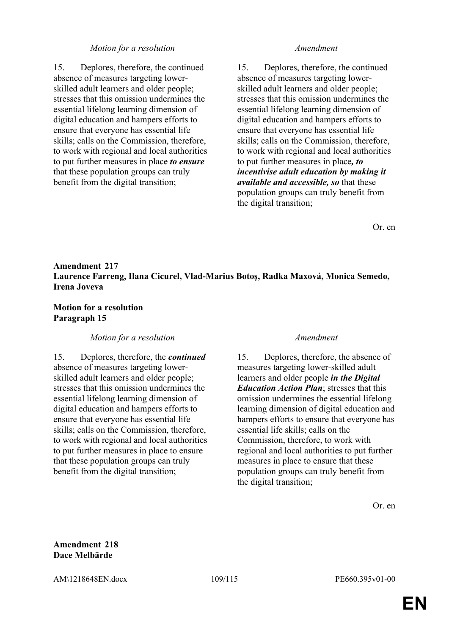### *Motion for a resolution Amendment*

15. Deplores, therefore, the continued absence of measures targeting lowerskilled adult learners and older people; stresses that this omission undermines the essential lifelong learning dimension of digital education and hampers efforts to ensure that everyone has essential life skills; calls on the Commission, therefore, to work with regional and local authorities to put further measures in place *to ensure* that these population groups can truly benefit from the digital transition;

15. Deplores, therefore, the continued absence of measures targeting lowerskilled adult learners and older people; stresses that this omission undermines the essential lifelong learning dimension of digital education and hampers efforts to ensure that everyone has essential life skills; calls on the Commission, therefore, to work with regional and local authorities to put further measures in place*, to incentivise adult education by making it available and accessible, so* that these population groups can truly benefit from the digital transition;

Or. en

# **Amendment 217 Laurence Farreng, Ilana Cicurel, Vlad-Marius Botoş, Radka Maxová, Monica Semedo, Irena Joveva**

## **Motion for a resolution Paragraph 15**

### *Motion for a resolution Amendment*

15. Deplores, therefore, the *continued* absence of measures targeting lowerskilled adult learners and older people; stresses that this omission undermines the essential lifelong learning dimension of digital education and hampers efforts to ensure that everyone has essential life skills; calls on the Commission, therefore, to work with regional and local authorities to put further measures in place to ensure that these population groups can truly benefit from the digital transition;

15. Deplores, therefore, the absence of measures targeting lower-skilled adult learners and older people *in the Digital Education Action Plan*; stresses that this omission undermines the essential lifelong learning dimension of digital education and hampers efforts to ensure that everyone has essential life skills; calls on the Commission, therefore, to work with regional and local authorities to put further measures in place to ensure that these population groups can truly benefit from the digital transition;

Or. en

## **Amendment 218 Dace Melbārde**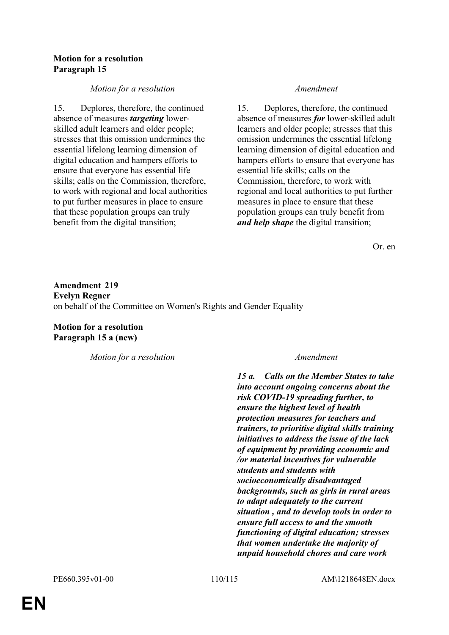## **Motion for a resolution Paragraph 15**

## *Motion for a resolution Amendment*

15. Deplores, therefore, the continued absence of measures *targeting* lowerskilled adult learners and older people; stresses that this omission undermines the essential lifelong learning dimension of digital education and hampers efforts to ensure that everyone has essential life skills; calls on the Commission, therefore, to work with regional and local authorities to put further measures in place to ensure that these population groups can truly benefit from the digital transition;

15. Deplores, therefore, the continued absence of measures *for* lower-skilled adult learners and older people; stresses that this omission undermines the essential lifelong learning dimension of digital education and hampers efforts to ensure that everyone has essential life skills; calls on the Commission, therefore, to work with regional and local authorities to put further measures in place to ensure that these population groups can truly benefit from *and help shape* the digital transition;

Or. en

**Amendment 219 Evelyn Regner** on behalf of the Committee on Women's Rights and Gender Equality

**Motion for a resolution Paragraph 15 a (new)**

*Motion for a resolution Amendment*

*15 a. Calls on the Member States to take into account ongoing concerns about the risk COVID-19 spreading further, to ensure the highest level of health protection measures for teachers and trainers, to prioritise digital skills training initiatives to address the issue of the lack of equipment by providing economic and /or material incentives for vulnerable students and students with socioeconomically disadvantaged backgrounds, such as girls in rural areas to adapt adequately to the current situation , and to develop tools in order to ensure full access to and the smooth functioning of digital education; stresses that women undertake the majority of unpaid household chores and care work*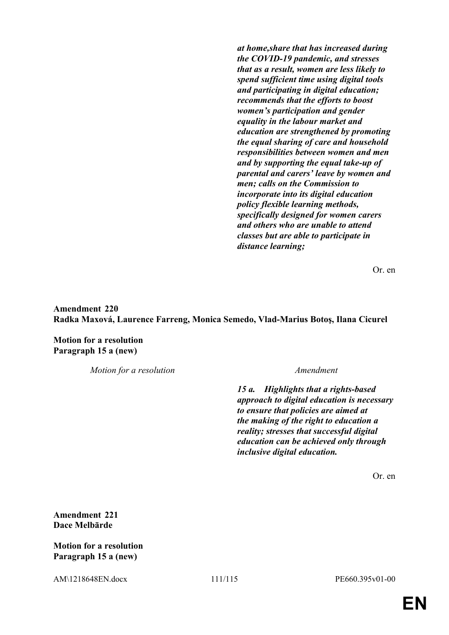*at home,share that has increased during the COVID-19 pandemic, and stresses that as a result, women are less likely to spend sufficient time using digital tools and participating in digital education; recommends that the efforts to boost women's participation and gender equality in the labour market and education are strengthened by promoting the equal sharing of care and household responsibilities between women and men and by supporting the equal take-up of parental and carers' leave by women and men; calls on the Commission to incorporate into its digital education policy flexible learning methods, specifically designed for women carers and others who are unable to attend classes but are able to participate in distance learning;*

Or. en

**Amendment 220 Radka Maxová, Laurence Farreng, Monica Semedo, Vlad-Marius Botoş, Ilana Cicurel**

**Motion for a resolution Paragraph 15 a (new)**

*Motion for a resolution Amendment*

*15 a. Highlights that a rights-based approach to digital education is necessary to ensure that policies are aimed at the making of the right to education a reality; stresses that successful digital education can be achieved only through inclusive digital education.*

Or. en

**Amendment 221 Dace Melbārde**

**Motion for a resolution Paragraph 15 a (new)**

AM\1218648EN.docx 111/115 PE660.395v01-00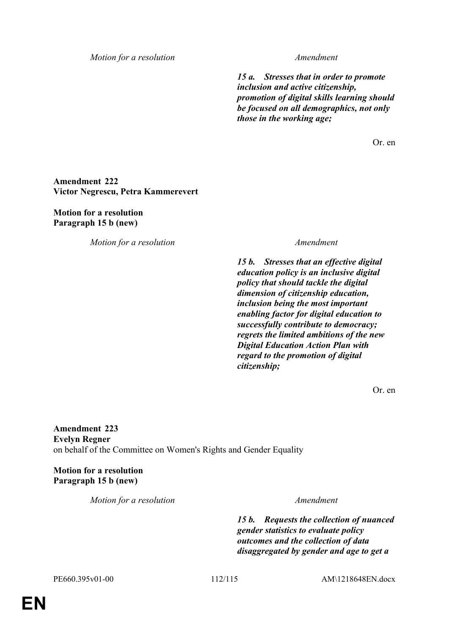*Motion for a resolution Amendment*

*15 a. Stresses that in order to promote inclusion and active citizenship, promotion of digital skills learning should be focused on all demographics, not only those in the working age;*

Or. en

## **Amendment 222 Victor Negrescu, Petra Kammerevert**

**Motion for a resolution Paragraph 15 b (new)**

*Motion for a resolution Amendment*

*15 b. Stresses that an effective digital education policy is an inclusive digital policy that should tackle the digital dimension of citizenship education, inclusion being the most important enabling factor for digital education to successfully contribute to democracy; regrets the limited ambitions of the new Digital Education Action Plan with regard to the promotion of digital citizenship;*

Or. en

**Amendment 223 Evelyn Regner** on behalf of the Committee on Women's Rights and Gender Equality

**Motion for a resolution Paragraph 15 b (new)**

*Motion for a resolution Amendment*

*15 b. Requests the collection of nuanced gender statistics to evaluate policy outcomes and the collection of data disaggregated by gender and age to get a* 

PE660.395v01-00 112/115 AM\1218648EN.docx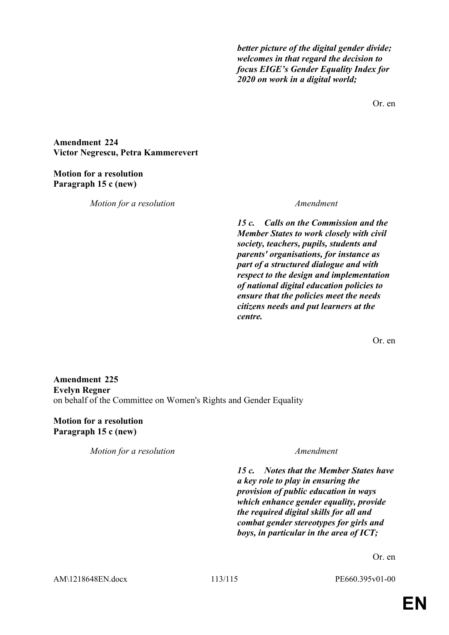*better picture of the digital gender divide; welcomes in that regard the decision to focus EIGE's Gender Equality Index for 2020 on work in a digital world;*

Or. en

**Amendment 224 Victor Negrescu, Petra Kammerevert**

## **Motion for a resolution Paragraph 15 c (new)**

*Motion for a resolution Amendment*

*15 c. Calls on the Commission and the Member States to work closely with civil society, teachers, pupils, students and parents' organisations, for instance as part of a structured dialogue and with respect to the design and implementation of national digital education policies to ensure that the policies meet the needs citizens needs and put learners at the centre.*

Or. en

# **Amendment 225 Evelyn Regner** on behalf of the Committee on Women's Rights and Gender Equality

**Motion for a resolution Paragraph 15 c (new)**

*Motion for a resolution Amendment*

*15 c. Notes that the Member States have a key role to play in ensuring the provision of public education in ways which enhance gender equality, provide the required digital skills for all and combat gender stereotypes for girls and boys, in particular in the area of ICT;*

Or. en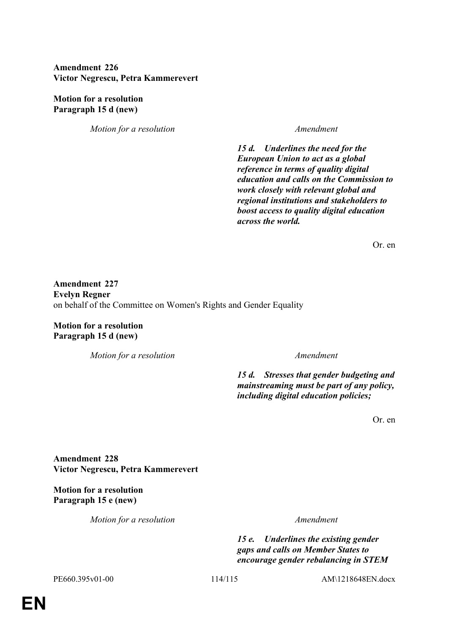# **Amendment 226 Victor Negrescu, Petra Kammerevert**

**Motion for a resolution Paragraph 15 d (new)**

*Motion for a resolution Amendment*

*15 d. Underlines the need for the European Union to act as a global reference in terms of quality digital education and calls on the Commission to work closely with relevant global and regional institutions and stakeholders to boost access to quality digital education across the world.*

Or. en

**Amendment 227 Evelyn Regner** on behalf of the Committee on Women's Rights and Gender Equality

**Motion for a resolution Paragraph 15 d (new)**

*Motion for a resolution Amendment*

*15 d. Stresses that gender budgeting and mainstreaming must be part of any policy, including digital education policies;*

Or. en

**Amendment 228 Victor Negrescu, Petra Kammerevert**

**Motion for a resolution Paragraph 15 e (new)**

*Motion for a resolution Amendment*

*15 e. Underlines the existing gender gaps and calls on Member States to encourage gender rebalancing in STEM* 

PE660.395v01-00 114/115 AM\1218648EN.docx